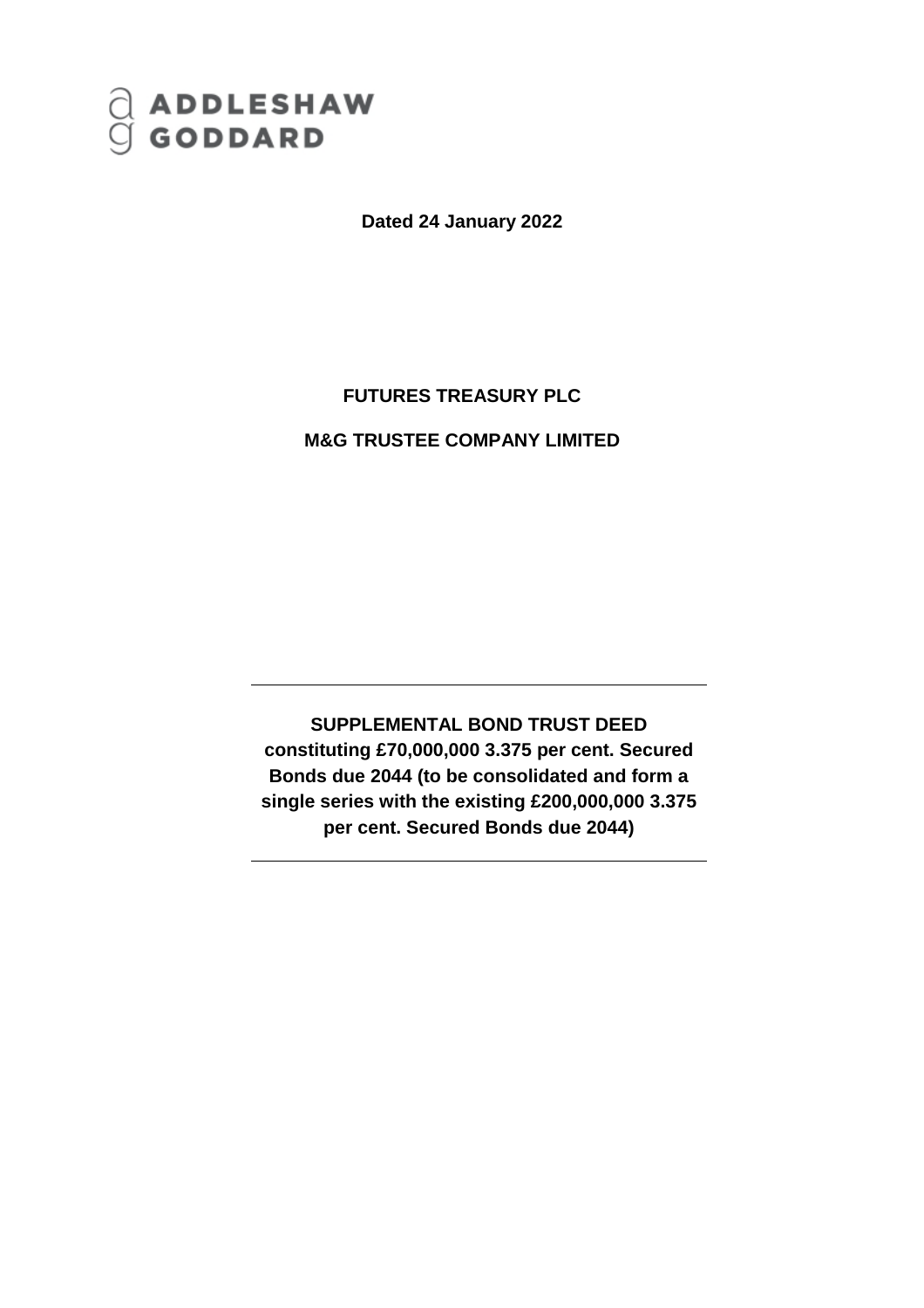# ADDLESHAW<br>GODDARD

**Dated 24 January 2022**

# **FUTURES TREASURY PLC**

## **M&G TRUSTEE COMPANY LIMITED**

**SUPPLEMENTAL BOND TRUST DEED constituting £70,000,000 3.375 per cent. Secured Bonds due 2044 (to be consolidated and form a single series with the existing £200,000,000 3.375 per cent. Secured Bonds due 2044)**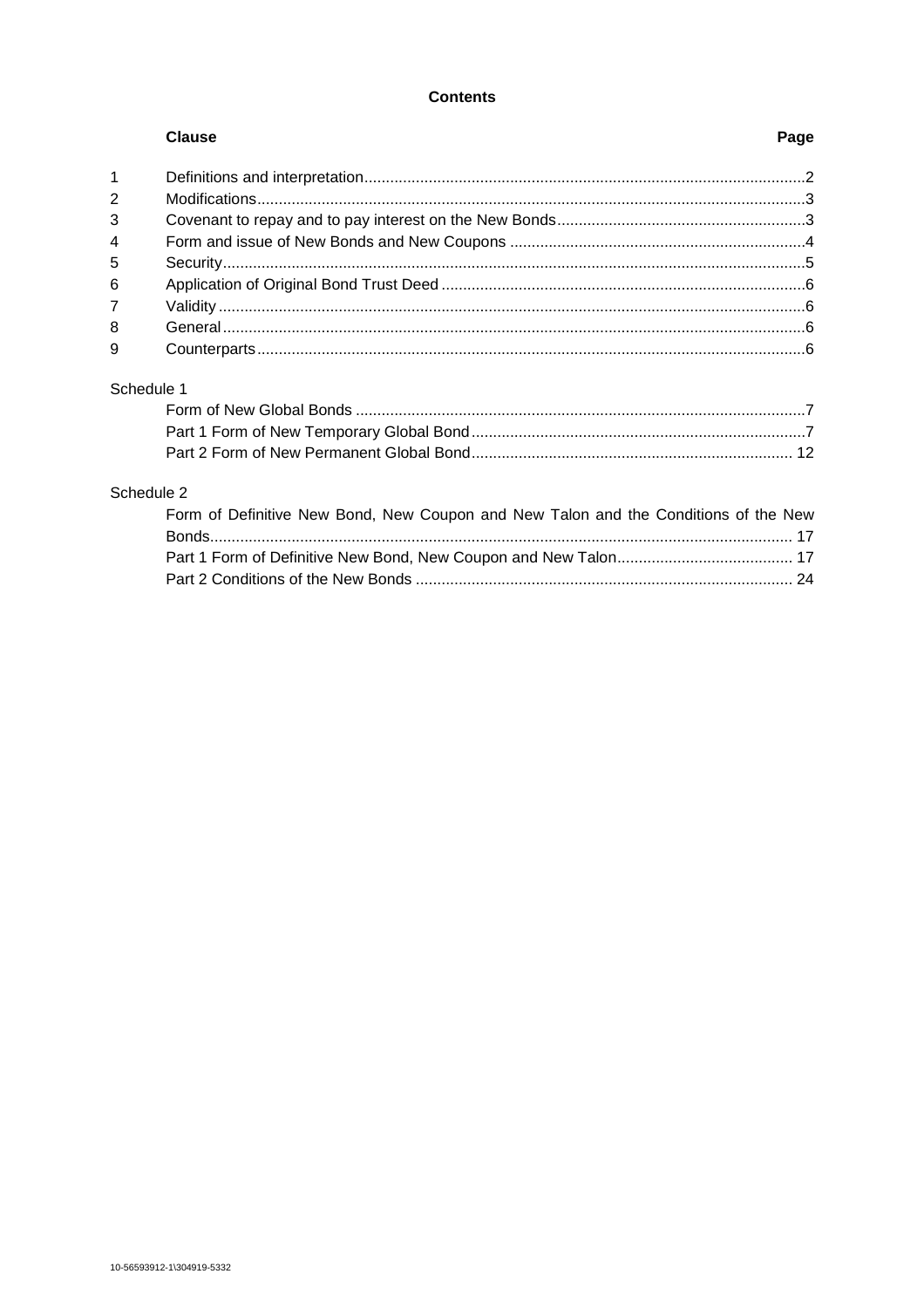## **Contents**

|                | <b>Clause</b>             | Page           |
|----------------|---------------------------|----------------|
| $\overline{1}$ |                           |                |
| 2              |                           |                |
| 3              |                           |                |
| $\overline{4}$ |                           |                |
| 5              |                           |                |
| 6              |                           |                |
| $\overline{7}$ |                           |                |
| 8              |                           |                |
| 9              |                           |                |
|                | Schedule 1                |                |
|                | Esses of New Clopel Donde | $\overline{ }$ |

## Schedule 2

| Form of Definitive New Bond, New Coupon and New Talon and the Conditions of the New |  |
|-------------------------------------------------------------------------------------|--|
|                                                                                     |  |
|                                                                                     |  |
|                                                                                     |  |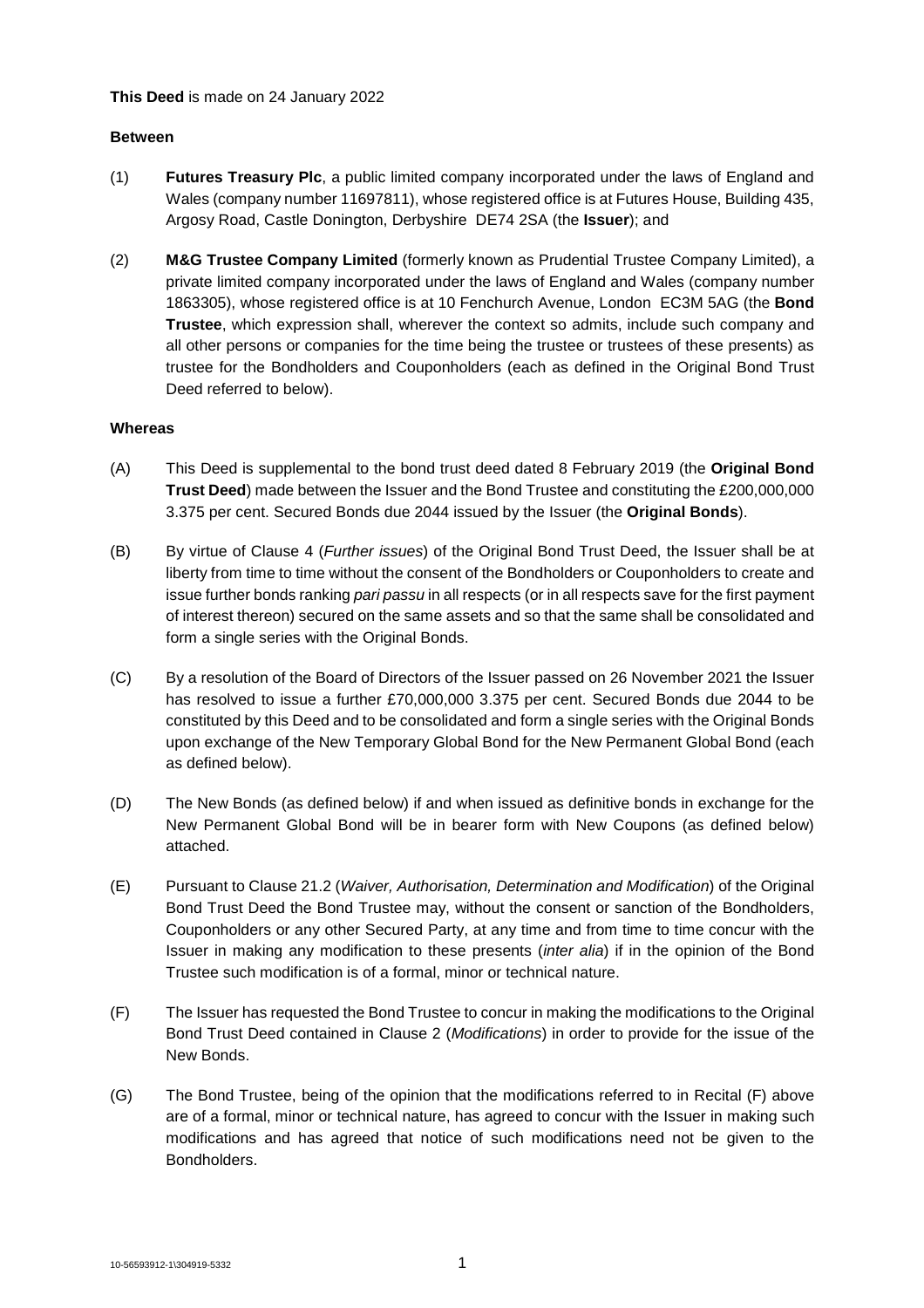## **This Deed** is made on 24 January 2022

## **Between**

- (1) **Futures Treasury Plc**, a public limited company incorporated under the laws of England and Wales (company number 11697811), whose registered office is at Futures House, Building 435, Argosy Road, Castle Donington, Derbyshire DE74 2SA (the **Issuer**); and
- (2) **M&G Trustee Company Limited** (formerly known as Prudential Trustee Company Limited), a private limited company incorporated under the laws of England and Wales (company number 1863305), whose registered office is at 10 Fenchurch Avenue, London EC3M 5AG (the **Bond Trustee**, which expression shall, wherever the context so admits, include such company and all other persons or companies for the time being the trustee or trustees of these presents) as trustee for the Bondholders and Couponholders (each as defined in the Original Bond Trust Deed referred to below).

## **Whereas**

- (A) This Deed is supplemental to the bond trust deed dated 8 February 2019 (the **Original Bond Trust Deed**) made between the Issuer and the Bond Trustee and constituting the £200,000,000 3.375 per cent. Secured Bonds due 2044 issued by the Issuer (the **Original Bonds**).
- (B) By virtue of Clause 4 (*Further issues*) of the Original Bond Trust Deed, the Issuer shall be at liberty from time to time without the consent of the Bondholders or Couponholders to create and issue further bonds ranking *pari passu* in all respects (or in all respects save for the first payment of interest thereon) secured on the same assets and so that the same shall be consolidated and form a single series with the Original Bonds.
- (C) By a resolution of the Board of Directors of the Issuer passed on 26 November 2021 the Issuer has resolved to issue a further £70,000,000 3.375 per cent. Secured Bonds due 2044 to be constituted by this Deed and to be consolidated and form a single series with the Original Bonds upon exchange of the New Temporary Global Bond for the New Permanent Global Bond (each as defined below).
- (D) The New Bonds (as defined below) if and when issued as definitive bonds in exchange for the New Permanent Global Bond will be in bearer form with New Coupons (as defined below) attached.
- (E) Pursuant to Clause 21.2 (*Waiver, Authorisation, Determination and Modification*) of the Original Bond Trust Deed the Bond Trustee may, without the consent or sanction of the Bondholders, Couponholders or any other Secured Party, at any time and from time to time concur with the Issuer in making any modification to these presents (*inter alia*) if in the opinion of the Bond Trustee such modification is of a formal, minor or technical nature.
- (F) The Issuer has requested the Bond Trustee to concur in making the modifications to the Original Bond Trust Deed contained in Clause 2 (*Modifications*) in order to provide for the issue of the New Bonds.
- (G) The Bond Trustee, being of the opinion that the modifications referred to in Recital (F) above are of a formal, minor or technical nature, has agreed to concur with the Issuer in making such modifications and has agreed that notice of such modifications need not be given to the Bondholders.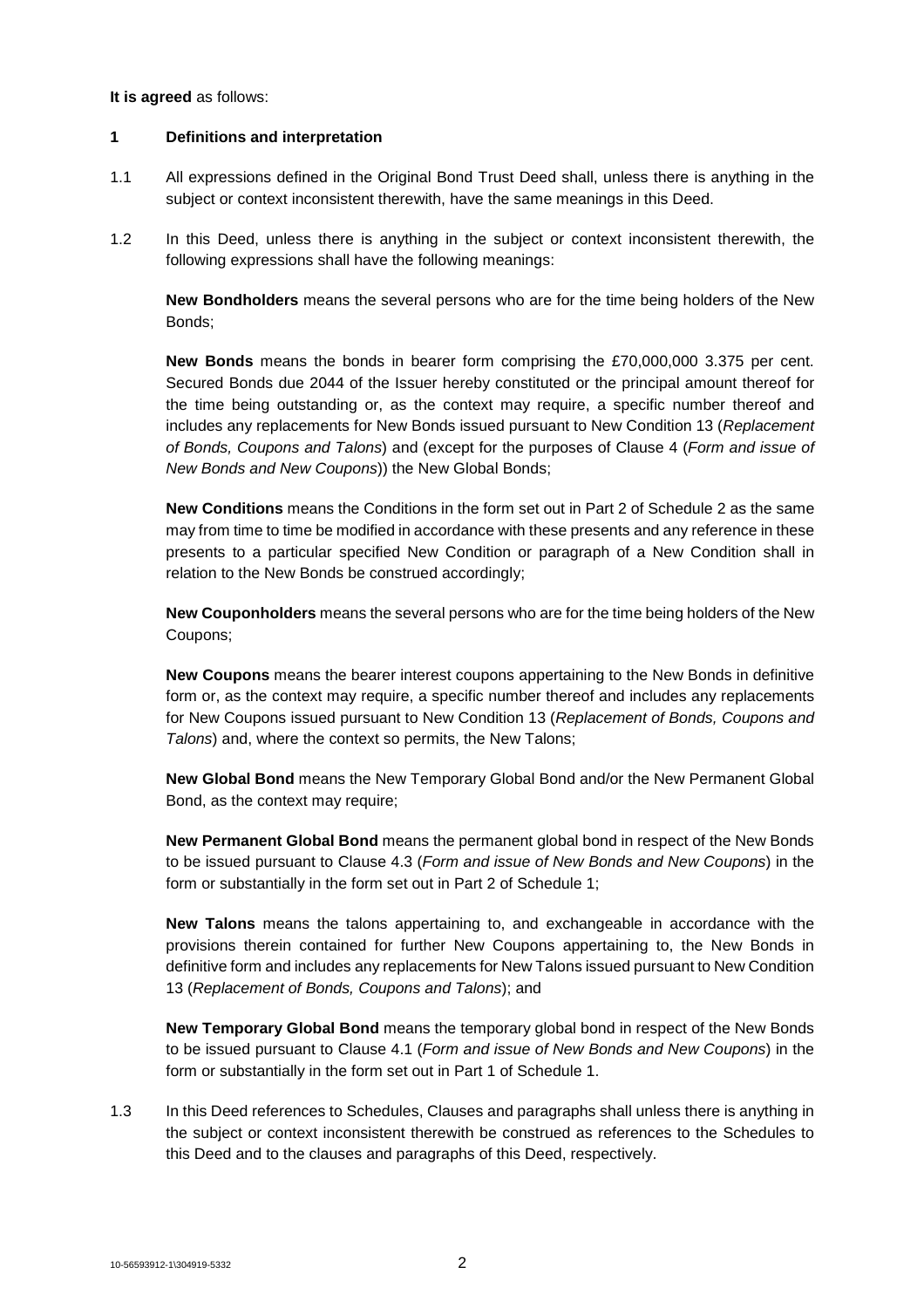#### **It is agreed** as follows:

## **1 Definitions and interpretation**

- 1.1 All expressions defined in the Original Bond Trust Deed shall, unless there is anything in the subject or context inconsistent therewith, have the same meanings in this Deed.
- 1.2 In this Deed, unless there is anything in the subject or context inconsistent therewith, the following expressions shall have the following meanings:

**New Bondholders** means the several persons who are for the time being holders of the New Bonds;

**New Bonds** means the bonds in bearer form comprising the £70,000,000 3.375 per cent. Secured Bonds due 2044 of the Issuer hereby constituted or the principal amount thereof for the time being outstanding or, as the context may require, a specific number thereof and includes any replacements for New Bonds issued pursuant to New Condition 13 (*Replacement of Bonds, Coupons and Talons*) and (except for the purposes of Clause 4 (*Form and issue of New Bonds and New Coupons*)) the New Global Bonds;

**New Conditions** means the Conditions in the form set out in Part 2 of Schedule 2 as the same may from time to time be modified in accordance with these presents and any reference in these presents to a particular specified New Condition or paragraph of a New Condition shall in relation to the New Bonds be construed accordingly;

**New Couponholders** means the several persons who are for the time being holders of the New Coupons;

**New Coupons** means the bearer interest coupons appertaining to the New Bonds in definitive form or, as the context may require, a specific number thereof and includes any replacements for New Coupons issued pursuant to New Condition 13 (*Replacement of Bonds, Coupons and Talons*) and, where the context so permits, the New Talons;

**New Global Bond** means the New Temporary Global Bond and/or the New Permanent Global Bond, as the context may require;

**New Permanent Global Bond** means the permanent global bond in respect of the New Bonds to be issued pursuant to Clause 4.3 (*Form and issue of New Bonds and New Coupons*) in the form or substantially in the form set out in Part 2 of Schedule 1;

**New Talons** means the talons appertaining to, and exchangeable in accordance with the provisions therein contained for further New Coupons appertaining to, the New Bonds in definitive form and includes any replacements for New Talons issued pursuant to New Condition 13 (*Replacement of Bonds, Coupons and Talons*); and

**New Temporary Global Bond** means the temporary global bond in respect of the New Bonds to be issued pursuant to Clause 4.1 (*Form and issue of New Bonds and New Coupons*) in the form or substantially in the form set out in Part 1 of Schedule 1.

1.3 In this Deed references to Schedules, Clauses and paragraphs shall unless there is anything in the subject or context inconsistent therewith be construed as references to the Schedules to this Deed and to the clauses and paragraphs of this Deed, respectively.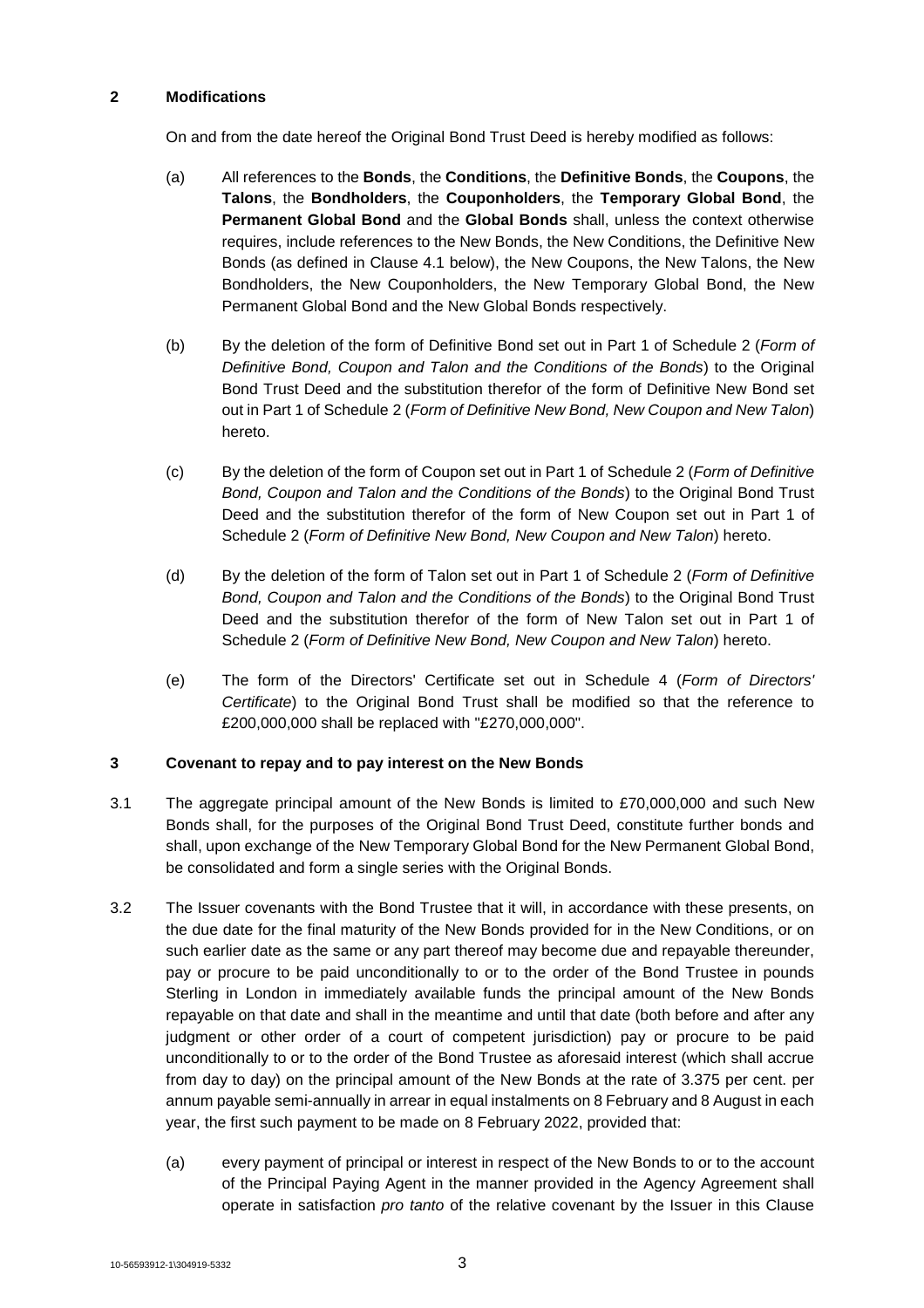## **2 Modifications**

On and from the date hereof the Original Bond Trust Deed is hereby modified as follows:

- (a) All references to the **Bonds**, the **Conditions**, the **Definitive Bonds**, the **Coupons**, the **Talons**, the **Bondholders**, the **Couponholders**, the **Temporary Global Bond**, the **Permanent Global Bond** and the **Global Bonds** shall, unless the context otherwise requires, include references to the New Bonds, the New Conditions, the Definitive New Bonds (as defined in Clause 4.1 below), the New Coupons, the New Talons, the New Bondholders, the New Couponholders, the New Temporary Global Bond, the New Permanent Global Bond and the New Global Bonds respectively.
- (b) By the deletion of the form of Definitive Bond set out in Part 1 of Schedule 2 (*Form of Definitive Bond, Coupon and Talon and the Conditions of the Bonds*) to the Original Bond Trust Deed and the substitution therefor of the form of Definitive New Bond set out in Part 1 of Schedule 2 (*Form of Definitive New Bond, New Coupon and New Talon*) hereto.
- (c) By the deletion of the form of Coupon set out in Part 1 of Schedule 2 (*Form of Definitive Bond, Coupon and Talon and the Conditions of the Bonds*) to the Original Bond Trust Deed and the substitution therefor of the form of New Coupon set out in Part 1 of Schedule 2 (*Form of Definitive New Bond, New Coupon and New Talon*) hereto.
- (d) By the deletion of the form of Talon set out in Part 1 of Schedule 2 (*Form of Definitive Bond, Coupon and Talon and the Conditions of the Bonds*) to the Original Bond Trust Deed and the substitution therefor of the form of New Talon set out in Part 1 of Schedule 2 (*Form of Definitive New Bond, New Coupon and New Talon*) hereto.
- (e) The form of the Directors' Certificate set out in Schedule 4 (*Form of Directors' Certificate*) to the Original Bond Trust shall be modified so that the reference to £200,000,000 shall be replaced with "£270,000,000".

## **3 Covenant to repay and to pay interest on the New Bonds**

- 3.1 The aggregate principal amount of the New Bonds is limited to £70,000,000 and such New Bonds shall, for the purposes of the Original Bond Trust Deed, constitute further bonds and shall, upon exchange of the New Temporary Global Bond for the New Permanent Global Bond, be consolidated and form a single series with the Original Bonds.
- 3.2 The Issuer covenants with the Bond Trustee that it will, in accordance with these presents, on the due date for the final maturity of the New Bonds provided for in the New Conditions, or on such earlier date as the same or any part thereof may become due and repayable thereunder, pay or procure to be paid unconditionally to or to the order of the Bond Trustee in pounds Sterling in London in immediately available funds the principal amount of the New Bonds repayable on that date and shall in the meantime and until that date (both before and after any judgment or other order of a court of competent jurisdiction) pay or procure to be paid unconditionally to or to the order of the Bond Trustee as aforesaid interest (which shall accrue from day to day) on the principal amount of the New Bonds at the rate of 3.375 per cent. per annum payable semi-annually in arrear in equal instalments on 8 February and 8 August in each year, the first such payment to be made on 8 February 2022, provided that:
	- (a) every payment of principal or interest in respect of the New Bonds to or to the account of the Principal Paying Agent in the manner provided in the Agency Agreement shall operate in satisfaction *pro tanto* of the relative covenant by the Issuer in this Clause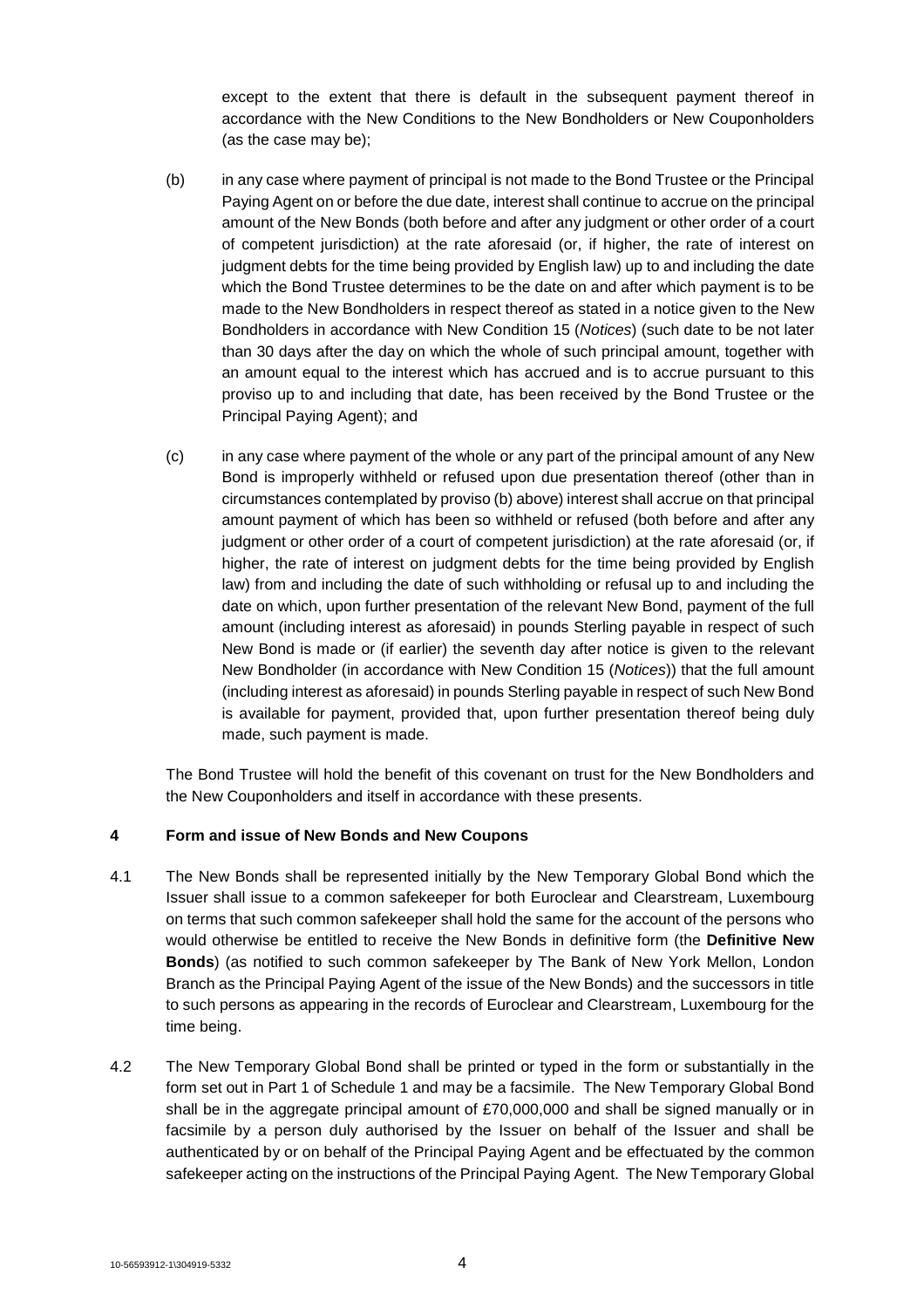except to the extent that there is default in the subsequent payment thereof in accordance with the New Conditions to the New Bondholders or New Couponholders (as the case may be);

- (b) in any case where payment of principal is not made to the Bond Trustee or the Principal Paying Agent on or before the due date, interest shall continue to accrue on the principal amount of the New Bonds (both before and after any judgment or other order of a court of competent jurisdiction) at the rate aforesaid (or, if higher, the rate of interest on judgment debts for the time being provided by English law) up to and including the date which the Bond Trustee determines to be the date on and after which payment is to be made to the New Bondholders in respect thereof as stated in a notice given to the New Bondholders in accordance with New Condition 15 (*Notices*) (such date to be not later than 30 days after the day on which the whole of such principal amount, together with an amount equal to the interest which has accrued and is to accrue pursuant to this proviso up to and including that date, has been received by the Bond Trustee or the Principal Paying Agent); and
- (c) in any case where payment of the whole or any part of the principal amount of any New Bond is improperly withheld or refused upon due presentation thereof (other than in circumstances contemplated by proviso (b) above) interest shall accrue on that principal amount payment of which has been so withheld or refused (both before and after any judgment or other order of a court of competent jurisdiction) at the rate aforesaid (or, if higher, the rate of interest on judgment debts for the time being provided by English law) from and including the date of such withholding or refusal up to and including the date on which, upon further presentation of the relevant New Bond, payment of the full amount (including interest as aforesaid) in pounds Sterling payable in respect of such New Bond is made or (if earlier) the seventh day after notice is given to the relevant New Bondholder (in accordance with New Condition 15 (*Notices*)) that the full amount (including interest as aforesaid) in pounds Sterling payable in respect of such New Bond is available for payment, provided that, upon further presentation thereof being duly made, such payment is made.

The Bond Trustee will hold the benefit of this covenant on trust for the New Bondholders and the New Couponholders and itself in accordance with these presents.

## **4 Form and issue of New Bonds and New Coupons**

- 4.1 The New Bonds shall be represented initially by the New Temporary Global Bond which the Issuer shall issue to a common safekeeper for both Euroclear and Clearstream, Luxembourg on terms that such common safekeeper shall hold the same for the account of the persons who would otherwise be entitled to receive the New Bonds in definitive form (the **Definitive New Bonds**) (as notified to such common safekeeper by The Bank of New York Mellon, London Branch as the Principal Paying Agent of the issue of the New Bonds) and the successors in title to such persons as appearing in the records of Euroclear and Clearstream, Luxembourg for the time being.
- 4.2 The New Temporary Global Bond shall be printed or typed in the form or substantially in the form set out in Part 1 of Schedule 1 and may be a facsimile. The New Temporary Global Bond shall be in the aggregate principal amount of £70,000,000 and shall be signed manually or in facsimile by a person duly authorised by the Issuer on behalf of the Issuer and shall be authenticated by or on behalf of the Principal Paying Agent and be effectuated by the common safekeeper acting on the instructions of the Principal Paying Agent. The New Temporary Global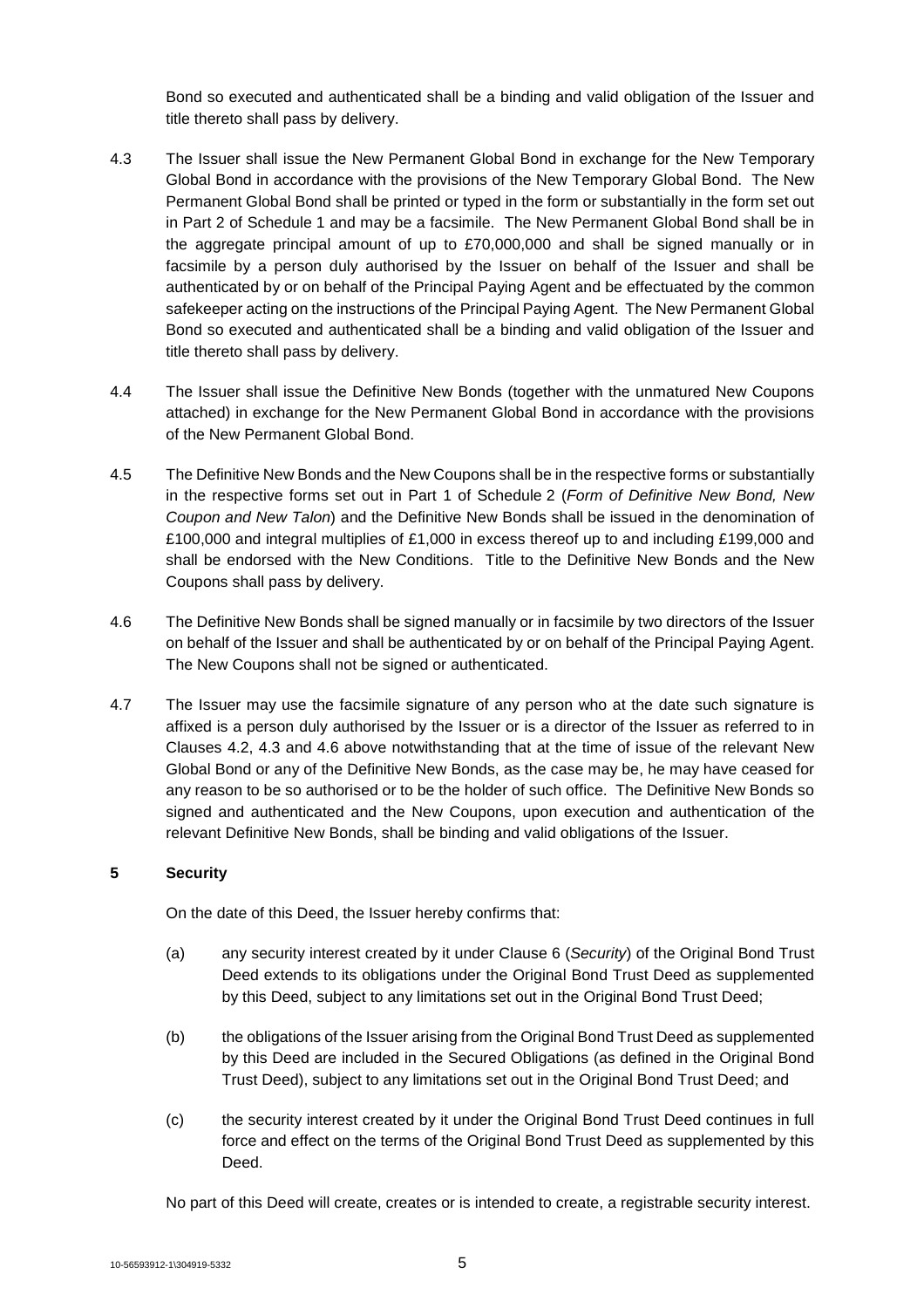Bond so executed and authenticated shall be a binding and valid obligation of the Issuer and title thereto shall pass by delivery.

- 4.3 The Issuer shall issue the New Permanent Global Bond in exchange for the New Temporary Global Bond in accordance with the provisions of the New Temporary Global Bond. The New Permanent Global Bond shall be printed or typed in the form or substantially in the form set out in Part 2 of Schedule 1 and may be a facsimile. The New Permanent Global Bond shall be in the aggregate principal amount of up to £70,000,000 and shall be signed manually or in facsimile by a person duly authorised by the Issuer on behalf of the Issuer and shall be authenticated by or on behalf of the Principal Paying Agent and be effectuated by the common safekeeper acting on the instructions of the Principal Paying Agent. The New Permanent Global Bond so executed and authenticated shall be a binding and valid obligation of the Issuer and title thereto shall pass by delivery.
- 4.4 The Issuer shall issue the Definitive New Bonds (together with the unmatured New Coupons attached) in exchange for the New Permanent Global Bond in accordance with the provisions of the New Permanent Global Bond.
- 4.5 The Definitive New Bonds and the New Coupons shall be in the respective forms or substantially in the respective forms set out in Part 1 of Schedule 2 (*Form of Definitive New Bond, New Coupon and New Talon*) and the Definitive New Bonds shall be issued in the denomination of £100,000 and integral multiplies of £1,000 in excess thereof up to and including £199,000 and shall be endorsed with the New Conditions. Title to the Definitive New Bonds and the New Coupons shall pass by delivery.
- 4.6 The Definitive New Bonds shall be signed manually or in facsimile by two directors of the Issuer on behalf of the Issuer and shall be authenticated by or on behalf of the Principal Paying Agent. The New Coupons shall not be signed or authenticated.
- 4.7 The Issuer may use the facsimile signature of any person who at the date such signature is affixed is a person duly authorised by the Issuer or is a director of the Issuer as referred to in Clauses 4.2, 4.3 and 4.6 above notwithstanding that at the time of issue of the relevant New Global Bond or any of the Definitive New Bonds, as the case may be, he may have ceased for any reason to be so authorised or to be the holder of such office. The Definitive New Bonds so signed and authenticated and the New Coupons, upon execution and authentication of the relevant Definitive New Bonds, shall be binding and valid obligations of the Issuer.

## **5 Security**

On the date of this Deed, the Issuer hereby confirms that:

- (a) any security interest created by it under Clause 6 (*Security*) of the Original Bond Trust Deed extends to its obligations under the Original Bond Trust Deed as supplemented by this Deed, subject to any limitations set out in the Original Bond Trust Deed;
- (b) the obligations of the Issuer arising from the Original Bond Trust Deed as supplemented by this Deed are included in the Secured Obligations (as defined in the Original Bond Trust Deed), subject to any limitations set out in the Original Bond Trust Deed; and
- (c) the security interest created by it under the Original Bond Trust Deed continues in full force and effect on the terms of the Original Bond Trust Deed as supplemented by this Deed.

No part of this Deed will create, creates or is intended to create, a registrable security interest.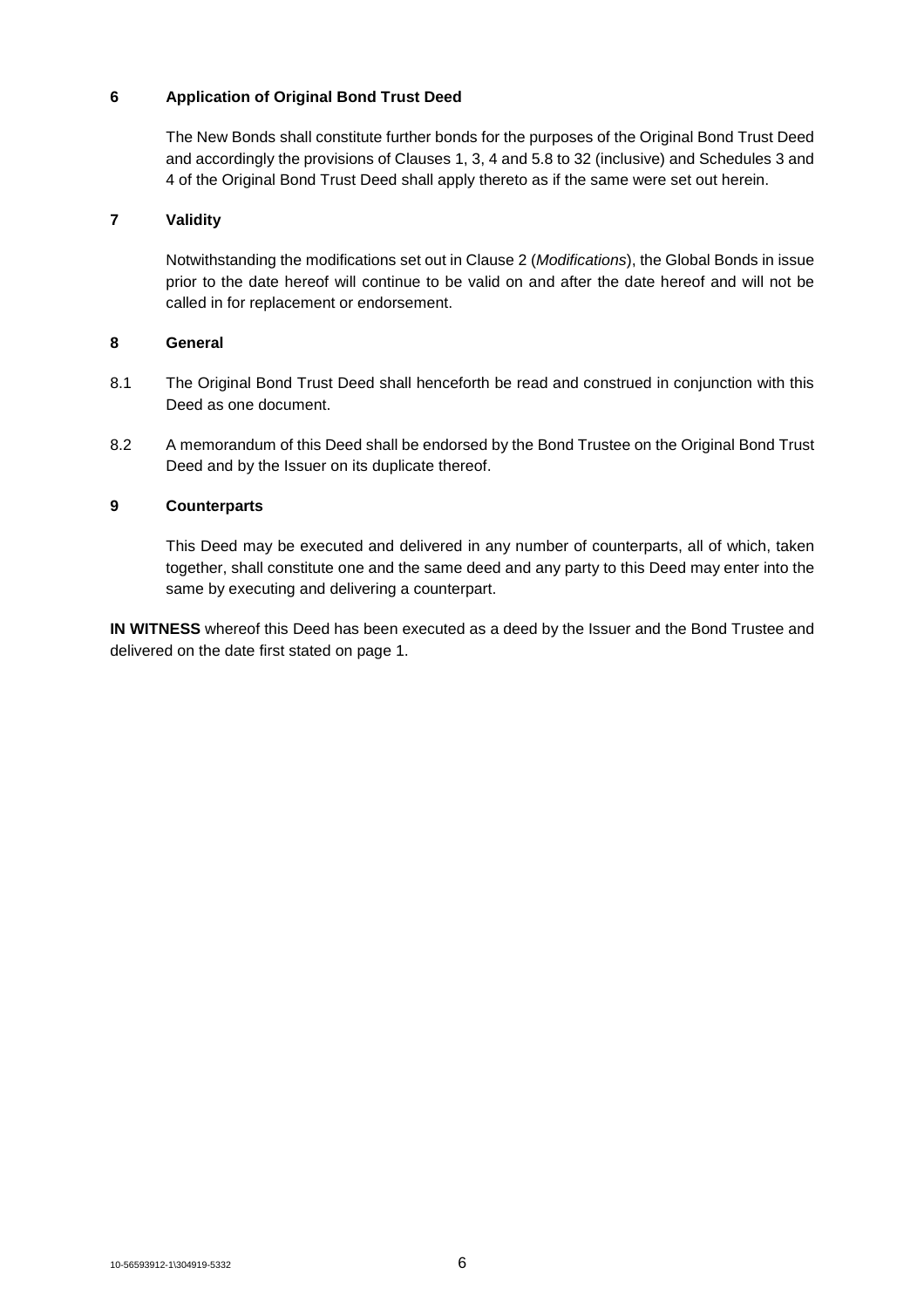## **6 Application of Original Bond Trust Deed**

The New Bonds shall constitute further bonds for the purposes of the Original Bond Trust Deed and accordingly the provisions of Clauses 1, 3, 4 and 5.8 to 32 (inclusive) and Schedules 3 and 4 of the Original Bond Trust Deed shall apply thereto as if the same were set out herein.

## **7 Validity**

Notwithstanding the modifications set out in Clause 2 (*Modifications*), the Global Bonds in issue prior to the date hereof will continue to be valid on and after the date hereof and will not be called in for replacement or endorsement.

## **8 General**

- 8.1 The Original Bond Trust Deed shall henceforth be read and construed in conjunction with this Deed as one document.
- 8.2 A memorandum of this Deed shall be endorsed by the Bond Trustee on the Original Bond Trust Deed and by the Issuer on its duplicate thereof.

## **9 Counterparts**

This Deed may be executed and delivered in any number of counterparts, all of which, taken together, shall constitute one and the same deed and any party to this Deed may enter into the same by executing and delivering a counterpart.

**IN WITNESS** whereof this Deed has been executed as a deed by the Issuer and the Bond Trustee and delivered on the date first stated on page 1.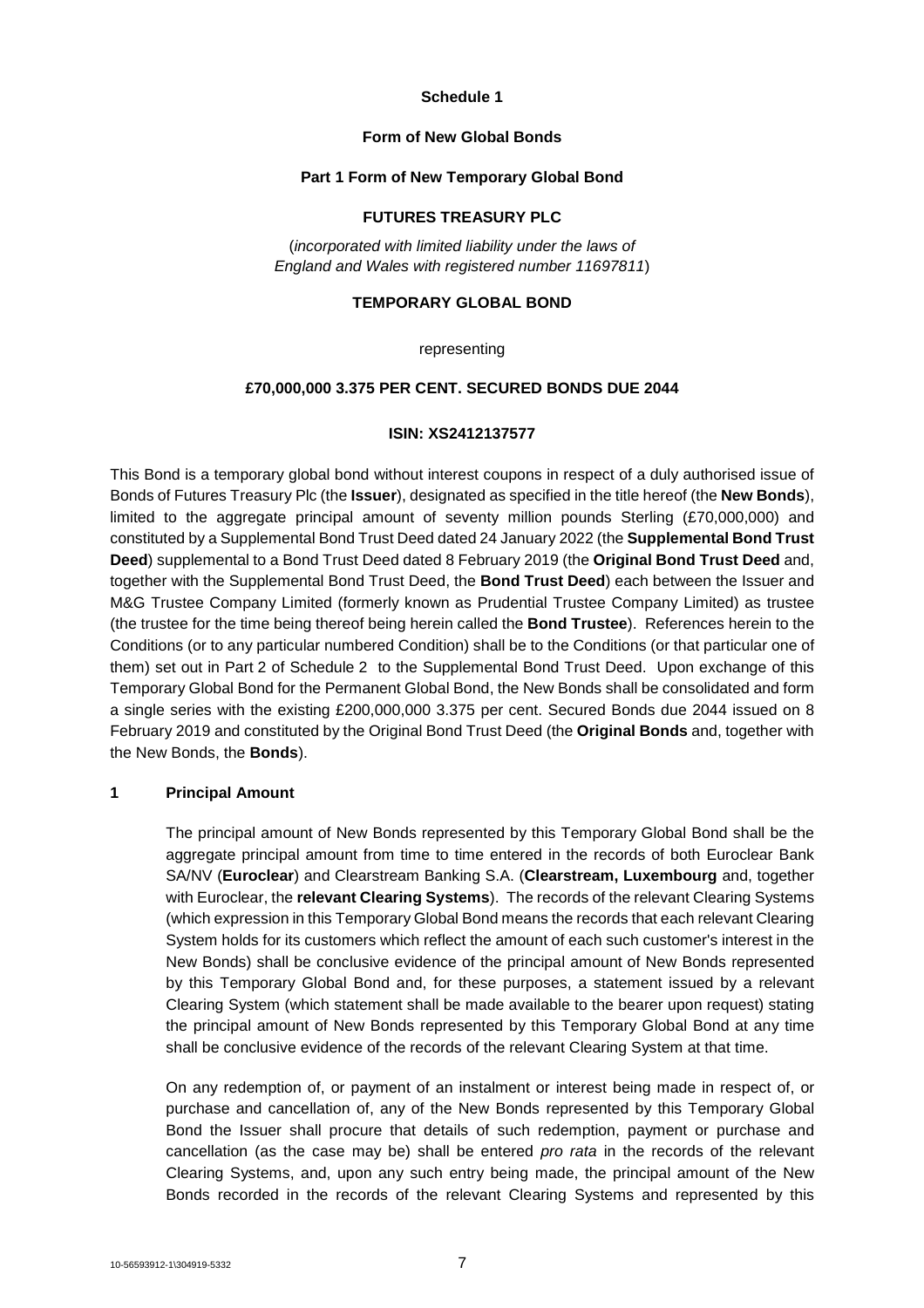#### **Schedule 1**

#### **Form of New Global Bonds**

## **Part 1 Form of New Temporary Global Bond**

## **FUTURES TREASURY PLC**

(*incorporated with limited liability under the laws of England and Wales with registered number 11697811*)

## **TEMPORARY GLOBAL BOND**

#### representing

#### **£70,000,000 3.375 PER CENT. SECURED BONDS DUE 2044**

## **ISIN: XS2412137577**

This Bond is a temporary global bond without interest coupons in respect of a duly authorised issue of Bonds of Futures Treasury Plc (the **Issuer**), designated as specified in the title hereof (the **New Bonds**), limited to the aggregate principal amount of seventy million pounds Sterling (£70,000,000) and constituted by a Supplemental Bond Trust Deed dated 24 January 2022 (the **Supplemental Bond Trust Deed**) supplemental to a Bond Trust Deed dated 8 February 2019 (the **Original Bond Trust Deed** and, together with the Supplemental Bond Trust Deed, the **Bond Trust Deed**) each between the Issuer and M&G Trustee Company Limited (formerly known as Prudential Trustee Company Limited) as trustee (the trustee for the time being thereof being herein called the **Bond Trustee**). References herein to the Conditions (or to any particular numbered Condition) shall be to the Conditions (or that particular one of them) set out in Part 2 of Schedule 2 to the Supplemental Bond Trust Deed. Upon exchange of this Temporary Global Bond for the Permanent Global Bond, the New Bonds shall be consolidated and form a single series with the existing £200,000,000 3.375 per cent. Secured Bonds due 2044 issued on 8 February 2019 and constituted by the Original Bond Trust Deed (the **Original Bonds** and, together with the New Bonds, the **Bonds**).

## **1 Principal Amount**

The principal amount of New Bonds represented by this Temporary Global Bond shall be the aggregate principal amount from time to time entered in the records of both Euroclear Bank SA/NV (**Euroclear**) and Clearstream Banking S.A. (**Clearstream, Luxembourg** and, together with Euroclear, the **relevant Clearing Systems**). The records of the relevant Clearing Systems (which expression in this Temporary Global Bond means the records that each relevant Clearing System holds for its customers which reflect the amount of each such customer's interest in the New Bonds) shall be conclusive evidence of the principal amount of New Bonds represented by this Temporary Global Bond and, for these purposes, a statement issued by a relevant Clearing System (which statement shall be made available to the bearer upon request) stating the principal amount of New Bonds represented by this Temporary Global Bond at any time shall be conclusive evidence of the records of the relevant Clearing System at that time.

On any redemption of, or payment of an instalment or interest being made in respect of, or purchase and cancellation of, any of the New Bonds represented by this Temporary Global Bond the Issuer shall procure that details of such redemption, payment or purchase and cancellation (as the case may be) shall be entered *pro rata* in the records of the relevant Clearing Systems, and, upon any such entry being made, the principal amount of the New Bonds recorded in the records of the relevant Clearing Systems and represented by this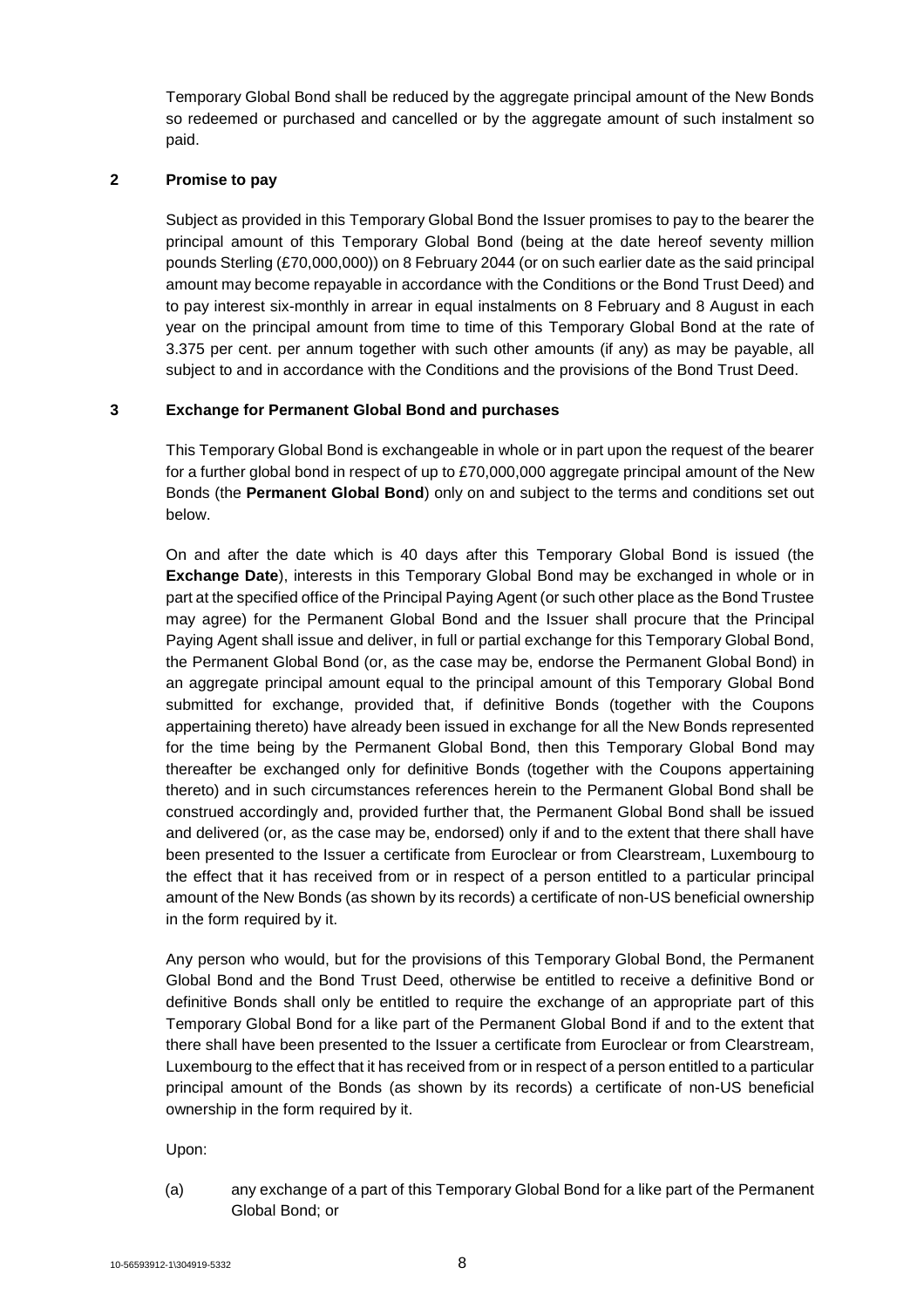Temporary Global Bond shall be reduced by the aggregate principal amount of the New Bonds so redeemed or purchased and cancelled or by the aggregate amount of such instalment so paid.

## **2 Promise to pay**

Subject as provided in this Temporary Global Bond the Issuer promises to pay to the bearer the principal amount of this Temporary Global Bond (being at the date hereof seventy million pounds Sterling (£70,000,000)) on 8 February 2044 (or on such earlier date as the said principal amount may become repayable in accordance with the Conditions or the Bond Trust Deed) and to pay interest six-monthly in arrear in equal instalments on 8 February and 8 August in each year on the principal amount from time to time of this Temporary Global Bond at the rate of 3.375 per cent. per annum together with such other amounts (if any) as may be payable, all subject to and in accordance with the Conditions and the provisions of the Bond Trust Deed.

## **3 Exchange for Permanent Global Bond and purchases**

This Temporary Global Bond is exchangeable in whole or in part upon the request of the bearer for a further global bond in respect of up to £70,000,000 aggregate principal amount of the New Bonds (the **Permanent Global Bond**) only on and subject to the terms and conditions set out below.

On and after the date which is 40 days after this Temporary Global Bond is issued (the **Exchange Date**), interests in this Temporary Global Bond may be exchanged in whole or in part at the specified office of the Principal Paying Agent (or such other place as the Bond Trustee may agree) for the Permanent Global Bond and the Issuer shall procure that the Principal Paying Agent shall issue and deliver, in full or partial exchange for this Temporary Global Bond, the Permanent Global Bond (or, as the case may be, endorse the Permanent Global Bond) in an aggregate principal amount equal to the principal amount of this Temporary Global Bond submitted for exchange, provided that, if definitive Bonds (together with the Coupons appertaining thereto) have already been issued in exchange for all the New Bonds represented for the time being by the Permanent Global Bond, then this Temporary Global Bond may thereafter be exchanged only for definitive Bonds (together with the Coupons appertaining thereto) and in such circumstances references herein to the Permanent Global Bond shall be construed accordingly and, provided further that, the Permanent Global Bond shall be issued and delivered (or, as the case may be, endorsed) only if and to the extent that there shall have been presented to the Issuer a certificate from Euroclear or from Clearstream, Luxembourg to the effect that it has received from or in respect of a person entitled to a particular principal amount of the New Bonds (as shown by its records) a certificate of non-US beneficial ownership in the form required by it.

Any person who would, but for the provisions of this Temporary Global Bond, the Permanent Global Bond and the Bond Trust Deed, otherwise be entitled to receive a definitive Bond or definitive Bonds shall only be entitled to require the exchange of an appropriate part of this Temporary Global Bond for a like part of the Permanent Global Bond if and to the extent that there shall have been presented to the Issuer a certificate from Euroclear or from Clearstream, Luxembourg to the effect that it has received from or in respect of a person entitled to a particular principal amount of the Bonds (as shown by its records) a certificate of non-US beneficial ownership in the form required by it.

Upon:

(a) any exchange of a part of this Temporary Global Bond for a like part of the Permanent Global Bond; or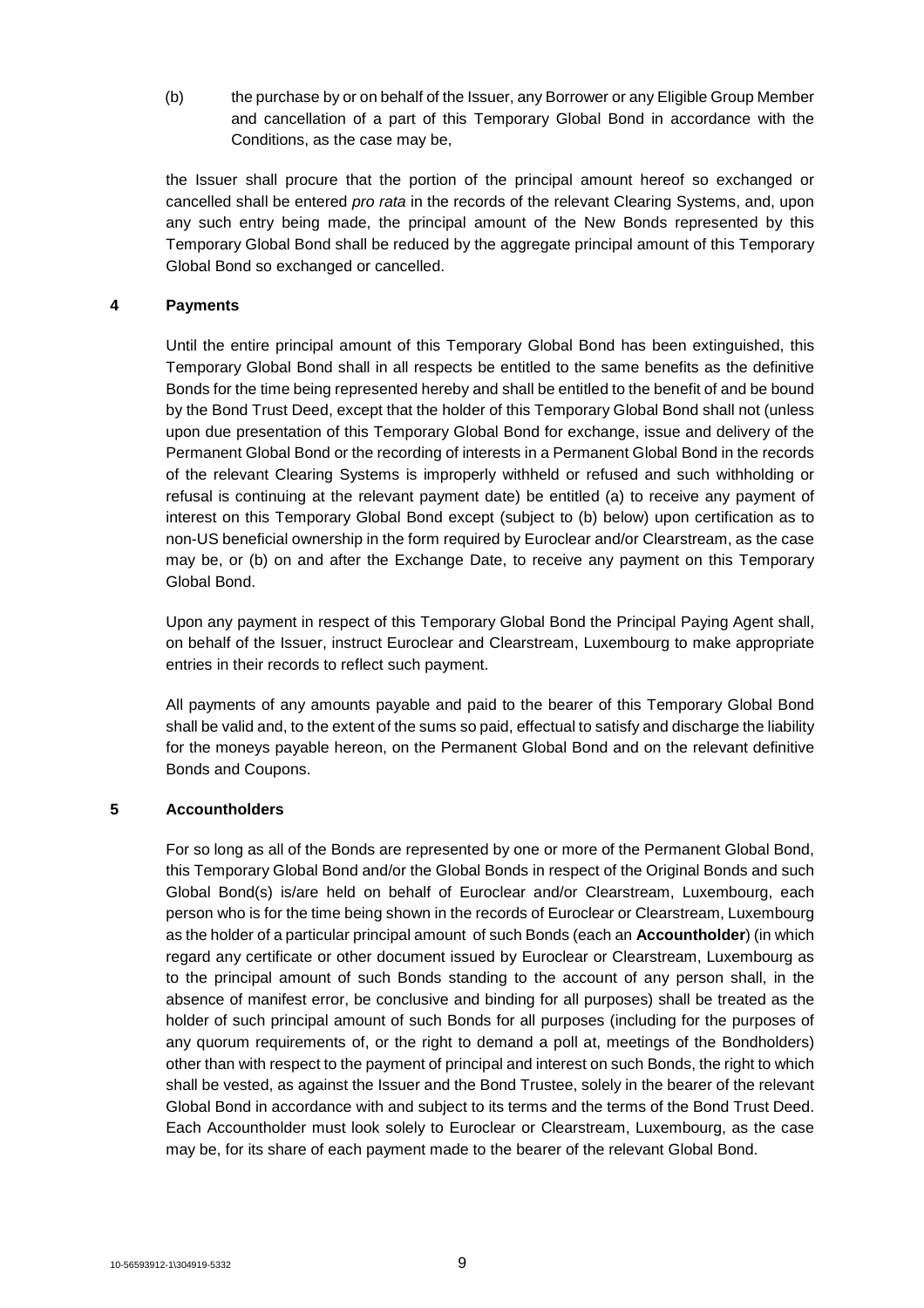(b) the purchase by or on behalf of the Issuer, any Borrower or any Eligible Group Member and cancellation of a part of this Temporary Global Bond in accordance with the Conditions, as the case may be,

the Issuer shall procure that the portion of the principal amount hereof so exchanged or cancelled shall be entered *pro rata* in the records of the relevant Clearing Systems, and, upon any such entry being made, the principal amount of the New Bonds represented by this Temporary Global Bond shall be reduced by the aggregate principal amount of this Temporary Global Bond so exchanged or cancelled.

## **4 Payments**

Until the entire principal amount of this Temporary Global Bond has been extinguished, this Temporary Global Bond shall in all respects be entitled to the same benefits as the definitive Bonds for the time being represented hereby and shall be entitled to the benefit of and be bound by the Bond Trust Deed, except that the holder of this Temporary Global Bond shall not (unless upon due presentation of this Temporary Global Bond for exchange, issue and delivery of the Permanent Global Bond or the recording of interests in a Permanent Global Bond in the records of the relevant Clearing Systems is improperly withheld or refused and such withholding or refusal is continuing at the relevant payment date) be entitled (a) to receive any payment of interest on this Temporary Global Bond except (subject to (b) below) upon certification as to non-US beneficial ownership in the form required by Euroclear and/or Clearstream, as the case may be, or (b) on and after the Exchange Date, to receive any payment on this Temporary Global Bond.

Upon any payment in respect of this Temporary Global Bond the Principal Paying Agent shall, on behalf of the Issuer, instruct Euroclear and Clearstream, Luxembourg to make appropriate entries in their records to reflect such payment.

All payments of any amounts payable and paid to the bearer of this Temporary Global Bond shall be valid and, to the extent of the sums so paid, effectual to satisfy and discharge the liability for the moneys payable hereon, on the Permanent Global Bond and on the relevant definitive Bonds and Coupons.

## **5 Accountholders**

For so long as all of the Bonds are represented by one or more of the Permanent Global Bond, this Temporary Global Bond and/or the Global Bonds in respect of the Original Bonds and such Global Bond(s) is/are held on behalf of Euroclear and/or Clearstream, Luxembourg, each person who is for the time being shown in the records of Euroclear or Clearstream, Luxembourg as the holder of a particular principal amount of such Bonds (each an **Accountholder**) (in which regard any certificate or other document issued by Euroclear or Clearstream, Luxembourg as to the principal amount of such Bonds standing to the account of any person shall, in the absence of manifest error, be conclusive and binding for all purposes) shall be treated as the holder of such principal amount of such Bonds for all purposes (including for the purposes of any quorum requirements of, or the right to demand a poll at, meetings of the Bondholders) other than with respect to the payment of principal and interest on such Bonds, the right to which shall be vested, as against the Issuer and the Bond Trustee, solely in the bearer of the relevant Global Bond in accordance with and subject to its terms and the terms of the Bond Trust Deed. Each Accountholder must look solely to Euroclear or Clearstream, Luxembourg, as the case may be, for its share of each payment made to the bearer of the relevant Global Bond.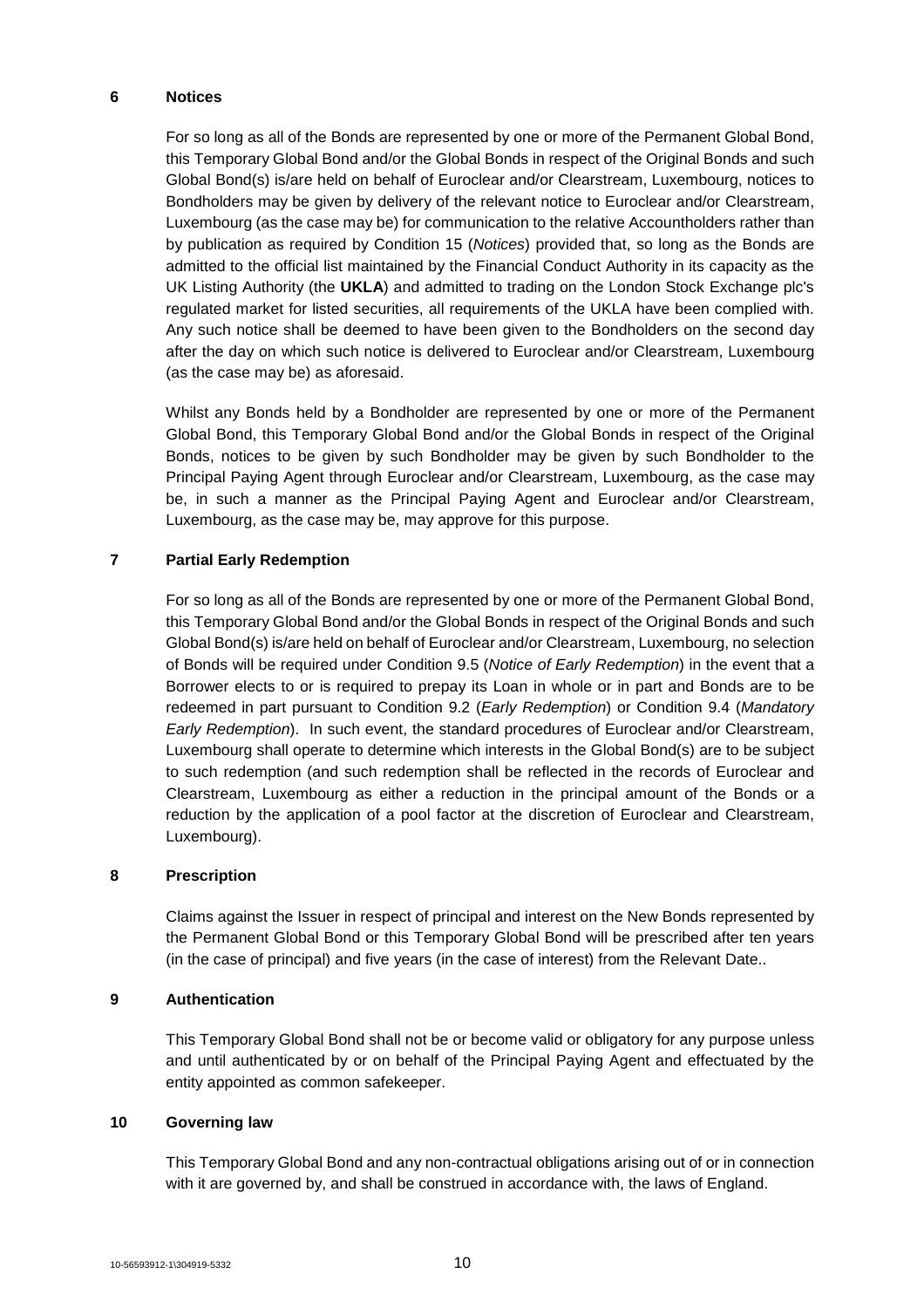## **6 Notices**

For so long as all of the Bonds are represented by one or more of the Permanent Global Bond, this Temporary Global Bond and/or the Global Bonds in respect of the Original Bonds and such Global Bond(s) is/are held on behalf of Euroclear and/or Clearstream, Luxembourg, notices to Bondholders may be given by delivery of the relevant notice to Euroclear and/or Clearstream, Luxembourg (as the case may be) for communication to the relative Accountholders rather than by publication as required by Condition 15 (*Notices*) provided that, so long as the Bonds are admitted to the official list maintained by the Financial Conduct Authority in its capacity as the UK Listing Authority (the **UKLA**) and admitted to trading on the London Stock Exchange plc's regulated market for listed securities, all requirements of the UKLA have been complied with. Any such notice shall be deemed to have been given to the Bondholders on the second day after the day on which such notice is delivered to Euroclear and/or Clearstream, Luxembourg (as the case may be) as aforesaid.

Whilst any Bonds held by a Bondholder are represented by one or more of the Permanent Global Bond, this Temporary Global Bond and/or the Global Bonds in respect of the Original Bonds, notices to be given by such Bondholder may be given by such Bondholder to the Principal Paying Agent through Euroclear and/or Clearstream, Luxembourg, as the case may be, in such a manner as the Principal Paying Agent and Euroclear and/or Clearstream, Luxembourg, as the case may be, may approve for this purpose.

## **7 Partial Early Redemption**

For so long as all of the Bonds are represented by one or more of the Permanent Global Bond, this Temporary Global Bond and/or the Global Bonds in respect of the Original Bonds and such Global Bond(s) is/are held on behalf of Euroclear and/or Clearstream, Luxembourg, no selection of Bonds will be required under Condition 9.5 (*Notice of Early Redemption*) in the event that a Borrower elects to or is required to prepay its Loan in whole or in part and Bonds are to be redeemed in part pursuant to Condition 9.2 (*Early Redemption*) or Condition 9.4 (*Mandatory Early Redemption*). In such event, the standard procedures of Euroclear and/or Clearstream, Luxembourg shall operate to determine which interests in the Global Bond(s) are to be subject to such redemption (and such redemption shall be reflected in the records of Euroclear and Clearstream, Luxembourg as either a reduction in the principal amount of the Bonds or a reduction by the application of a pool factor at the discretion of Euroclear and Clearstream, Luxembourg).

## **8 Prescription**

Claims against the Issuer in respect of principal and interest on the New Bonds represented by the Permanent Global Bond or this Temporary Global Bond will be prescribed after ten years (in the case of principal) and five years (in the case of interest) from the Relevant Date..

## **9 Authentication**

This Temporary Global Bond shall not be or become valid or obligatory for any purpose unless and until authenticated by or on behalf of the Principal Paying Agent and effectuated by the entity appointed as common safekeeper.

## **10 Governing law**

This Temporary Global Bond and any non-contractual obligations arising out of or in connection with it are governed by, and shall be construed in accordance with, the laws of England.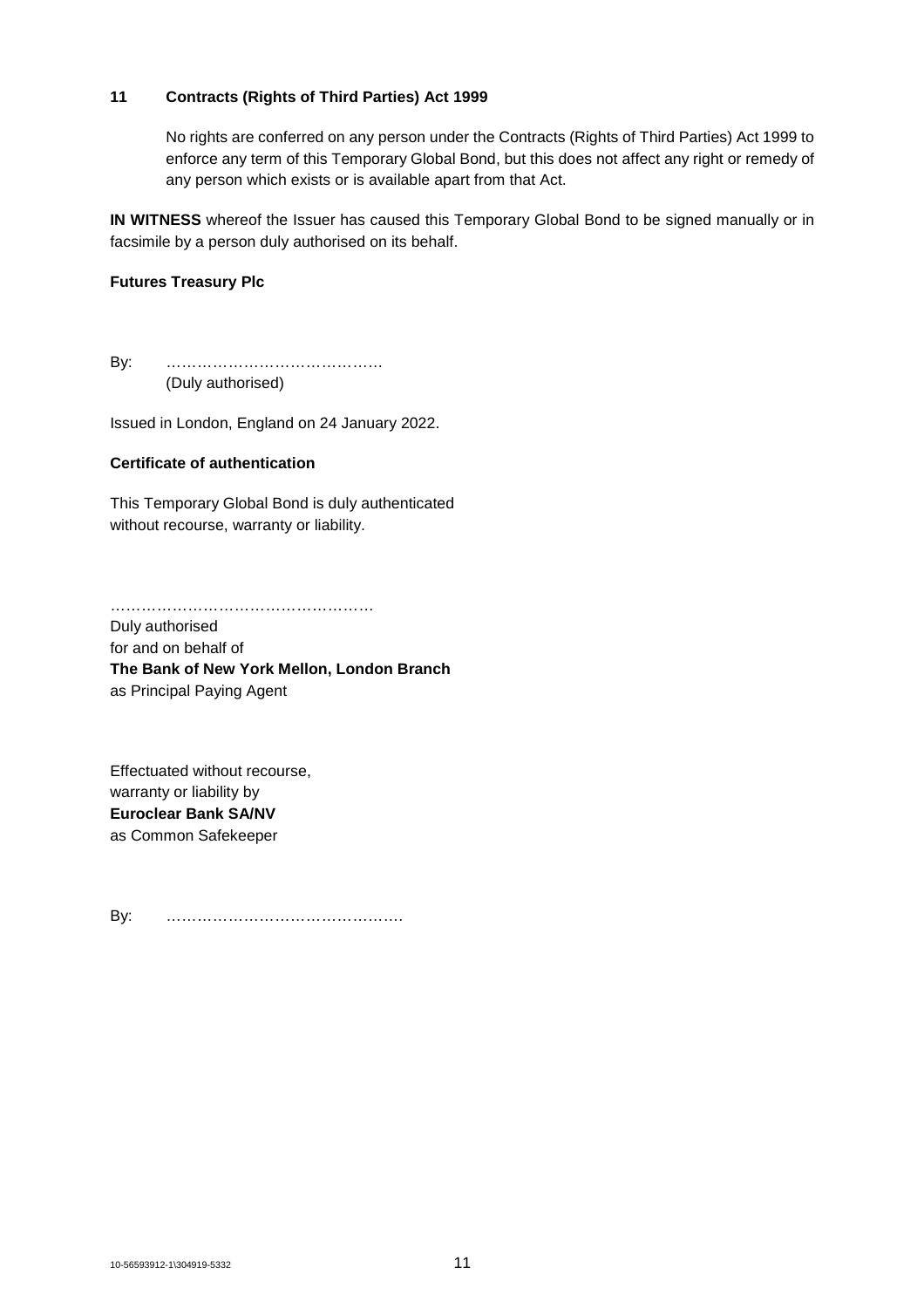## **11 Contracts (Rights of Third Parties) Act 1999**

No rights are conferred on any person under the Contracts (Rights of Third Parties) Act 1999 to enforce any term of this Temporary Global Bond, but this does not affect any right or remedy of any person which exists or is available apart from that Act.

**IN WITNESS** whereof the Issuer has caused this Temporary Global Bond to be signed manually or in facsimile by a person duly authorised on its behalf.

## **Futures Treasury Plc**

By: …………………………………… (Duly authorised)

Issued in London, England on 24 January 2022.

#### **Certificate of authentication**

This Temporary Global Bond is duly authenticated without recourse, warranty or liability.

……………………………………………

Duly authorised for and on behalf of **The Bank of New York Mellon, London Branch** as Principal Paying Agent

Effectuated without recourse, warranty or liability by **Euroclear Bank SA/NV** as Common Safekeeper

By: ……………………………………….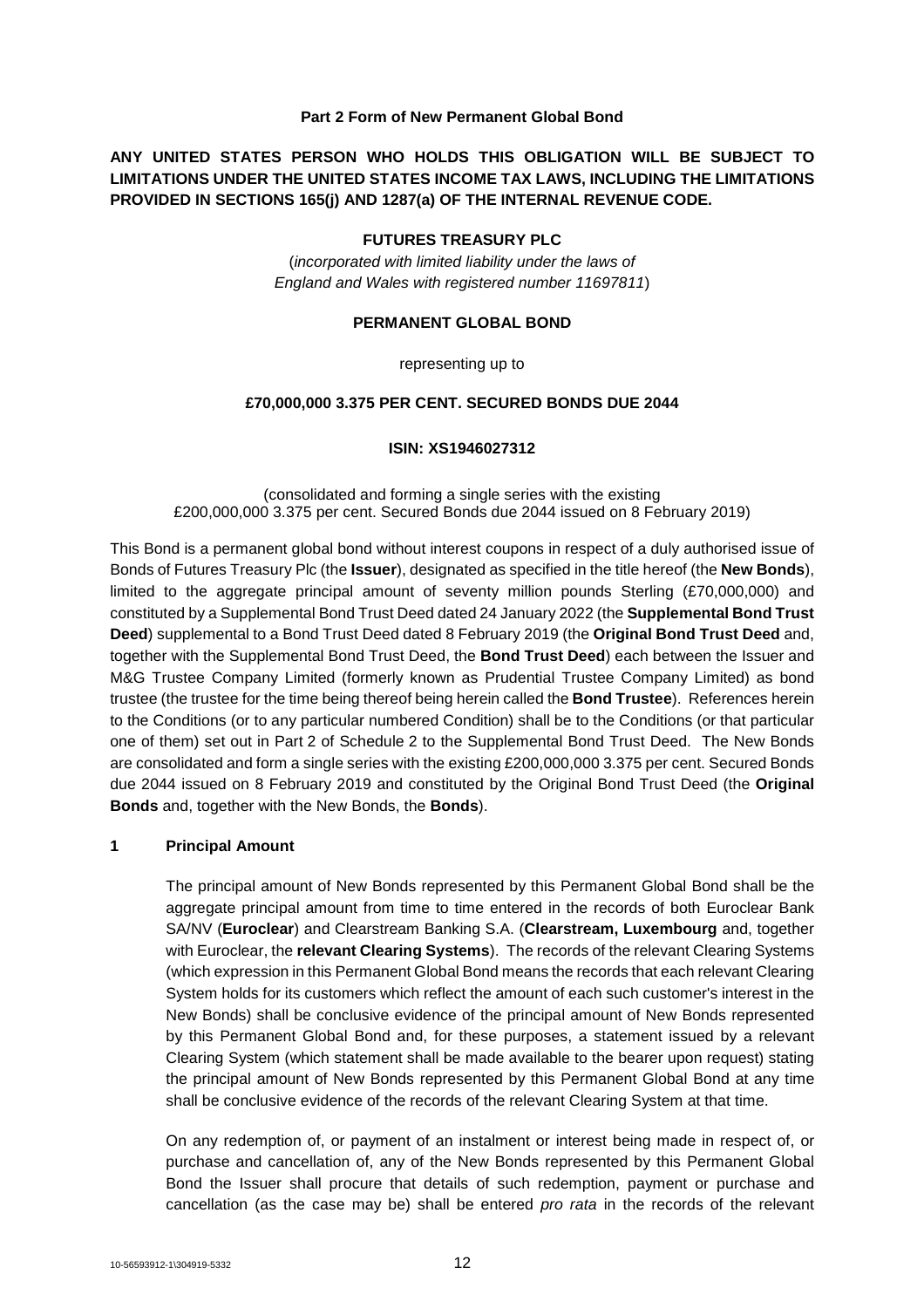## **Part 2 Form of New Permanent Global Bond**

**ANY UNITED STATES PERSON WHO HOLDS THIS OBLIGATION WILL BE SUBJECT TO LIMITATIONS UNDER THE UNITED STATES INCOME TAX LAWS, INCLUDING THE LIMITATIONS PROVIDED IN SECTIONS 165(j) AND 1287(a) OF THE INTERNAL REVENUE CODE.**

## **FUTURES TREASURY PLC**

(*incorporated with limited liability under the laws of England and Wales with registered number 11697811*)

#### **PERMANENT GLOBAL BOND**

representing up to

## **£70,000,000 3.375 PER CENT. SECURED BONDS DUE 2044**

#### **ISIN: XS1946027312**

(consolidated and forming a single series with the existing £200,000,000 3.375 per cent. Secured Bonds due 2044 issued on 8 February 2019)

This Bond is a permanent global bond without interest coupons in respect of a duly authorised issue of Bonds of Futures Treasury Plc (the **Issuer**), designated as specified in the title hereof (the **New Bonds**), limited to the aggregate principal amount of seventy million pounds Sterling (£70,000,000) and constituted by a Supplemental Bond Trust Deed dated 24 January 2022 (the **Supplemental Bond Trust Deed**) supplemental to a Bond Trust Deed dated 8 February 2019 (the **Original Bond Trust Deed** and, together with the Supplemental Bond Trust Deed, the **Bond Trust Deed**) each between the Issuer and M&G Trustee Company Limited (formerly known as Prudential Trustee Company Limited) as bond trustee (the trustee for the time being thereof being herein called the **Bond Trustee**). References herein to the Conditions (or to any particular numbered Condition) shall be to the Conditions (or that particular one of them) set out in Part 2 of Schedule 2 to the Supplemental Bond Trust Deed. The New Bonds are consolidated and form a single series with the existing £200,000,000 3.375 per cent. Secured Bonds due 2044 issued on 8 February 2019 and constituted by the Original Bond Trust Deed (the **Original Bonds** and, together with the New Bonds, the **Bonds**).

#### **1 Principal Amount**

The principal amount of New Bonds represented by this Permanent Global Bond shall be the aggregate principal amount from time to time entered in the records of both Euroclear Bank SA/NV (**Euroclear**) and Clearstream Banking S.A. (**Clearstream, Luxembourg** and, together with Euroclear, the **relevant Clearing Systems**). The records of the relevant Clearing Systems (which expression in this Permanent Global Bond means the records that each relevant Clearing System holds for its customers which reflect the amount of each such customer's interest in the New Bonds) shall be conclusive evidence of the principal amount of New Bonds represented by this Permanent Global Bond and, for these purposes, a statement issued by a relevant Clearing System (which statement shall be made available to the bearer upon request) stating the principal amount of New Bonds represented by this Permanent Global Bond at any time shall be conclusive evidence of the records of the relevant Clearing System at that time.

On any redemption of, or payment of an instalment or interest being made in respect of, or purchase and cancellation of, any of the New Bonds represented by this Permanent Global Bond the Issuer shall procure that details of such redemption, payment or purchase and cancellation (as the case may be) shall be entered *pro rata* in the records of the relevant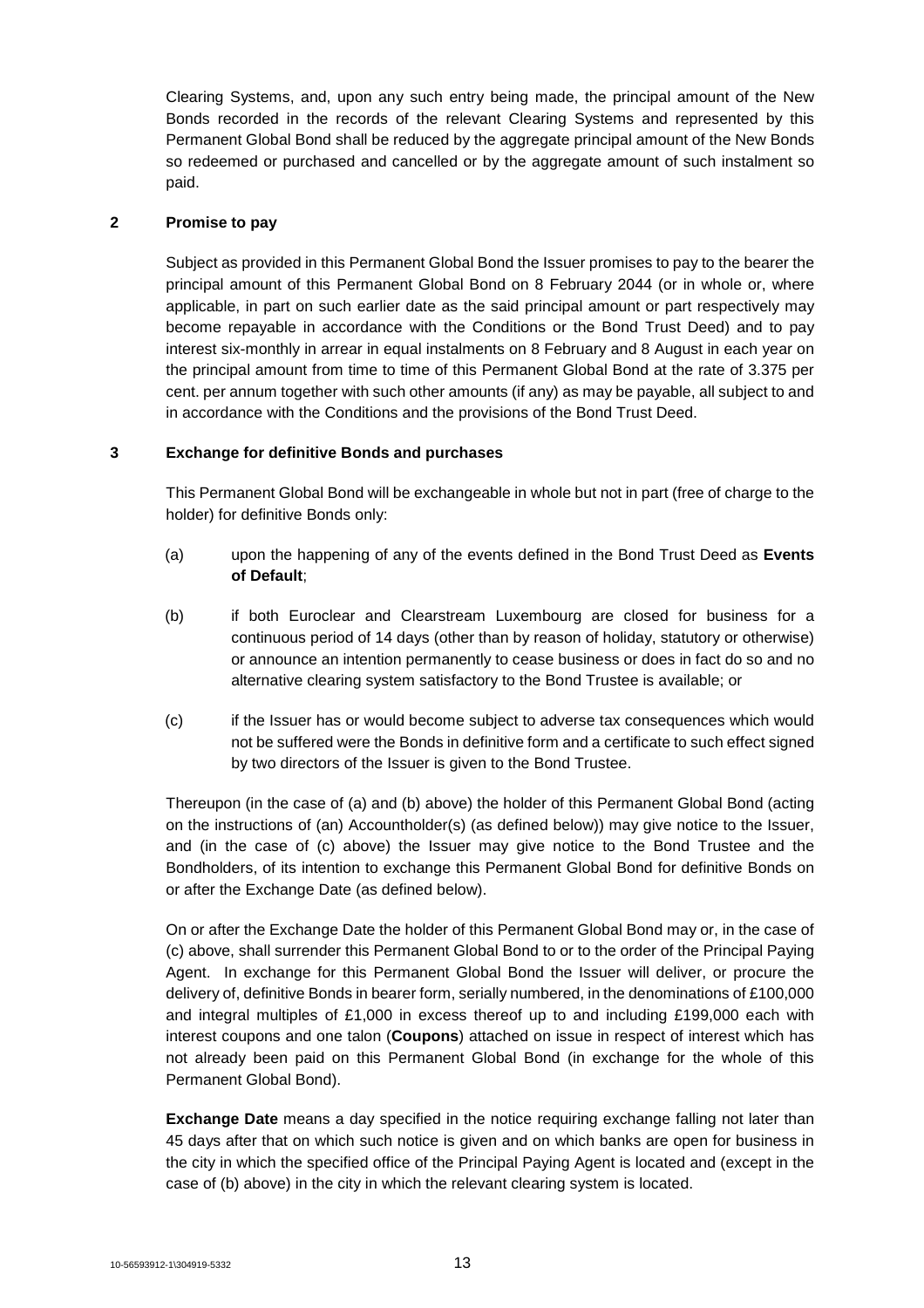Clearing Systems, and, upon any such entry being made, the principal amount of the New Bonds recorded in the records of the relevant Clearing Systems and represented by this Permanent Global Bond shall be reduced by the aggregate principal amount of the New Bonds so redeemed or purchased and cancelled or by the aggregate amount of such instalment so paid.

## **2 Promise to pay**

Subject as provided in this Permanent Global Bond the Issuer promises to pay to the bearer the principal amount of this Permanent Global Bond on 8 February 2044 (or in whole or, where applicable, in part on such earlier date as the said principal amount or part respectively may become repayable in accordance with the Conditions or the Bond Trust Deed) and to pay interest six-monthly in arrear in equal instalments on 8 February and 8 August in each year on the principal amount from time to time of this Permanent Global Bond at the rate of 3.375 per cent. per annum together with such other amounts (if any) as may be payable, all subject to and in accordance with the Conditions and the provisions of the Bond Trust Deed.

## **3 Exchange for definitive Bonds and purchases**

This Permanent Global Bond will be exchangeable in whole but not in part (free of charge to the holder) for definitive Bonds only:

- (a) upon the happening of any of the events defined in the Bond Trust Deed as **Events of Default**;
- (b) if both Euroclear and Clearstream Luxembourg are closed for business for a continuous period of 14 days (other than by reason of holiday, statutory or otherwise) or announce an intention permanently to cease business or does in fact do so and no alternative clearing system satisfactory to the Bond Trustee is available; or
- (c) if the Issuer has or would become subject to adverse tax consequences which would not be suffered were the Bonds in definitive form and a certificate to such effect signed by two directors of the Issuer is given to the Bond Trustee.

Thereupon (in the case of (a) and (b) above) the holder of this Permanent Global Bond (acting on the instructions of (an) Accountholder(s) (as defined below)) may give notice to the Issuer, and (in the case of (c) above) the Issuer may give notice to the Bond Trustee and the Bondholders, of its intention to exchange this Permanent Global Bond for definitive Bonds on or after the Exchange Date (as defined below).

On or after the Exchange Date the holder of this Permanent Global Bond may or, in the case of (c) above, shall surrender this Permanent Global Bond to or to the order of the Principal Paying Agent. In exchange for this Permanent Global Bond the Issuer will deliver, or procure the delivery of, definitive Bonds in bearer form, serially numbered, in the denominations of £100,000 and integral multiples of £1,000 in excess thereof up to and including £199,000 each with interest coupons and one talon (**Coupons**) attached on issue in respect of interest which has not already been paid on this Permanent Global Bond (in exchange for the whole of this Permanent Global Bond).

**Exchange Date** means a day specified in the notice requiring exchange falling not later than 45 days after that on which such notice is given and on which banks are open for business in the city in which the specified office of the Principal Paying Agent is located and (except in the case of (b) above) in the city in which the relevant clearing system is located.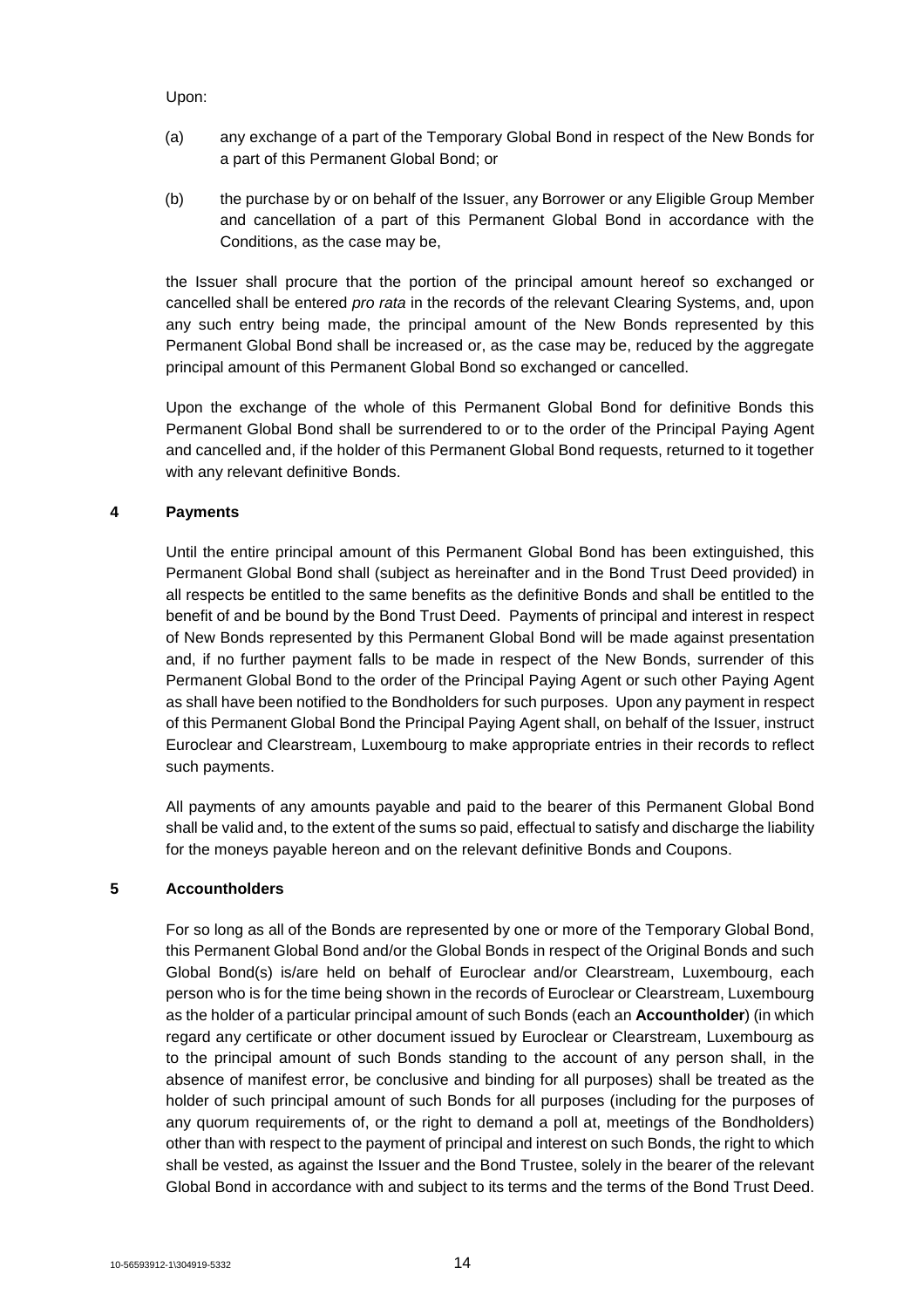Upon:

- (a) any exchange of a part of the Temporary Global Bond in respect of the New Bonds for a part of this Permanent Global Bond; or
- (b) the purchase by or on behalf of the Issuer, any Borrower or any Eligible Group Member and cancellation of a part of this Permanent Global Bond in accordance with the Conditions, as the case may be,

the Issuer shall procure that the portion of the principal amount hereof so exchanged or cancelled shall be entered *pro rata* in the records of the relevant Clearing Systems, and, upon any such entry being made, the principal amount of the New Bonds represented by this Permanent Global Bond shall be increased or, as the case may be, reduced by the aggregate principal amount of this Permanent Global Bond so exchanged or cancelled.

Upon the exchange of the whole of this Permanent Global Bond for definitive Bonds this Permanent Global Bond shall be surrendered to or to the order of the Principal Paying Agent and cancelled and, if the holder of this Permanent Global Bond requests, returned to it together with any relevant definitive Bonds.

## **4 Payments**

Until the entire principal amount of this Permanent Global Bond has been extinguished, this Permanent Global Bond shall (subject as hereinafter and in the Bond Trust Deed provided) in all respects be entitled to the same benefits as the definitive Bonds and shall be entitled to the benefit of and be bound by the Bond Trust Deed. Payments of principal and interest in respect of New Bonds represented by this Permanent Global Bond will be made against presentation and, if no further payment falls to be made in respect of the New Bonds, surrender of this Permanent Global Bond to the order of the Principal Paying Agent or such other Paying Agent as shall have been notified to the Bondholders for such purposes. Upon any payment in respect of this Permanent Global Bond the Principal Paying Agent shall, on behalf of the Issuer, instruct Euroclear and Clearstream, Luxembourg to make appropriate entries in their records to reflect such payments.

All payments of any amounts payable and paid to the bearer of this Permanent Global Bond shall be valid and, to the extent of the sums so paid, effectual to satisfy and discharge the liability for the moneys payable hereon and on the relevant definitive Bonds and Coupons.

## **5 Accountholders**

For so long as all of the Bonds are represented by one or more of the Temporary Global Bond, this Permanent Global Bond and/or the Global Bonds in respect of the Original Bonds and such Global Bond(s) is/are held on behalf of Euroclear and/or Clearstream, Luxembourg, each person who is for the time being shown in the records of Euroclear or Clearstream, Luxembourg as the holder of a particular principal amount of such Bonds (each an **Accountholder**) (in which regard any certificate or other document issued by Euroclear or Clearstream, Luxembourg as to the principal amount of such Bonds standing to the account of any person shall, in the absence of manifest error, be conclusive and binding for all purposes) shall be treated as the holder of such principal amount of such Bonds for all purposes (including for the purposes of any quorum requirements of, or the right to demand a poll at, meetings of the Bondholders) other than with respect to the payment of principal and interest on such Bonds, the right to which shall be vested, as against the Issuer and the Bond Trustee, solely in the bearer of the relevant Global Bond in accordance with and subject to its terms and the terms of the Bond Trust Deed.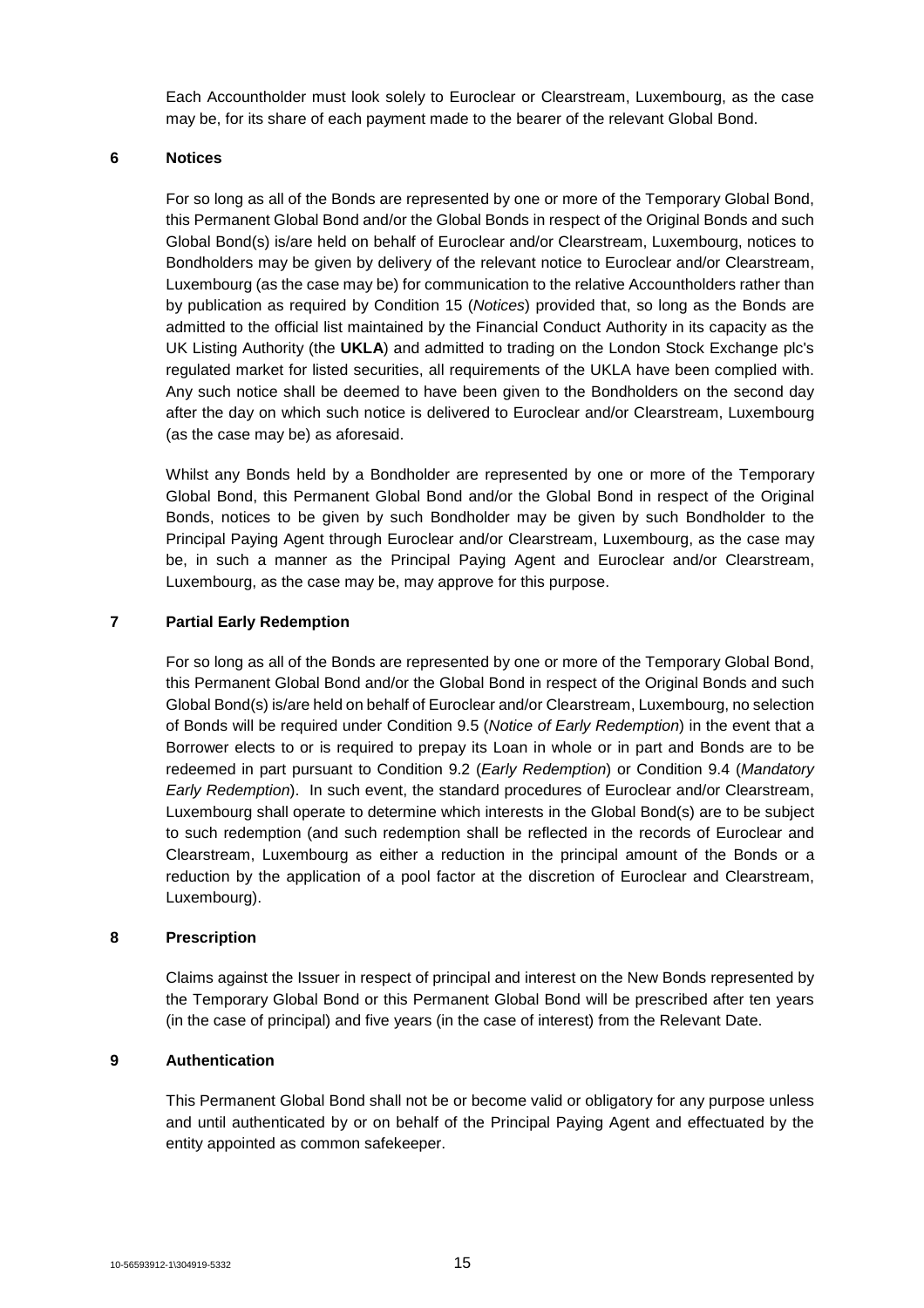Each Accountholder must look solely to Euroclear or Clearstream, Luxembourg, as the case may be, for its share of each payment made to the bearer of the relevant Global Bond.

## **6 Notices**

For so long as all of the Bonds are represented by one or more of the Temporary Global Bond, this Permanent Global Bond and/or the Global Bonds in respect of the Original Bonds and such Global Bond(s) is/are held on behalf of Euroclear and/or Clearstream, Luxembourg, notices to Bondholders may be given by delivery of the relevant notice to Euroclear and/or Clearstream, Luxembourg (as the case may be) for communication to the relative Accountholders rather than by publication as required by Condition 15 (*Notices*) provided that, so long as the Bonds are admitted to the official list maintained by the Financial Conduct Authority in its capacity as the UK Listing Authority (the **UKLA**) and admitted to trading on the London Stock Exchange plc's regulated market for listed securities, all requirements of the UKLA have been complied with. Any such notice shall be deemed to have been given to the Bondholders on the second day after the day on which such notice is delivered to Euroclear and/or Clearstream, Luxembourg (as the case may be) as aforesaid.

Whilst any Bonds held by a Bondholder are represented by one or more of the Temporary Global Bond, this Permanent Global Bond and/or the Global Bond in respect of the Original Bonds, notices to be given by such Bondholder may be given by such Bondholder to the Principal Paying Agent through Euroclear and/or Clearstream, Luxembourg, as the case may be, in such a manner as the Principal Paying Agent and Euroclear and/or Clearstream, Luxembourg, as the case may be, may approve for this purpose.

## **7 Partial Early Redemption**

For so long as all of the Bonds are represented by one or more of the Temporary Global Bond, this Permanent Global Bond and/or the Global Bond in respect of the Original Bonds and such Global Bond(s) is/are held on behalf of Euroclear and/or Clearstream, Luxembourg, no selection of Bonds will be required under Condition 9.5 (*Notice of Early Redemption*) in the event that a Borrower elects to or is required to prepay its Loan in whole or in part and Bonds are to be redeemed in part pursuant to Condition 9.2 (*Early Redemption*) or Condition 9.4 (*Mandatory Early Redemption*). In such event, the standard procedures of Euroclear and/or Clearstream, Luxembourg shall operate to determine which interests in the Global Bond(s) are to be subject to such redemption (and such redemption shall be reflected in the records of Euroclear and Clearstream, Luxembourg as either a reduction in the principal amount of the Bonds or a reduction by the application of a pool factor at the discretion of Euroclear and Clearstream, Luxembourg).

#### **8 Prescription**

Claims against the Issuer in respect of principal and interest on the New Bonds represented by the Temporary Global Bond or this Permanent Global Bond will be prescribed after ten years (in the case of principal) and five years (in the case of interest) from the Relevant Date.

## **9 Authentication**

This Permanent Global Bond shall not be or become valid or obligatory for any purpose unless and until authenticated by or on behalf of the Principal Paying Agent and effectuated by the entity appointed as common safekeeper.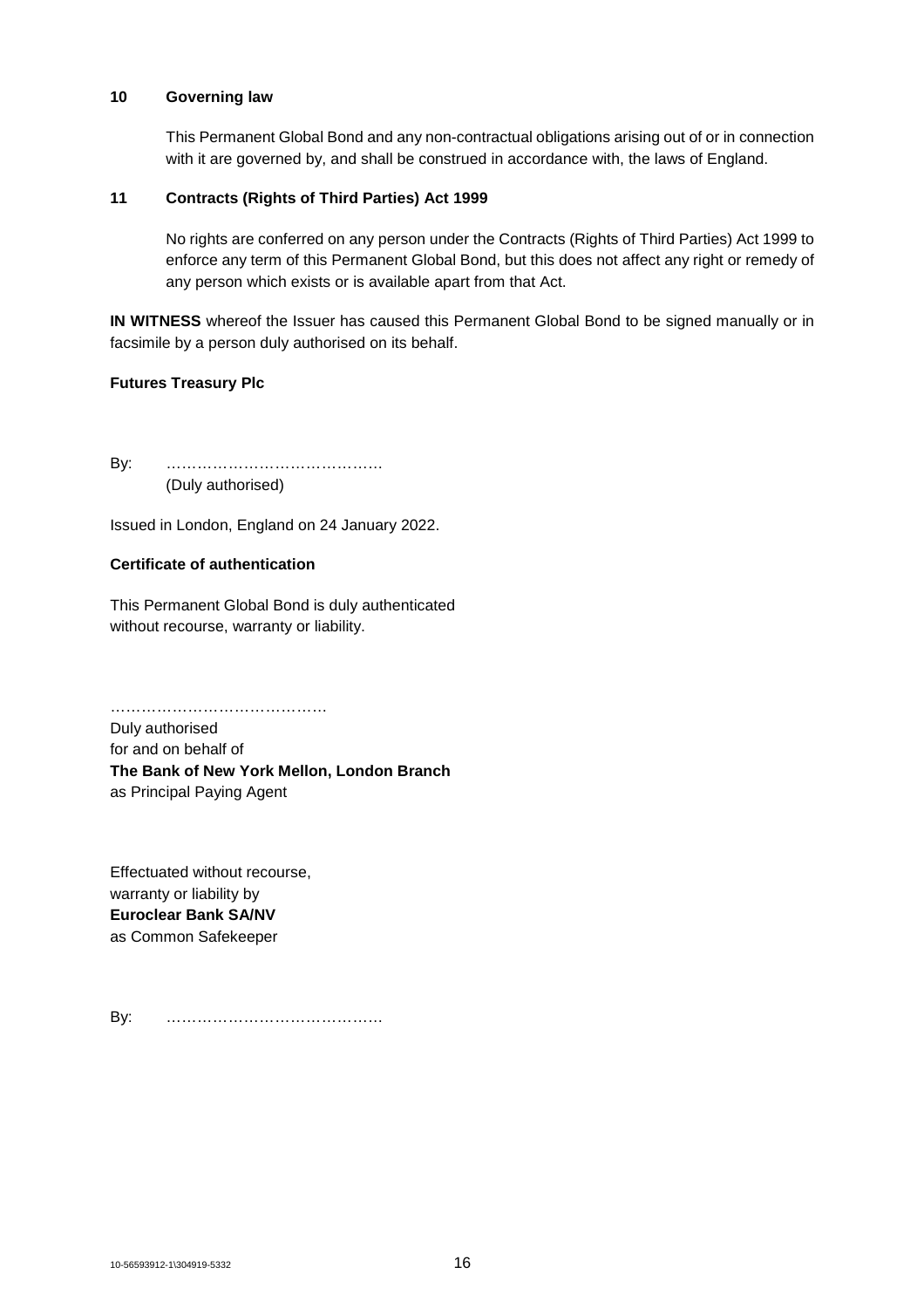#### **10 Governing law**

This Permanent Global Bond and any non-contractual obligations arising out of or in connection with it are governed by, and shall be construed in accordance with, the laws of England.

## **11 Contracts (Rights of Third Parties) Act 1999**

No rights are conferred on any person under the Contracts (Rights of Third Parties) Act 1999 to enforce any term of this Permanent Global Bond, but this does not affect any right or remedy of any person which exists or is available apart from that Act.

**IN WITNESS** whereof the Issuer has caused this Permanent Global Bond to be signed manually or in facsimile by a person duly authorised on its behalf.

## **Futures Treasury Plc**

By: …………………………………… (Duly authorised)

Issued in London, England on 24 January 2022.

## **Certificate of authentication**

This Permanent Global Bond is duly authenticated without recourse, warranty or liability.

…………………………………… Duly authorised for and on behalf of **The Bank of New York Mellon, London Branch** as Principal Paying Agent

Effectuated without recourse, warranty or liability by **Euroclear Bank SA/NV** as Common Safekeeper

By: ……………………………………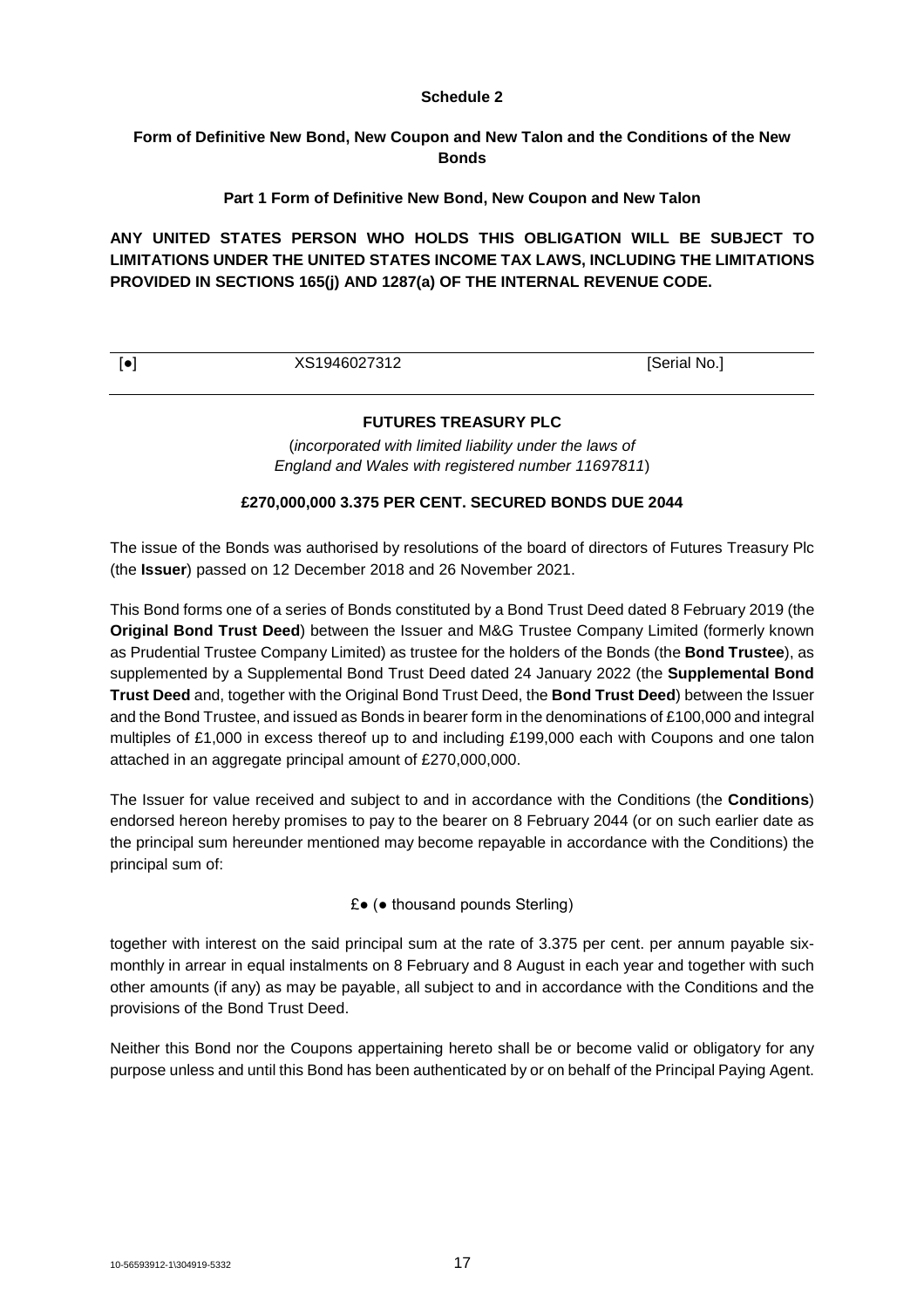## **Schedule 2**

## **Form of Definitive New Bond, New Coupon and New Talon and the Conditions of the New Bonds**

## **Part 1 Form of Definitive New Bond, New Coupon and New Talon**

**ANY UNITED STATES PERSON WHO HOLDS THIS OBLIGATION WILL BE SUBJECT TO LIMITATIONS UNDER THE UNITED STATES INCOME TAX LAWS, INCLUDING THE LIMITATIONS PROVIDED IN SECTIONS 165(j) AND 1287(a) OF THE INTERNAL REVENUE CODE.**

| XS1946027312 |                     |
|--------------|---------------------|
|              | <b>Serial No.</b> , |

## **FUTURES TREASURY PLC**

(*incorporated with limited liability under the laws of England and Wales with registered number 11697811*)

## **£270,000,000 3.375 PER CENT. SECURED BONDS DUE 2044**

The issue of the Bonds was authorised by resolutions of the board of directors of Futures Treasury Plc (the **Issuer**) passed on 12 December 2018 and 26 November 2021.

This Bond forms one of a series of Bonds constituted by a Bond Trust Deed dated 8 February 2019 (the **Original Bond Trust Deed**) between the Issuer and M&G Trustee Company Limited (formerly known as Prudential Trustee Company Limited) as trustee for the holders of the Bonds (the **Bond Trustee**), as supplemented by a Supplemental Bond Trust Deed dated 24 January 2022 (the **Supplemental Bond Trust Deed** and, together with the Original Bond Trust Deed, the **Bond Trust Deed**) between the Issuer and the Bond Trustee, and issued as Bonds in bearer form in the denominations of £100,000 and integral multiples of £1,000 in excess thereof up to and including £199,000 each with Coupons and one talon attached in an aggregate principal amount of £270,000,000.

The Issuer for value received and subject to and in accordance with the Conditions (the **Conditions**) endorsed hereon hereby promises to pay to the bearer on 8 February 2044 (or on such earlier date as the principal sum hereunder mentioned may become repayable in accordance with the Conditions) the principal sum of:

£● (● thousand pounds Sterling)

together with interest on the said principal sum at the rate of 3.375 per cent. per annum payable sixmonthly in arrear in equal instalments on 8 February and 8 August in each year and together with such other amounts (if any) as may be payable, all subject to and in accordance with the Conditions and the provisions of the Bond Trust Deed.

Neither this Bond nor the Coupons appertaining hereto shall be or become valid or obligatory for any purpose unless and until this Bond has been authenticated by or on behalf of the Principal Paying Agent.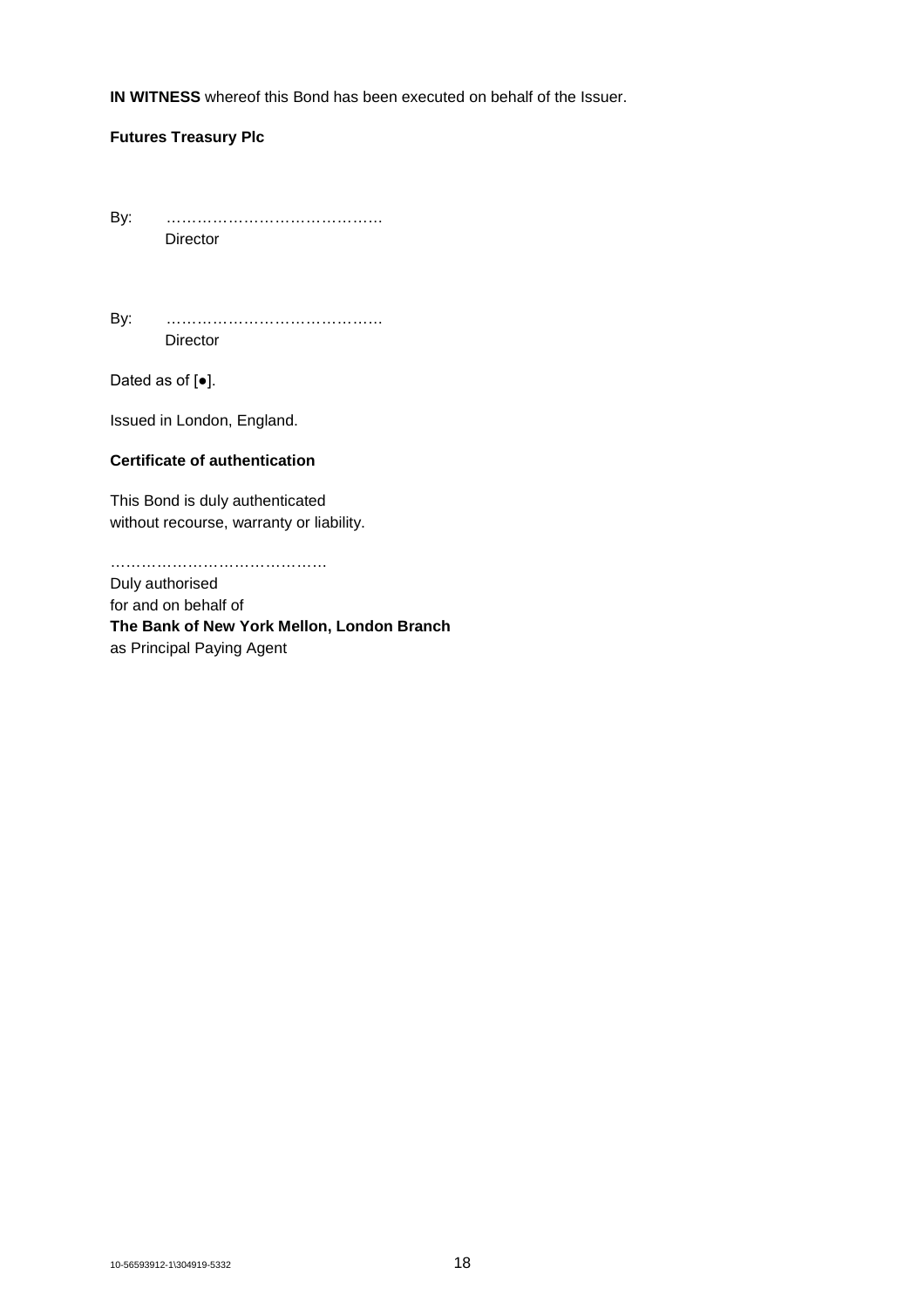**IN WITNESS** whereof this Bond has been executed on behalf of the Issuer.

## **Futures Treasury Plc**

By: …………………………………… Director

By: …………………………………… Director

Dated as of [●].

Issued in London, England.

## **Certificate of authentication**

This Bond is duly authenticated without recourse, warranty or liability.

……………………………………

Duly authorised for and on behalf of **The Bank of New York Mellon, London Branch** as Principal Paying Agent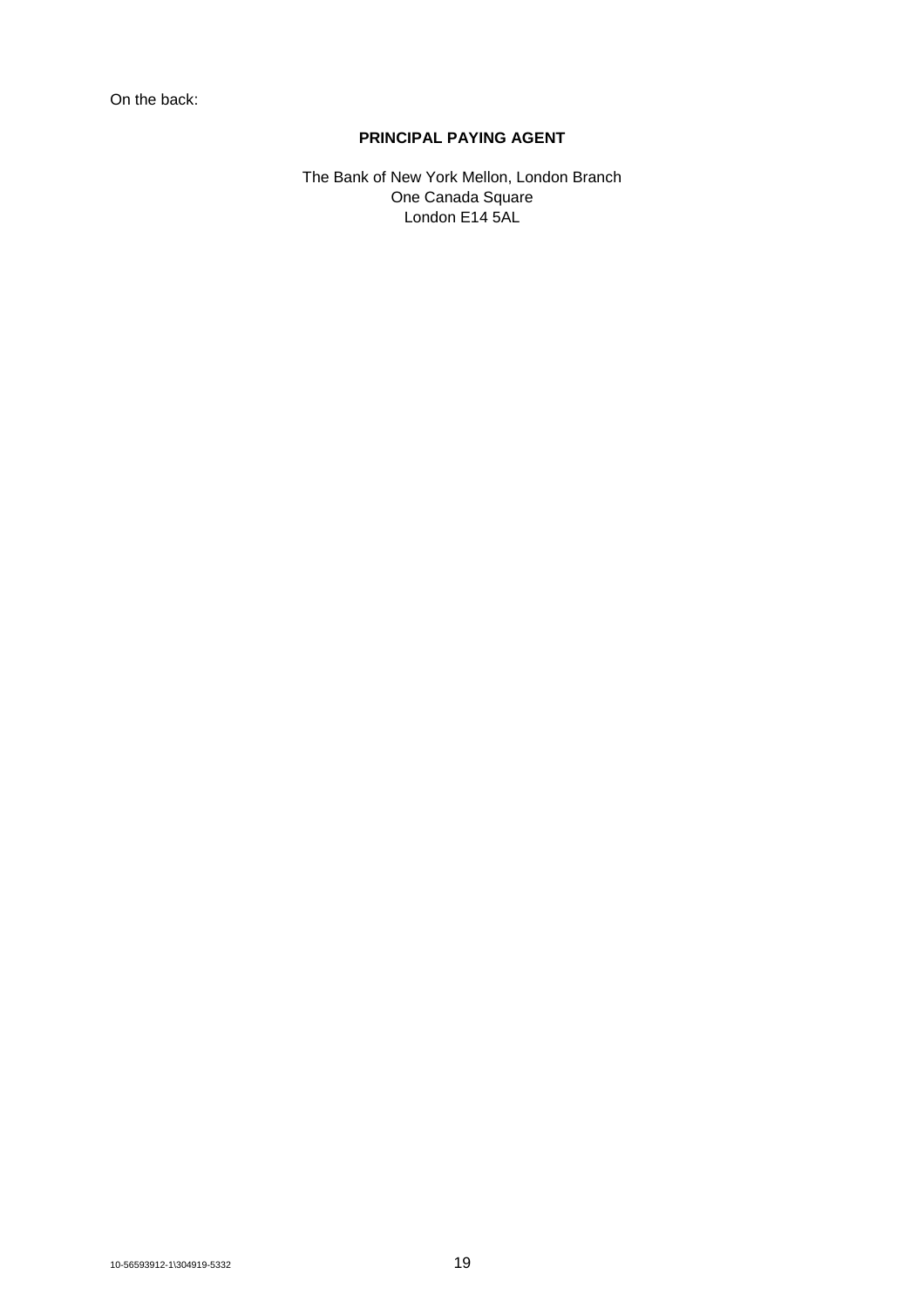On the back:

## **PRINCIPAL PAYING AGENT**

The Bank of New York Mellon, London Branch One Canada Square London E14 5AL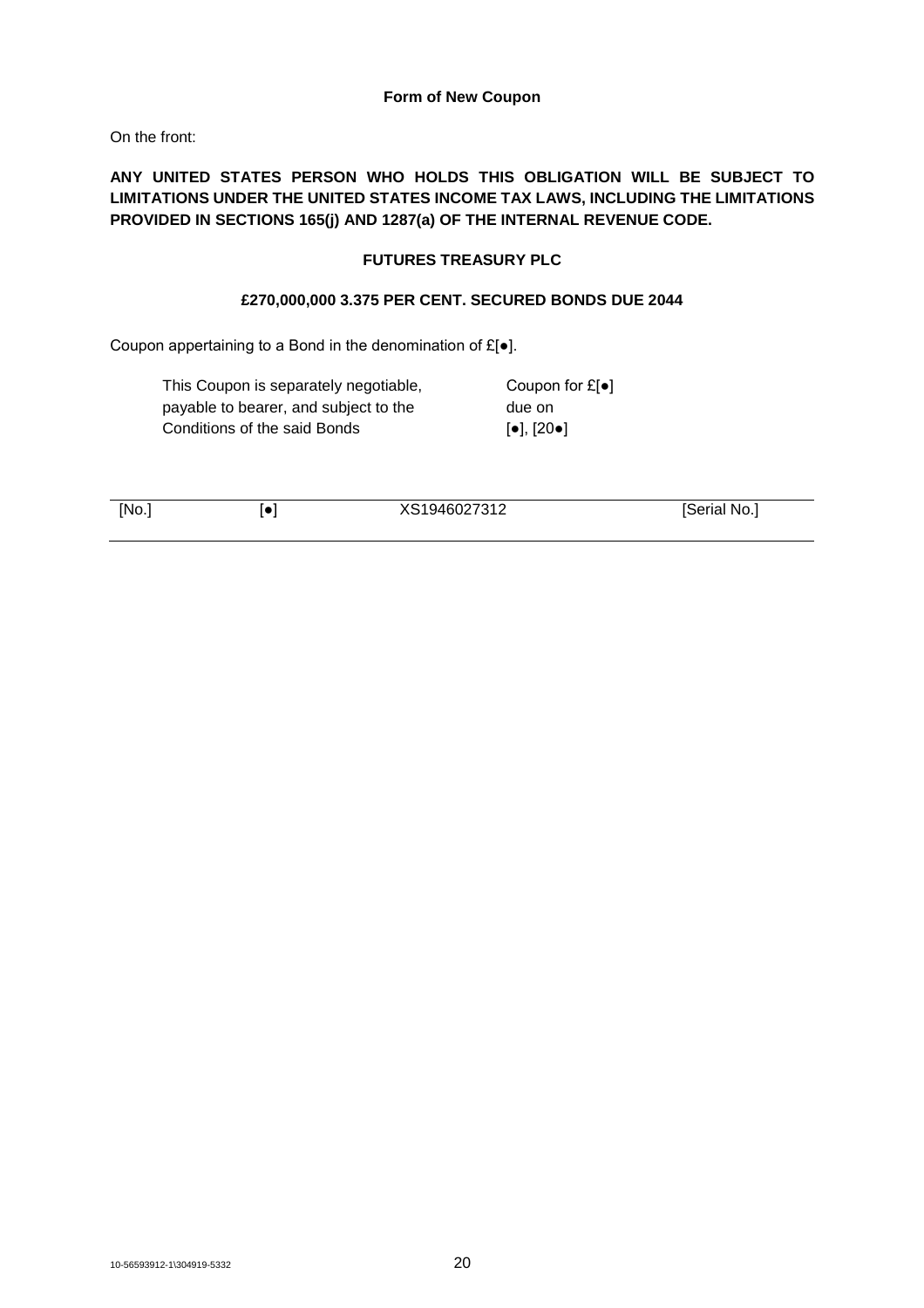## **Form of New Coupon**

On the front:

## **ANY UNITED STATES PERSON WHO HOLDS THIS OBLIGATION WILL BE SUBJECT TO LIMITATIONS UNDER THE UNITED STATES INCOME TAX LAWS, INCLUDING THE LIMITATIONS PROVIDED IN SECTIONS 165(j) AND 1287(a) OF THE INTERNAL REVENUE CODE.**

## **FUTURES TREASURY PLC**

## **£270,000,000 3.375 PER CENT. SECURED BONDS DUE 2044**

Coupon appertaining to a Bond in the denomination of £[●].

| This Coupon is separately negotiable, | Coupon for $E[\bullet]$                              |
|---------------------------------------|------------------------------------------------------|
| payable to bearer, and subject to the | due on                                               |
| Conditions of the said Bonds          | $\lceil \bullet \rceil$ , $\lceil 20 \bullet \rceil$ |

[No.] [●] XS1946027312 [Serial No.]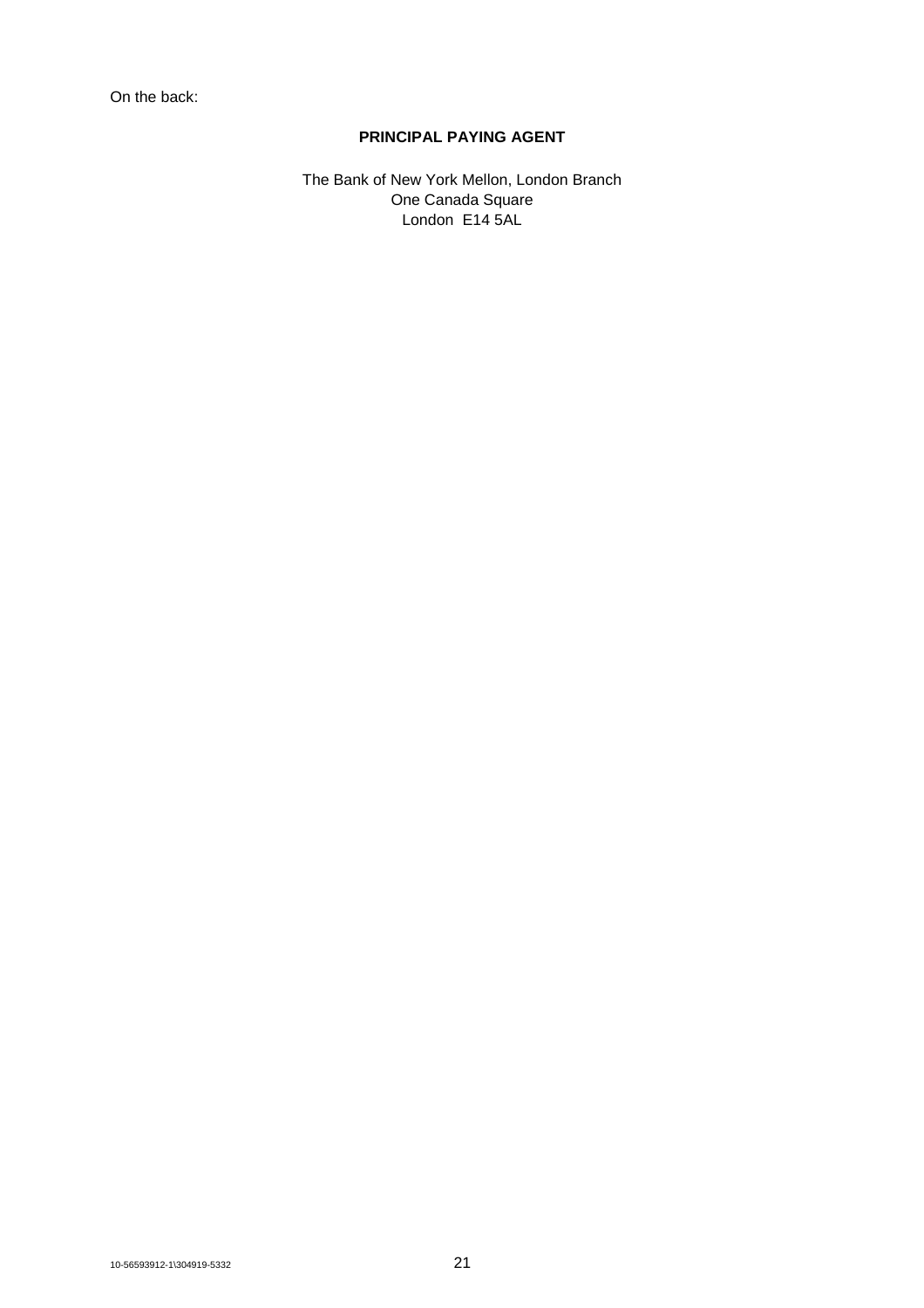## **PRINCIPAL PAYING AGENT**

The Bank of New York Mellon, London Branch One Canada Square London E14 5AL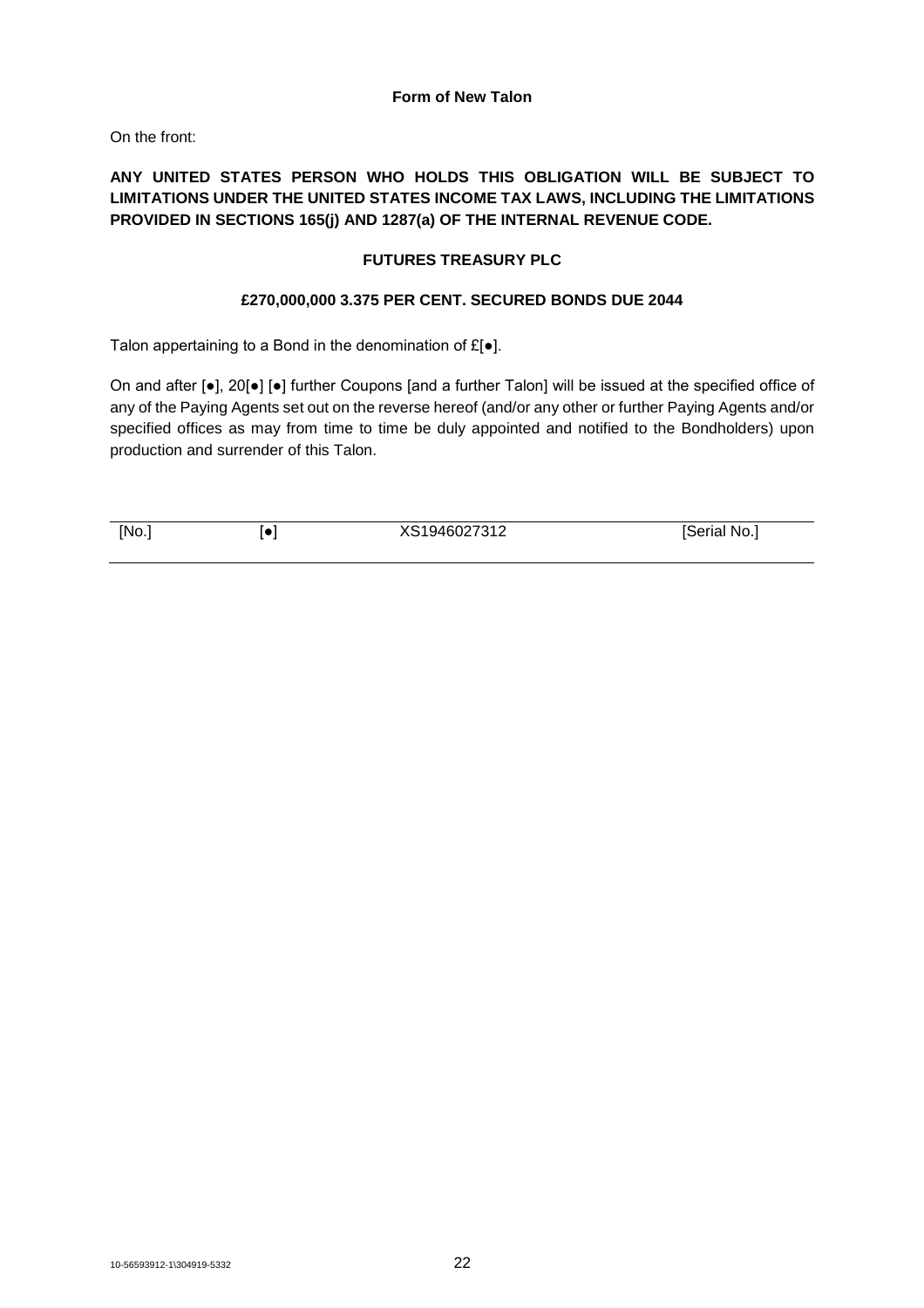## **Form of New Talon**

On the front:

## **ANY UNITED STATES PERSON WHO HOLDS THIS OBLIGATION WILL BE SUBJECT TO LIMITATIONS UNDER THE UNITED STATES INCOME TAX LAWS, INCLUDING THE LIMITATIONS PROVIDED IN SECTIONS 165(j) AND 1287(a) OF THE INTERNAL REVENUE CODE.**

## **FUTURES TREASURY PLC**

## **£270,000,000 3.375 PER CENT. SECURED BONDS DUE 2044**

Talon appertaining to a Bond in the denomination of £[●].

On and after [●], 20[●] [●] further Coupons [and a further Talon] will be issued at the specified office of any of the Paying Agents set out on the reverse hereof (and/or any other or further Paying Agents and/or specified offices as may from time to time be duly appointed and notified to the Bondholders) upon production and surrender of this Talon.

[No.] [ $\bullet$ ] [ $\bullet$ ]  $XS1946027312$  [Serial No.]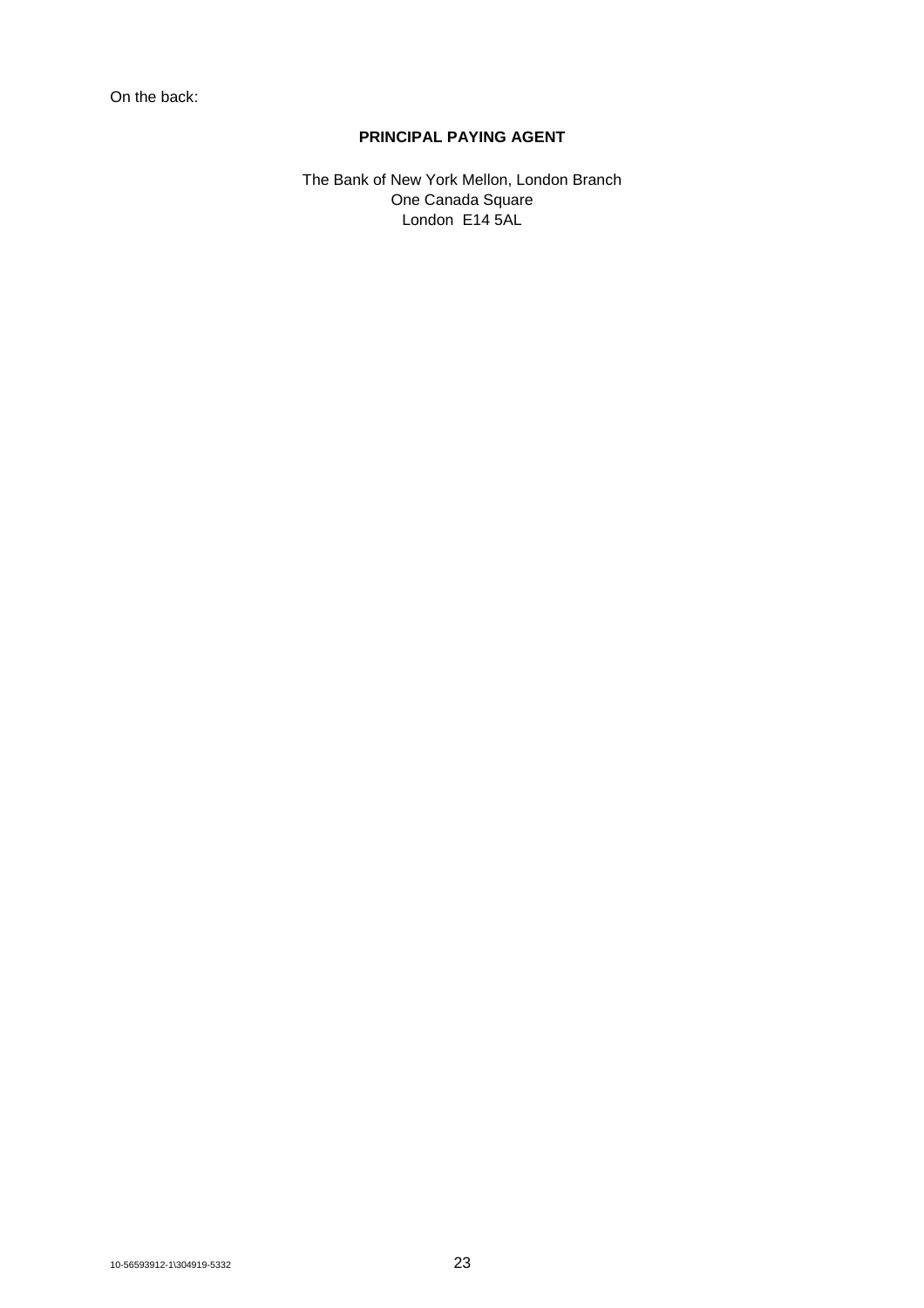## **PRINCIPAL PAYING AGENT**

The Bank of New York Mellon, London Branch One Canada Square London E14 5AL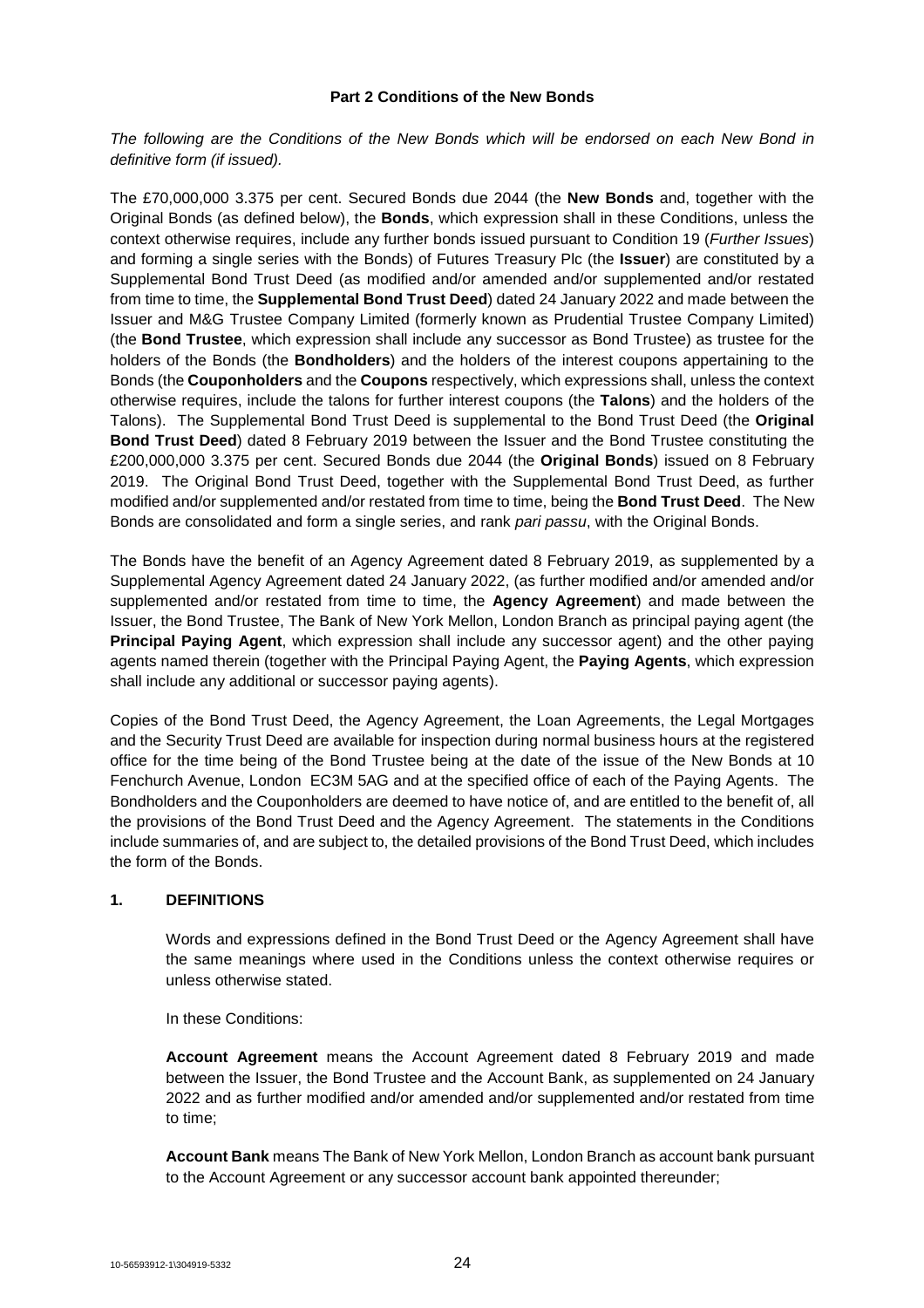## **Part 2 Conditions of the New Bonds**

*The following are the Conditions of the New Bonds which will be endorsed on each New Bond in definitive form (if issued).*

The £70,000,000 3.375 per cent. Secured Bonds due 2044 (the **New Bonds** and, together with the Original Bonds (as defined below), the **Bonds**, which expression shall in these Conditions, unless the context otherwise requires, include any further bonds issued pursuant to Condition 19 (*Further Issues*) and forming a single series with the Bonds) of Futures Treasury Plc (the **Issuer**) are constituted by a Supplemental Bond Trust Deed (as modified and/or amended and/or supplemented and/or restated from time to time, the **Supplemental Bond Trust Deed**) dated 24 January 2022 and made between the Issuer and M&G Trustee Company Limited (formerly known as Prudential Trustee Company Limited) (the **Bond Trustee**, which expression shall include any successor as Bond Trustee) as trustee for the holders of the Bonds (the **Bondholders**) and the holders of the interest coupons appertaining to the Bonds (the **Couponholders** and the **Coupons** respectively, which expressions shall, unless the context otherwise requires, include the talons for further interest coupons (the **Talons**) and the holders of the Talons). The Supplemental Bond Trust Deed is supplemental to the Bond Trust Deed (the **Original Bond Trust Deed**) dated 8 February 2019 between the Issuer and the Bond Trustee constituting the £200,000,000 3.375 per cent. Secured Bonds due 2044 (the **Original Bonds**) issued on 8 February 2019. The Original Bond Trust Deed, together with the Supplemental Bond Trust Deed, as further modified and/or supplemented and/or restated from time to time, being the **Bond Trust Deed**. The New Bonds are consolidated and form a single series, and rank *pari passu*, with the Original Bonds.

The Bonds have the benefit of an Agency Agreement dated 8 February 2019, as supplemented by a Supplemental Agency Agreement dated 24 January 2022, (as further modified and/or amended and/or supplemented and/or restated from time to time, the **Agency Agreement**) and made between the Issuer, the Bond Trustee, The Bank of New York Mellon, London Branch as principal paying agent (the **Principal Paying Agent**, which expression shall include any successor agent) and the other paying agents named therein (together with the Principal Paying Agent, the **Paying Agents**, which expression shall include any additional or successor paying agents).

Copies of the Bond Trust Deed, the Agency Agreement, the Loan Agreements, the Legal Mortgages and the Security Trust Deed are available for inspection during normal business hours at the registered office for the time being of the Bond Trustee being at the date of the issue of the New Bonds at 10 Fenchurch Avenue, London EC3M 5AG and at the specified office of each of the Paying Agents. The Bondholders and the Couponholders are deemed to have notice of, and are entitled to the benefit of, all the provisions of the Bond Trust Deed and the Agency Agreement. The statements in the Conditions include summaries of, and are subject to, the detailed provisions of the Bond Trust Deed, which includes the form of the Bonds.

## **1. DEFINITIONS**

Words and expressions defined in the Bond Trust Deed or the Agency Agreement shall have the same meanings where used in the Conditions unless the context otherwise requires or unless otherwise stated.

In these Conditions:

**Account Agreement** means the Account Agreement dated 8 February 2019 and made between the Issuer, the Bond Trustee and the Account Bank, as supplemented on 24 January 2022 and as further modified and/or amended and/or supplemented and/or restated from time to time;

**Account Bank** means The Bank of New York Mellon, London Branch as account bank pursuant to the Account Agreement or any successor account bank appointed thereunder;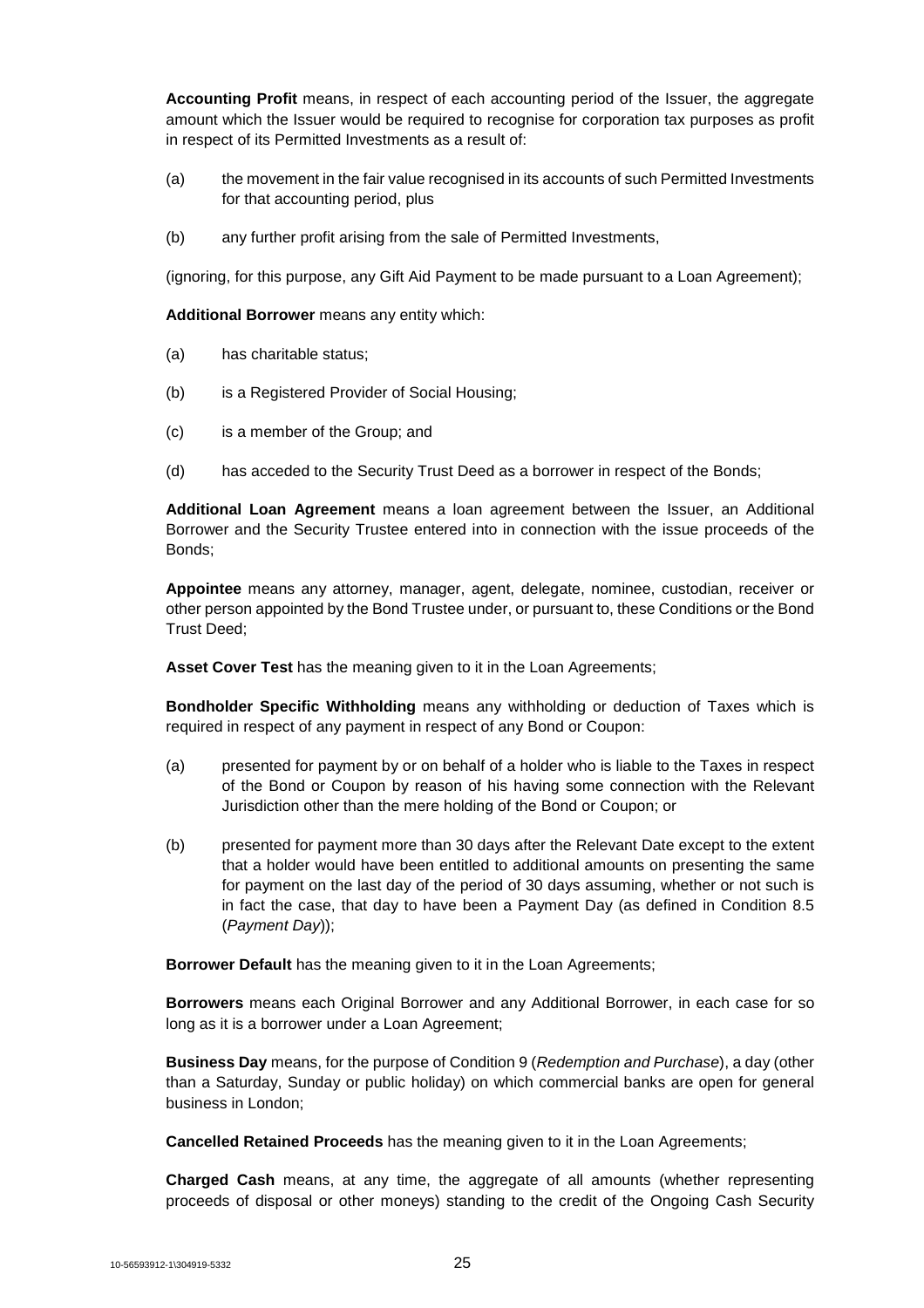**Accounting Profit** means, in respect of each accounting period of the Issuer, the aggregate amount which the Issuer would be required to recognise for corporation tax purposes as profit in respect of its Permitted Investments as a result of:

- (a) the movement in the fair value recognised in its accounts of such Permitted Investments for that accounting period, plus
- (b) any further profit arising from the sale of Permitted Investments,

(ignoring, for this purpose, any Gift Aid Payment to be made pursuant to a Loan Agreement);

**Additional Borrower** means any entity which:

- (a) has charitable status;
- (b) is a Registered Provider of Social Housing;
- (c) is a member of the Group; and
- (d) has acceded to the Security Trust Deed as a borrower in respect of the Bonds;

**Additional Loan Agreement** means a loan agreement between the Issuer, an Additional Borrower and the Security Trustee entered into in connection with the issue proceeds of the Bonds;

**Appointee** means any attorney, manager, agent, delegate, nominee, custodian, receiver or other person appointed by the Bond Trustee under, or pursuant to, these Conditions or the Bond Trust Deed;

**Asset Cover Test** has the meaning given to it in the Loan Agreements;

**Bondholder Specific Withholding** means any withholding or deduction of Taxes which is required in respect of any payment in respect of any Bond or Coupon:

- (a) presented for payment by or on behalf of a holder who is liable to the Taxes in respect of the Bond or Coupon by reason of his having some connection with the Relevant Jurisdiction other than the mere holding of the Bond or Coupon; or
- (b) presented for payment more than 30 days after the Relevant Date except to the extent that a holder would have been entitled to additional amounts on presenting the same for payment on the last day of the period of 30 days assuming, whether or not such is in fact the case, that day to have been a Payment Day (as defined in Condition 8.5 (*Payment Day*));

**Borrower Default** has the meaning given to it in the Loan Agreements;

**Borrowers** means each Original Borrower and any Additional Borrower, in each case for so long as it is a borrower under a Loan Agreement;

**Business Day** means, for the purpose of Condition 9 (*Redemption and Purchase*), a day (other than a Saturday, Sunday or public holiday) on which commercial banks are open for general business in London;

**Cancelled Retained Proceeds** has the meaning given to it in the Loan Agreements;

**Charged Cash** means, at any time, the aggregate of all amounts (whether representing proceeds of disposal or other moneys) standing to the credit of the Ongoing Cash Security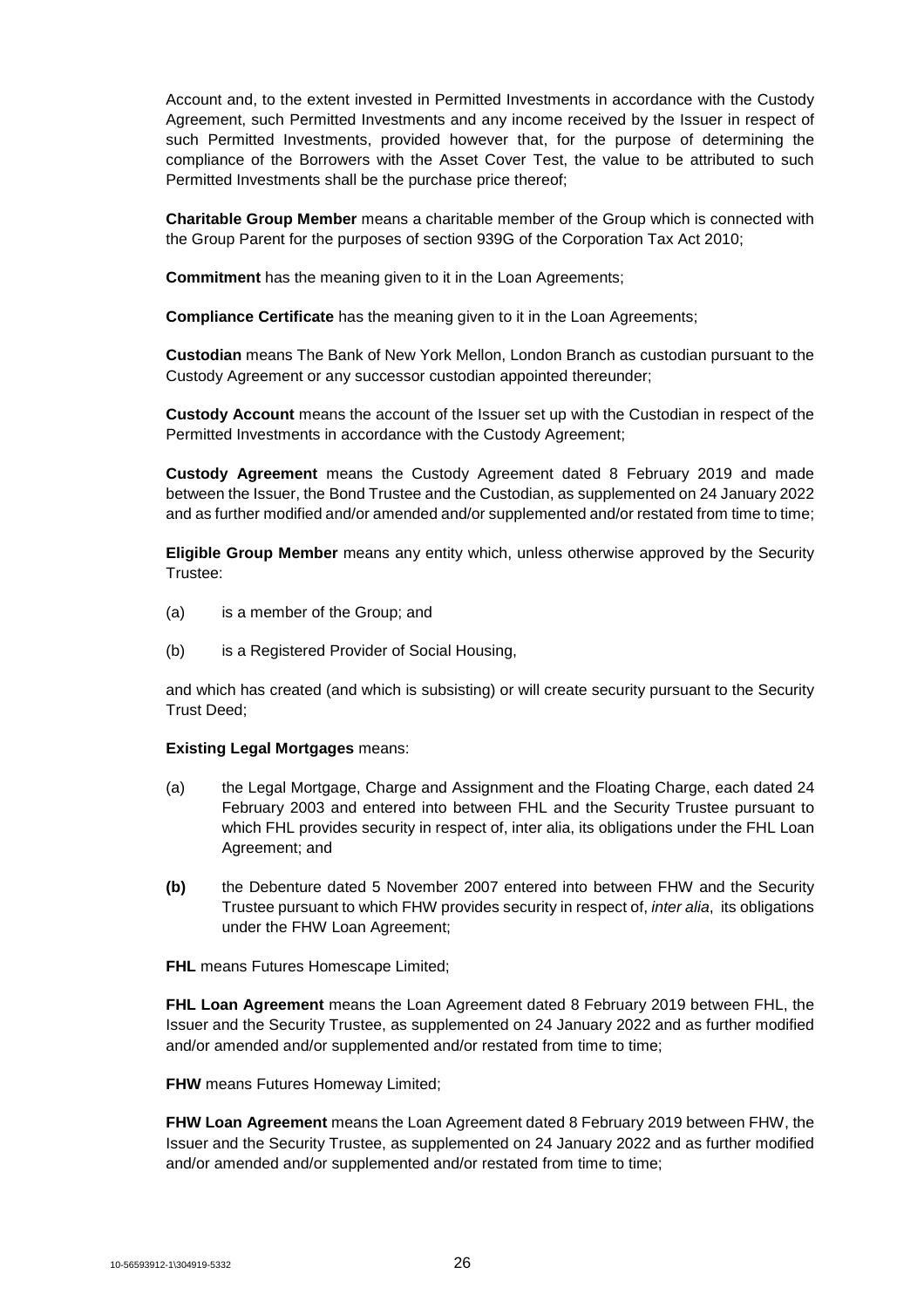Account and, to the extent invested in Permitted Investments in accordance with the Custody Agreement, such Permitted Investments and any income received by the Issuer in respect of such Permitted Investments, provided however that, for the purpose of determining the compliance of the Borrowers with the Asset Cover Test, the value to be attributed to such Permitted Investments shall be the purchase price thereof;

**Charitable Group Member** means a charitable member of the Group which is connected with the Group Parent for the purposes of section 939G of the Corporation Tax Act 2010;

**Commitment** has the meaning given to it in the Loan Agreements;

**Compliance Certificate** has the meaning given to it in the Loan Agreements;

**Custodian** means The Bank of New York Mellon, London Branch as custodian pursuant to the Custody Agreement or any successor custodian appointed thereunder;

**Custody Account** means the account of the Issuer set up with the Custodian in respect of the Permitted Investments in accordance with the Custody Agreement;

**Custody Agreement** means the Custody Agreement dated 8 February 2019 and made between the Issuer, the Bond Trustee and the Custodian, as supplemented on 24 January 2022 and as further modified and/or amended and/or supplemented and/or restated from time to time;

**Eligible Group Member** means any entity which, unless otherwise approved by the Security Trustee:

- (a) is a member of the Group; and
- (b) is a Registered Provider of Social Housing,

and which has created (and which is subsisting) or will create security pursuant to the Security Trust Deed;

#### **Existing Legal Mortgages** means:

- (a) the Legal Mortgage, Charge and Assignment and the Floating Charge, each dated 24 February 2003 and entered into between FHL and the Security Trustee pursuant to which FHL provides security in respect of, inter alia, its obligations under the FHL Loan Agreement; and
- **(b)** the Debenture dated 5 November 2007 entered into between FHW and the Security Trustee pursuant to which FHW provides security in respect of, *inter alia*, its obligations under the FHW Loan Agreement;

**FHL** means Futures Homescape Limited;

**FHL Loan Agreement** means the Loan Agreement dated 8 February 2019 between FHL, the Issuer and the Security Trustee, as supplemented on 24 January 2022 and as further modified and/or amended and/or supplemented and/or restated from time to time;

**FHW** means Futures Homeway Limited:

**FHW Loan Agreement** means the Loan Agreement dated 8 February 2019 between FHW, the Issuer and the Security Trustee, as supplemented on 24 January 2022 and as further modified and/or amended and/or supplemented and/or restated from time to time;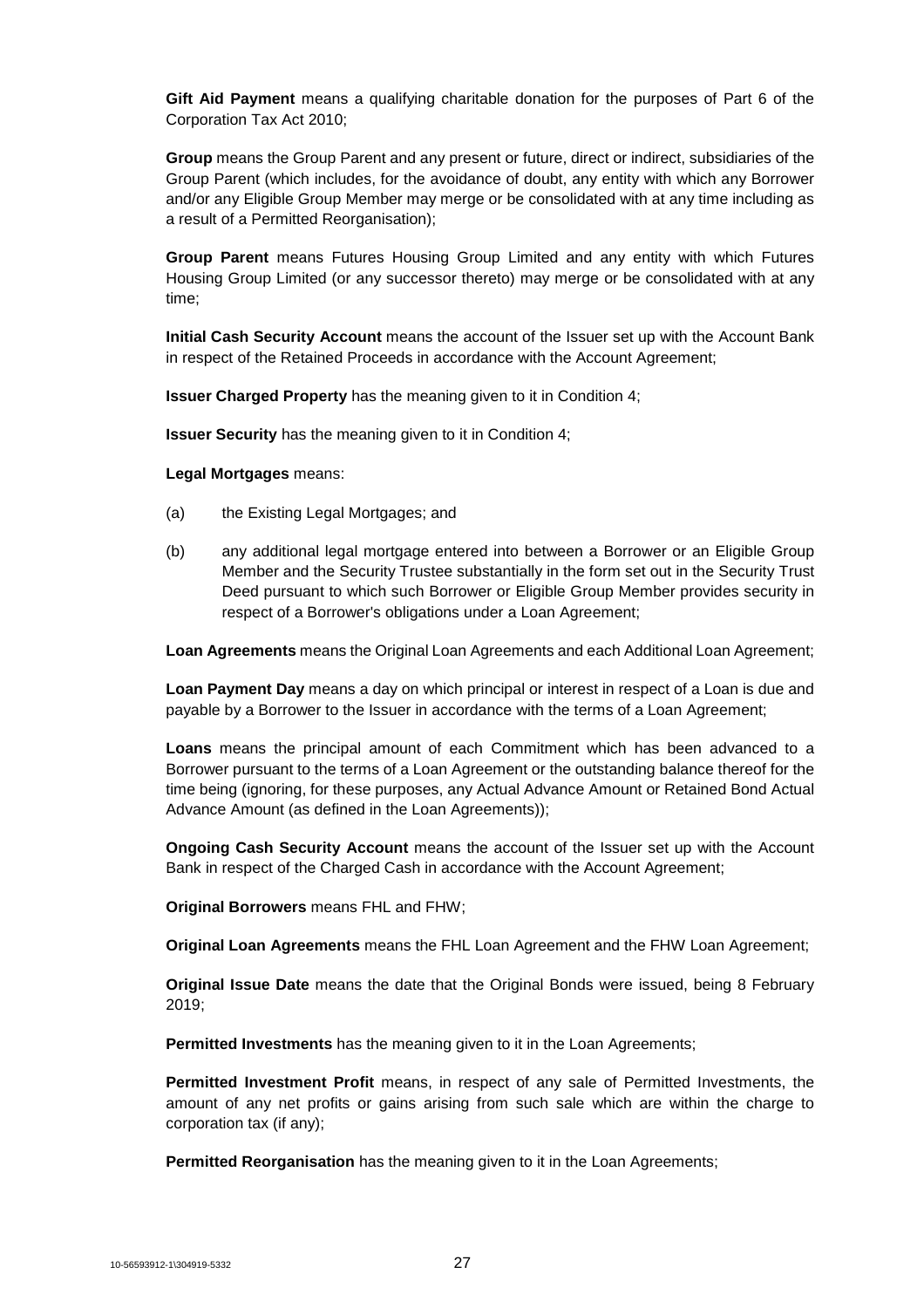**Gift Aid Payment** means a qualifying charitable donation for the purposes of Part 6 of the Corporation Tax Act 2010;

**Group** means the Group Parent and any present or future, direct or indirect, subsidiaries of the Group Parent (which includes, for the avoidance of doubt, any entity with which any Borrower and/or any Eligible Group Member may merge or be consolidated with at any time including as a result of a Permitted Reorganisation);

**Group Parent** means Futures Housing Group Limited and any entity with which Futures Housing Group Limited (or any successor thereto) may merge or be consolidated with at any time;

**Initial Cash Security Account** means the account of the Issuer set up with the Account Bank in respect of the Retained Proceeds in accordance with the Account Agreement;

**Issuer Charged Property** has the meaning given to it in Condition 4;

**Issuer Security** has the meaning given to it in Condition 4;

**Legal Mortgages** means:

- (a) the Existing Legal Mortgages; and
- (b) any additional legal mortgage entered into between a Borrower or an Eligible Group Member and the Security Trustee substantially in the form set out in the Security Trust Deed pursuant to which such Borrower or Eligible Group Member provides security in respect of a Borrower's obligations under a Loan Agreement;

**Loan Agreements** means the Original Loan Agreements and each Additional Loan Agreement;

**Loan Payment Day** means a day on which principal or interest in respect of a Loan is due and payable by a Borrower to the Issuer in accordance with the terms of a Loan Agreement;

**Loans** means the principal amount of each Commitment which has been advanced to a Borrower pursuant to the terms of a Loan Agreement or the outstanding balance thereof for the time being (ignoring, for these purposes, any Actual Advance Amount or Retained Bond Actual Advance Amount (as defined in the Loan Agreements));

**Ongoing Cash Security Account** means the account of the Issuer set up with the Account Bank in respect of the Charged Cash in accordance with the Account Agreement;

**Original Borrowers** means FHL and FHW;

**Original Loan Agreements** means the FHL Loan Agreement and the FHW Loan Agreement;

**Original Issue Date** means the date that the Original Bonds were issued, being 8 February 2019;

**Permitted Investments** has the meaning given to it in the Loan Agreements;

**Permitted Investment Profit** means, in respect of any sale of Permitted Investments, the amount of any net profits or gains arising from such sale which are within the charge to corporation tax (if any);

**Permitted Reorganisation** has the meaning given to it in the Loan Agreements;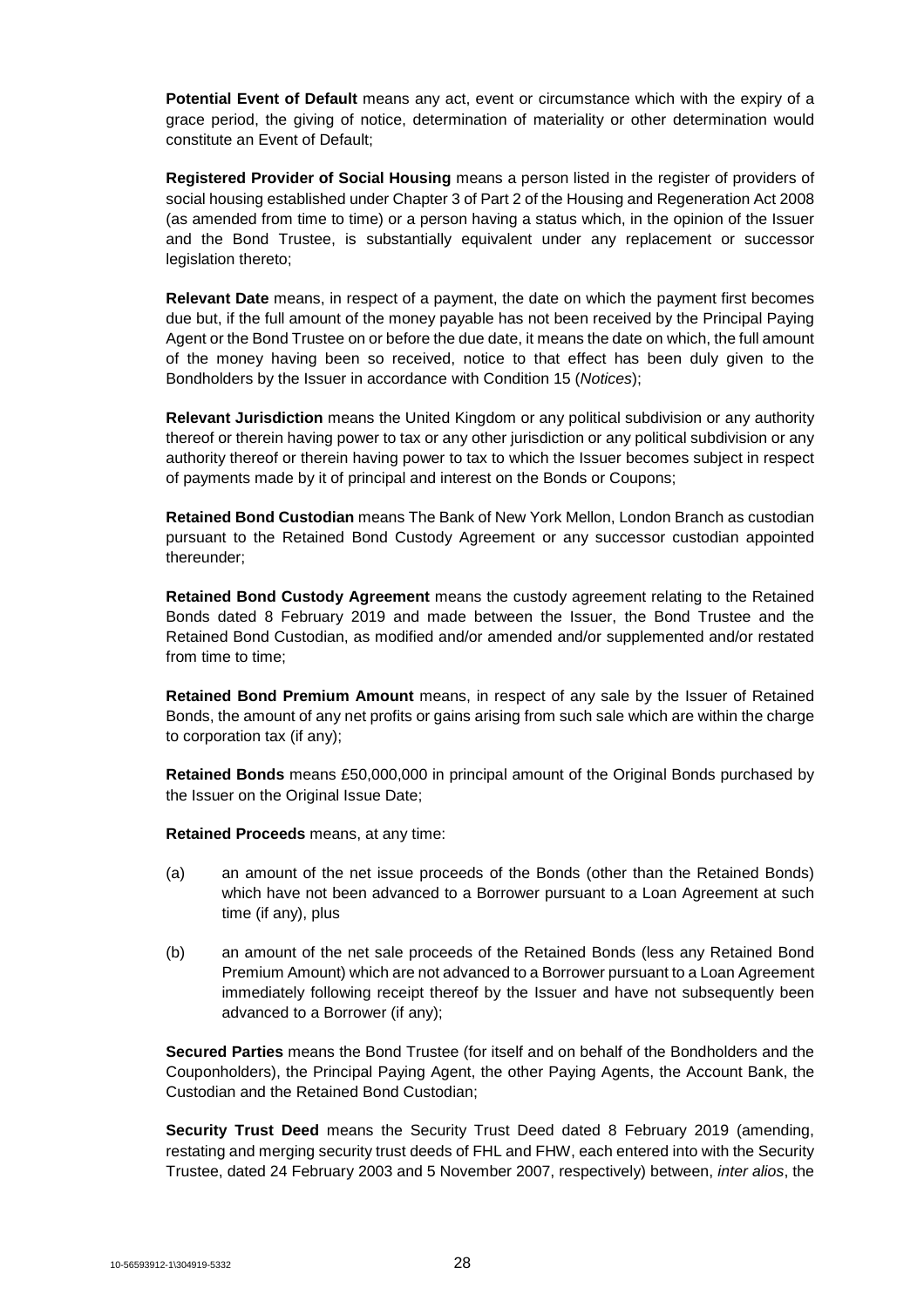**Potential Event of Default** means any act, event or circumstance which with the expiry of a grace period, the giving of notice, determination of materiality or other determination would constitute an Event of Default;

**Registered Provider of Social Housing** means a person listed in the register of providers of social housing established under Chapter 3 of Part 2 of the Housing and Regeneration Act 2008 (as amended from time to time) or a person having a status which, in the opinion of the Issuer and the Bond Trustee, is substantially equivalent under any replacement or successor legislation thereto;

**Relevant Date** means, in respect of a payment, the date on which the payment first becomes due but, if the full amount of the money payable has not been received by the Principal Paying Agent or the Bond Trustee on or before the due date, it means the date on which, the full amount of the money having been so received, notice to that effect has been duly given to the Bondholders by the Issuer in accordance with Condition 15 (*Notices*);

**Relevant Jurisdiction** means the United Kingdom or any political subdivision or any authority thereof or therein having power to tax or any other jurisdiction or any political subdivision or any authority thereof or therein having power to tax to which the Issuer becomes subject in respect of payments made by it of principal and interest on the Bonds or Coupons;

**Retained Bond Custodian** means The Bank of New York Mellon, London Branch as custodian pursuant to the Retained Bond Custody Agreement or any successor custodian appointed thereunder;

**Retained Bond Custody Agreement** means the custody agreement relating to the Retained Bonds dated 8 February 2019 and made between the Issuer, the Bond Trustee and the Retained Bond Custodian, as modified and/or amended and/or supplemented and/or restated from time to time;

**Retained Bond Premium Amount** means, in respect of any sale by the Issuer of Retained Bonds, the amount of any net profits or gains arising from such sale which are within the charge to corporation tax (if any);

**Retained Bonds** means £50,000,000 in principal amount of the Original Bonds purchased by the Issuer on the Original Issue Date;

**Retained Proceeds** means, at any time:

- (a) an amount of the net issue proceeds of the Bonds (other than the Retained Bonds) which have not been advanced to a Borrower pursuant to a Loan Agreement at such time (if any), plus
- (b) an amount of the net sale proceeds of the Retained Bonds (less any Retained Bond Premium Amount) which are not advanced to a Borrower pursuant to a Loan Agreement immediately following receipt thereof by the Issuer and have not subsequently been advanced to a Borrower (if any);

**Secured Parties** means the Bond Trustee (for itself and on behalf of the Bondholders and the Couponholders), the Principal Paying Agent, the other Paying Agents, the Account Bank, the Custodian and the Retained Bond Custodian;

**Security Trust Deed** means the Security Trust Deed dated 8 February 2019 (amending, restating and merging security trust deeds of FHL and FHW, each entered into with the Security Trustee, dated 24 February 2003 and 5 November 2007, respectively) between, *inter alios*, the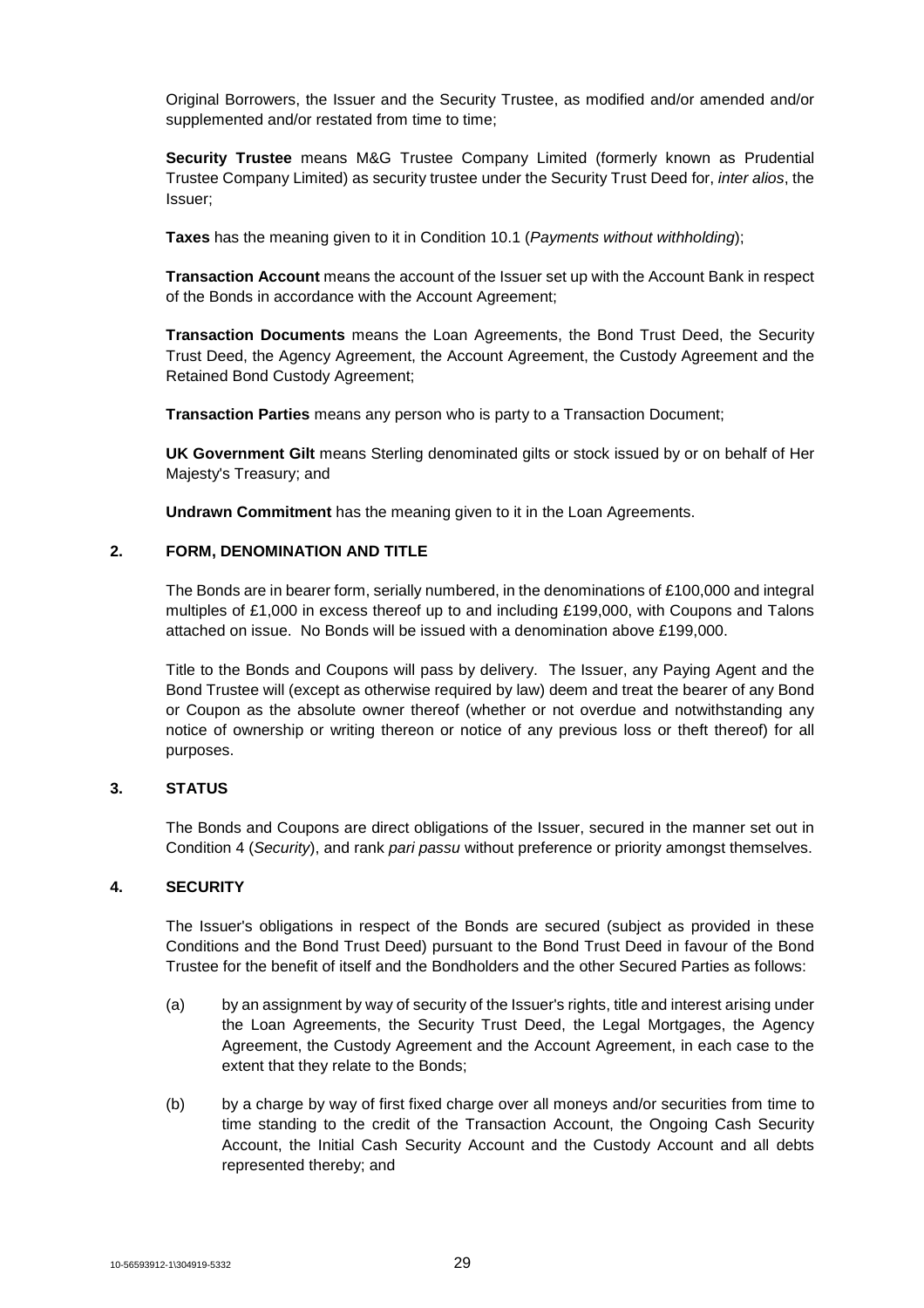Original Borrowers, the Issuer and the Security Trustee, as modified and/or amended and/or supplemented and/or restated from time to time:

**Security Trustee** means M&G Trustee Company Limited (formerly known as Prudential Trustee Company Limited) as security trustee under the Security Trust Deed for, *inter alios*, the Issuer;

**Taxes** has the meaning given to it in Condition 10.1 (*Payments without withholding*);

**Transaction Account** means the account of the Issuer set up with the Account Bank in respect of the Bonds in accordance with the Account Agreement;

**Transaction Documents** means the Loan Agreements, the Bond Trust Deed, the Security Trust Deed, the Agency Agreement, the Account Agreement, the Custody Agreement and the Retained Bond Custody Agreement;

**Transaction Parties** means any person who is party to a Transaction Document;

**UK Government Gilt** means Sterling denominated gilts or stock issued by or on behalf of Her Majesty's Treasury; and

**Undrawn Commitment** has the meaning given to it in the Loan Agreements.

## **2. FORM, DENOMINATION AND TITLE**

The Bonds are in bearer form, serially numbered, in the denominations of £100,000 and integral multiples of £1,000 in excess thereof up to and including £199,000, with Coupons and Talons attached on issue. No Bonds will be issued with a denomination above £199,000.

Title to the Bonds and Coupons will pass by delivery. The Issuer, any Paying Agent and the Bond Trustee will (except as otherwise required by law) deem and treat the bearer of any Bond or Coupon as the absolute owner thereof (whether or not overdue and notwithstanding any notice of ownership or writing thereon or notice of any previous loss or theft thereof) for all purposes.

## **3. STATUS**

The Bonds and Coupons are direct obligations of the Issuer, secured in the manner set out in Condition 4 (*Security*), and rank *pari passu* without preference or priority amongst themselves.

## **4. SECURITY**

The Issuer's obligations in respect of the Bonds are secured (subject as provided in these Conditions and the Bond Trust Deed) pursuant to the Bond Trust Deed in favour of the Bond Trustee for the benefit of itself and the Bondholders and the other Secured Parties as follows:

- (a) by an assignment by way of security of the Issuer's rights, title and interest arising under the Loan Agreements, the Security Trust Deed, the Legal Mortgages, the Agency Agreement, the Custody Agreement and the Account Agreement, in each case to the extent that they relate to the Bonds;
- (b) by a charge by way of first fixed charge over all moneys and/or securities from time to time standing to the credit of the Transaction Account, the Ongoing Cash Security Account, the Initial Cash Security Account and the Custody Account and all debts represented thereby; and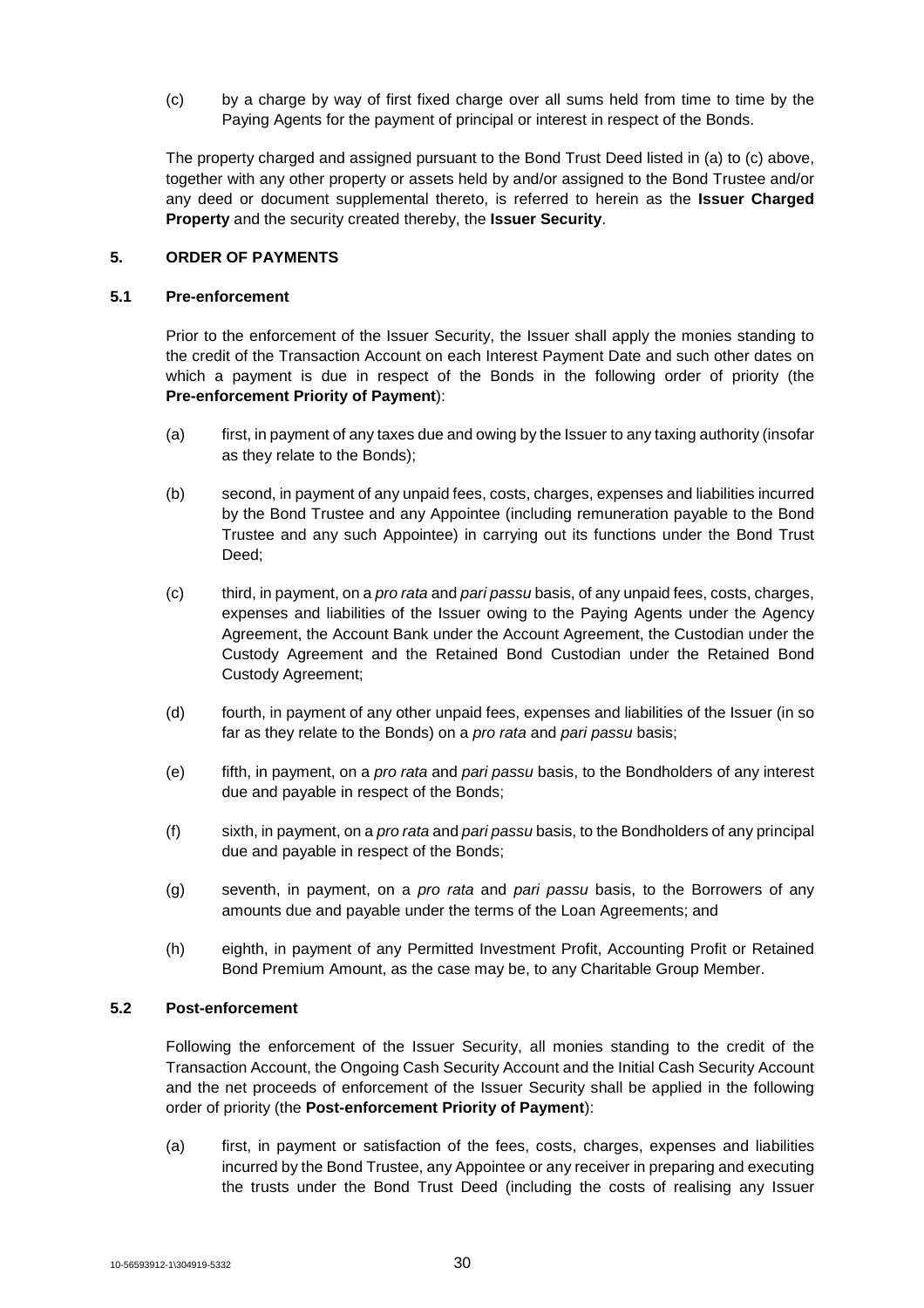(c) by a charge by way of first fixed charge over all sums held from time to time by the Paying Agents for the payment of principal or interest in respect of the Bonds.

The property charged and assigned pursuant to the Bond Trust Deed listed in (a) to (c) above, together with any other property or assets held by and/or assigned to the Bond Trustee and/or any deed or document supplemental thereto, is referred to herein as the **Issuer Charged Property** and the security created thereby, the **Issuer Security**.

## **5. ORDER OF PAYMENTS**

#### **5.1 Pre-enforcement**

Prior to the enforcement of the Issuer Security, the Issuer shall apply the monies standing to the credit of the Transaction Account on each Interest Payment Date and such other dates on which a payment is due in respect of the Bonds in the following order of priority (the **Pre-enforcement Priority of Payment**):

- (a) first, in payment of any taxes due and owing by the Issuer to any taxing authority (insofar as they relate to the Bonds);
- (b) second, in payment of any unpaid fees, costs, charges, expenses and liabilities incurred by the Bond Trustee and any Appointee (including remuneration payable to the Bond Trustee and any such Appointee) in carrying out its functions under the Bond Trust Deed;
- (c) third, in payment, on a *pro rata* and *pari passu* basis, of any unpaid fees, costs, charges, expenses and liabilities of the Issuer owing to the Paying Agents under the Agency Agreement, the Account Bank under the Account Agreement, the Custodian under the Custody Agreement and the Retained Bond Custodian under the Retained Bond Custody Agreement;
- (d) fourth, in payment of any other unpaid fees, expenses and liabilities of the Issuer (in so far as they relate to the Bonds) on a *pro rata* and *pari passu* basis;
- (e) fifth, in payment, on a *pro rata* and *pari passu* basis, to the Bondholders of any interest due and payable in respect of the Bonds;
- (f) sixth, in payment, on a *pro rata* and *pari passu* basis, to the Bondholders of any principal due and payable in respect of the Bonds;
- (g) seventh, in payment, on a *pro rata* and *pari passu* basis, to the Borrowers of any amounts due and payable under the terms of the Loan Agreements; and
- (h) eighth, in payment of any Permitted Investment Profit, Accounting Profit or Retained Bond Premium Amount, as the case may be, to any Charitable Group Member.

#### **5.2 Post-enforcement**

Following the enforcement of the Issuer Security, all monies standing to the credit of the Transaction Account, the Ongoing Cash Security Account and the Initial Cash Security Account and the net proceeds of enforcement of the Issuer Security shall be applied in the following order of priority (the **Post-enforcement Priority of Payment**):

(a) first, in payment or satisfaction of the fees, costs, charges, expenses and liabilities incurred by the Bond Trustee, any Appointee or any receiver in preparing and executing the trusts under the Bond Trust Deed (including the costs of realising any Issuer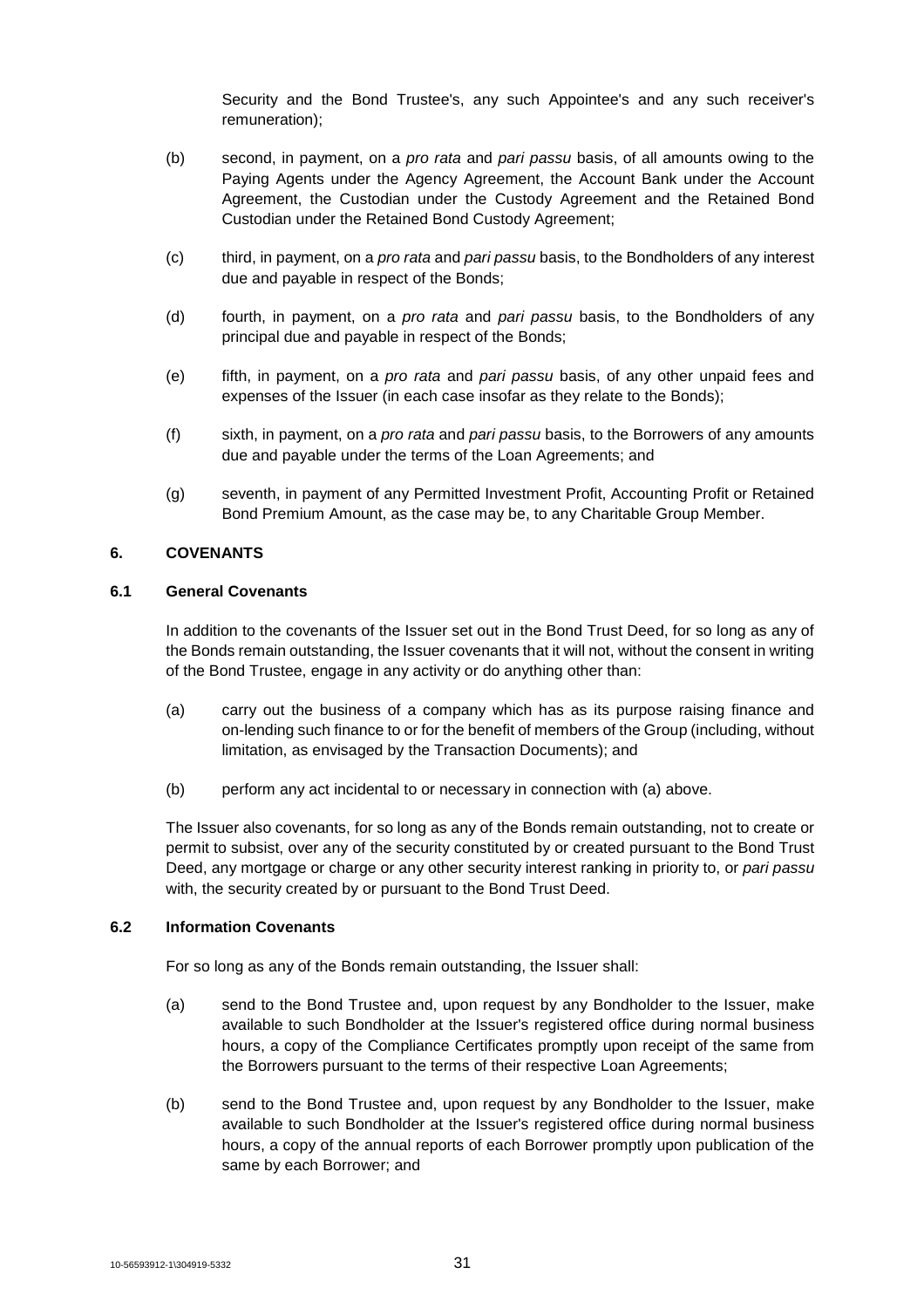Security and the Bond Trustee's, any such Appointee's and any such receiver's remuneration);

- (b) second, in payment, on a *pro rata* and *pari passu* basis, of all amounts owing to the Paying Agents under the Agency Agreement, the Account Bank under the Account Agreement, the Custodian under the Custody Agreement and the Retained Bond Custodian under the Retained Bond Custody Agreement;
- (c) third, in payment, on a *pro rata* and *pari passu* basis, to the Bondholders of any interest due and payable in respect of the Bonds;
- (d) fourth, in payment, on a *pro rata* and *pari passu* basis, to the Bondholders of any principal due and payable in respect of the Bonds;
- (e) fifth, in payment, on a *pro rata* and *pari passu* basis, of any other unpaid fees and expenses of the Issuer (in each case insofar as they relate to the Bonds);
- (f) sixth, in payment, on a *pro rata* and *pari passu* basis, to the Borrowers of any amounts due and payable under the terms of the Loan Agreements; and
- (g) seventh, in payment of any Permitted Investment Profit, Accounting Profit or Retained Bond Premium Amount, as the case may be, to any Charitable Group Member.

## **6. COVENANTS**

## **6.1 General Covenants**

In addition to the covenants of the Issuer set out in the Bond Trust Deed, for so long as any of the Bonds remain outstanding, the Issuer covenants that it will not, without the consent in writing of the Bond Trustee, engage in any activity or do anything other than:

- (a) carry out the business of a company which has as its purpose raising finance and on-lending such finance to or for the benefit of members of the Group (including, without limitation, as envisaged by the Transaction Documents); and
- (b) perform any act incidental to or necessary in connection with (a) above.

The Issuer also covenants, for so long as any of the Bonds remain outstanding, not to create or permit to subsist, over any of the security constituted by or created pursuant to the Bond Trust Deed, any mortgage or charge or any other security interest ranking in priority to, or *pari passu* with, the security created by or pursuant to the Bond Trust Deed.

## **6.2 Information Covenants**

For so long as any of the Bonds remain outstanding, the Issuer shall:

- (a) send to the Bond Trustee and, upon request by any Bondholder to the Issuer, make available to such Bondholder at the Issuer's registered office during normal business hours, a copy of the Compliance Certificates promptly upon receipt of the same from the Borrowers pursuant to the terms of their respective Loan Agreements;
- (b) send to the Bond Trustee and, upon request by any Bondholder to the Issuer, make available to such Bondholder at the Issuer's registered office during normal business hours, a copy of the annual reports of each Borrower promptly upon publication of the same by each Borrower; and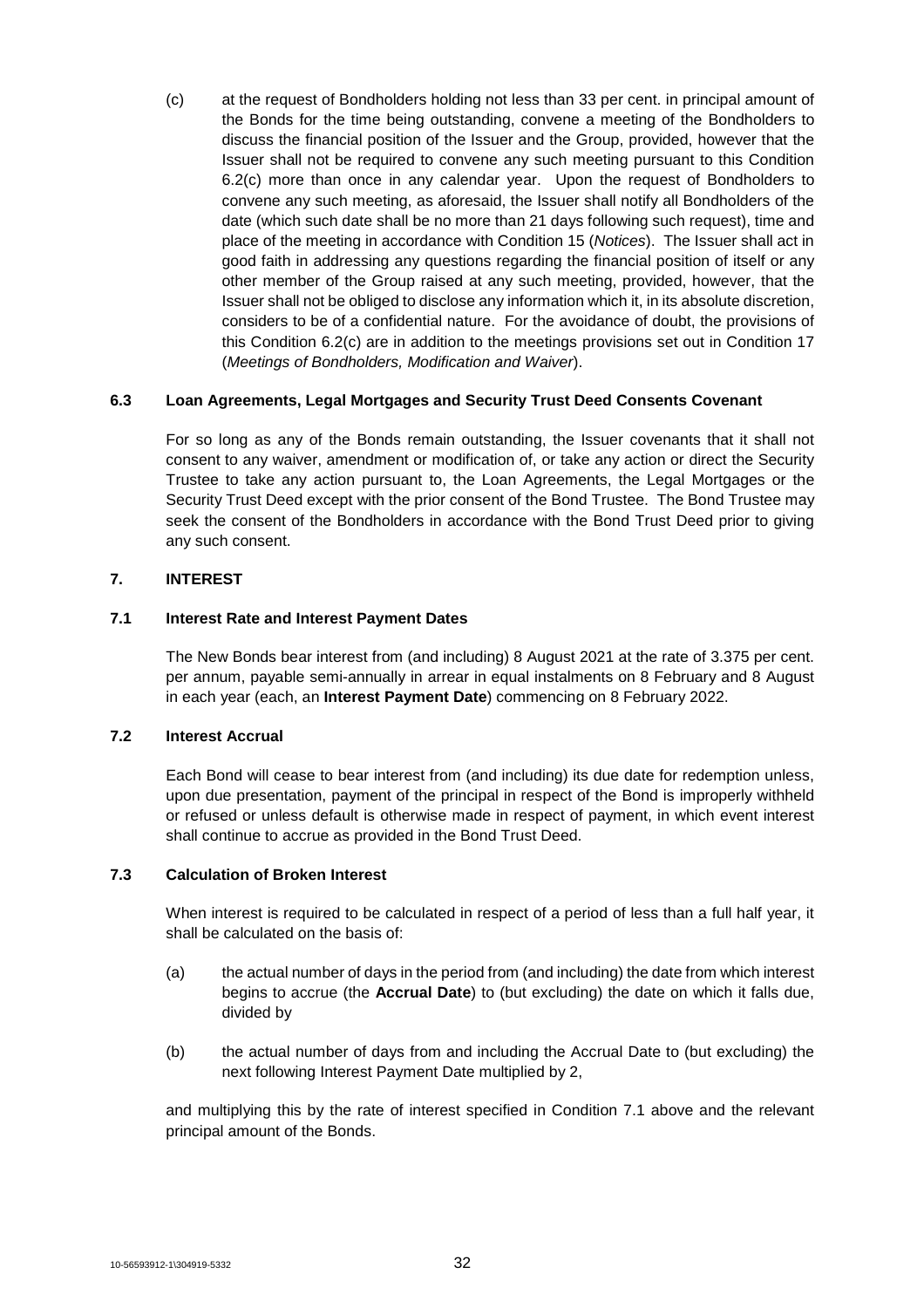(c) at the request of Bondholders holding not less than 33 per cent. in principal amount of the Bonds for the time being outstanding, convene a meeting of the Bondholders to discuss the financial position of the Issuer and the Group, provided, however that the Issuer shall not be required to convene any such meeting pursuant to this Condition 6.2(c) more than once in any calendar year. Upon the request of Bondholders to convene any such meeting, as aforesaid, the Issuer shall notify all Bondholders of the date (which such date shall be no more than 21 days following such request), time and place of the meeting in accordance with Condition 15 (*Notices*). The Issuer shall act in good faith in addressing any questions regarding the financial position of itself or any other member of the Group raised at any such meeting, provided, however, that the Issuer shall not be obliged to disclose any information which it, in its absolute discretion, considers to be of a confidential nature. For the avoidance of doubt, the provisions of this Condition 6.2(c) are in addition to the meetings provisions set out in Condition 17 (*Meetings of Bondholders, Modification and Waiver*).

## **6.3 Loan Agreements, Legal Mortgages and Security Trust Deed Consents Covenant**

For so long as any of the Bonds remain outstanding, the Issuer covenants that it shall not consent to any waiver, amendment or modification of, or take any action or direct the Security Trustee to take any action pursuant to, the Loan Agreements, the Legal Mortgages or the Security Trust Deed except with the prior consent of the Bond Trustee. The Bond Trustee may seek the consent of the Bondholders in accordance with the Bond Trust Deed prior to giving any such consent.

## **7. INTEREST**

## **7.1 Interest Rate and Interest Payment Dates**

The New Bonds bear interest from (and including) 8 August 2021 at the rate of 3.375 per cent. per annum, payable semi-annually in arrear in equal instalments on 8 February and 8 August in each year (each, an **Interest Payment Date**) commencing on 8 February 2022.

#### **7.2 Interest Accrual**

Each Bond will cease to bear interest from (and including) its due date for redemption unless, upon due presentation, payment of the principal in respect of the Bond is improperly withheld or refused or unless default is otherwise made in respect of payment, in which event interest shall continue to accrue as provided in the Bond Trust Deed.

## **7.3 Calculation of Broken Interest**

When interest is required to be calculated in respect of a period of less than a full half year, it shall be calculated on the basis of:

- (a) the actual number of days in the period from (and including) the date from which interest begins to accrue (the **Accrual Date**) to (but excluding) the date on which it falls due, divided by
- (b) the actual number of days from and including the Accrual Date to (but excluding) the next following Interest Payment Date multiplied by 2,

and multiplying this by the rate of interest specified in Condition 7.1 above and the relevant principal amount of the Bonds.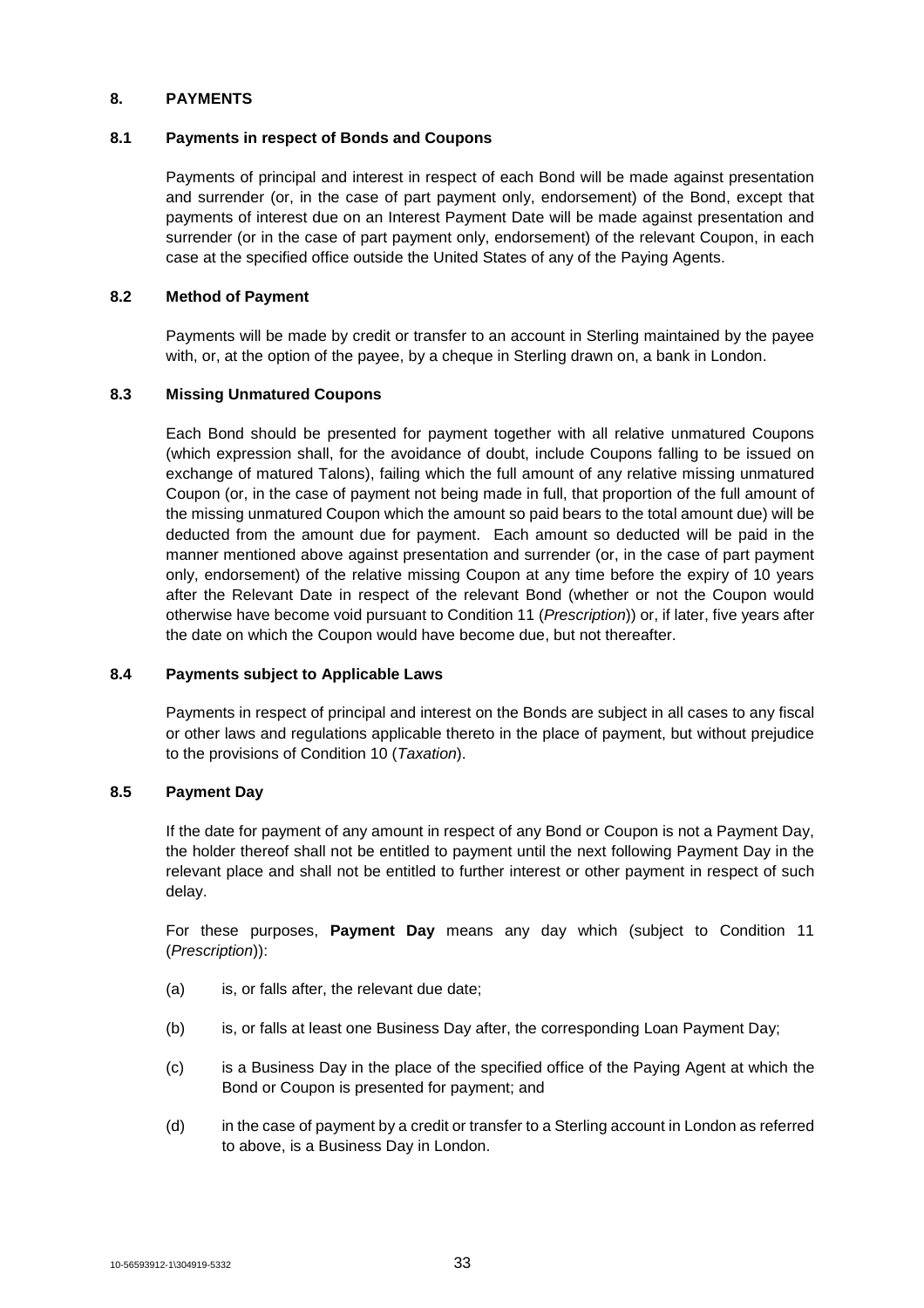## **8. PAYMENTS**

#### **8.1 Payments in respect of Bonds and Coupons**

Payments of principal and interest in respect of each Bond will be made against presentation and surrender (or, in the case of part payment only, endorsement) of the Bond, except that payments of interest due on an Interest Payment Date will be made against presentation and surrender (or in the case of part payment only, endorsement) of the relevant Coupon, in each case at the specified office outside the United States of any of the Paying Agents.

## **8.2 Method of Payment**

Payments will be made by credit or transfer to an account in Sterling maintained by the payee with, or, at the option of the payee, by a cheque in Sterling drawn on, a bank in London.

## **8.3 Missing Unmatured Coupons**

Each Bond should be presented for payment together with all relative unmatured Coupons (which expression shall, for the avoidance of doubt, include Coupons falling to be issued on exchange of matured Talons), failing which the full amount of any relative missing unmatured Coupon (or, in the case of payment not being made in full, that proportion of the full amount of the missing unmatured Coupon which the amount so paid bears to the total amount due) will be deducted from the amount due for payment. Each amount so deducted will be paid in the manner mentioned above against presentation and surrender (or, in the case of part payment only, endorsement) of the relative missing Coupon at any time before the expiry of 10 years after the Relevant Date in respect of the relevant Bond (whether or not the Coupon would otherwise have become void pursuant to Condition 11 (*Prescription*)) or, if later, five years after the date on which the Coupon would have become due, but not thereafter.

## **8.4 Payments subject to Applicable Laws**

Payments in respect of principal and interest on the Bonds are subject in all cases to any fiscal or other laws and regulations applicable thereto in the place of payment, but without prejudice to the provisions of Condition 10 (*Taxation*).

## **8.5 Payment Day**

If the date for payment of any amount in respect of any Bond or Coupon is not a Payment Day, the holder thereof shall not be entitled to payment until the next following Payment Day in the relevant place and shall not be entitled to further interest or other payment in respect of such delay.

For these purposes, **Payment Day** means any day which (subject to Condition 11 (*Prescription*)):

- (a) is, or falls after, the relevant due date;
- (b) is, or falls at least one Business Day after, the corresponding Loan Payment Day;
- (c) is a Business Day in the place of the specified office of the Paying Agent at which the Bond or Coupon is presented for payment; and
- (d) in the case of payment by a credit or transfer to a Sterling account in London as referred to above, is a Business Day in London.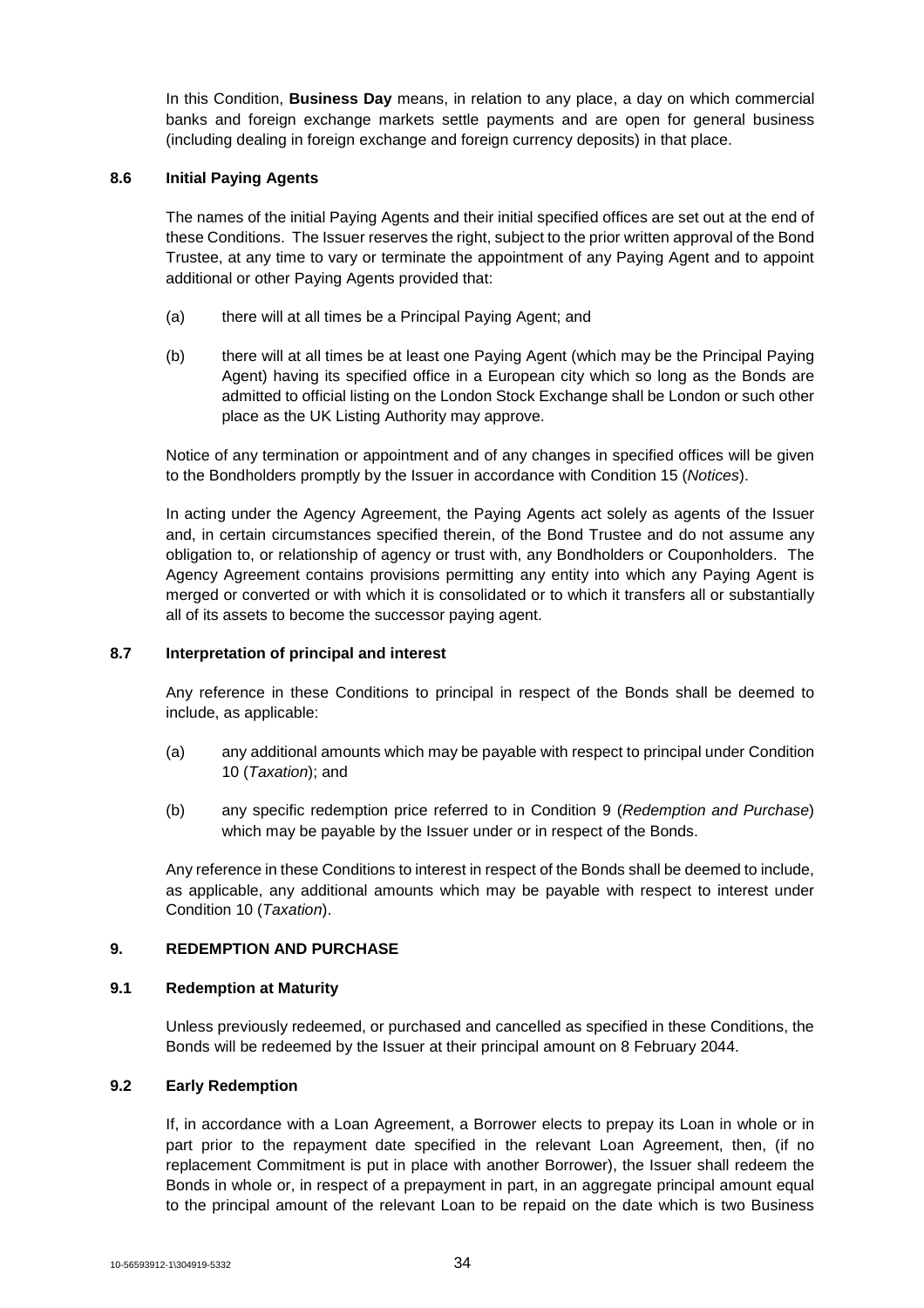In this Condition, **Business Day** means, in relation to any place, a day on which commercial banks and foreign exchange markets settle payments and are open for general business (including dealing in foreign exchange and foreign currency deposits) in that place.

#### **8.6 Initial Paying Agents**

The names of the initial Paying Agents and their initial specified offices are set out at the end of these Conditions. The Issuer reserves the right, subject to the prior written approval of the Bond Trustee, at any time to vary or terminate the appointment of any Paying Agent and to appoint additional or other Paying Agents provided that:

- (a) there will at all times be a Principal Paying Agent; and
- (b) there will at all times be at least one Paying Agent (which may be the Principal Paying Agent) having its specified office in a European city which so long as the Bonds are admitted to official listing on the London Stock Exchange shall be London or such other place as the UK Listing Authority may approve.

Notice of any termination or appointment and of any changes in specified offices will be given to the Bondholders promptly by the Issuer in accordance with Condition 15 (*Notices*).

In acting under the Agency Agreement, the Paying Agents act solely as agents of the Issuer and, in certain circumstances specified therein, of the Bond Trustee and do not assume any obligation to, or relationship of agency or trust with, any Bondholders or Couponholders. The Agency Agreement contains provisions permitting any entity into which any Paying Agent is merged or converted or with which it is consolidated or to which it transfers all or substantially all of its assets to become the successor paying agent.

## **8.7 Interpretation of principal and interest**

Any reference in these Conditions to principal in respect of the Bonds shall be deemed to include, as applicable:

- (a) any additional amounts which may be payable with respect to principal under Condition 10 (*Taxation*); and
- (b) any specific redemption price referred to in Condition 9 (*Redemption and Purchase*) which may be payable by the Issuer under or in respect of the Bonds.

Any reference in these Conditions to interest in respect of the Bonds shall be deemed to include, as applicable, any additional amounts which may be payable with respect to interest under Condition 10 (*Taxation*).

## **9. REDEMPTION AND PURCHASE**

#### **9.1 Redemption at Maturity**

Unless previously redeemed, or purchased and cancelled as specified in these Conditions, the Bonds will be redeemed by the Issuer at their principal amount on 8 February 2044.

#### **9.2 Early Redemption**

If, in accordance with a Loan Agreement, a Borrower elects to prepay its Loan in whole or in part prior to the repayment date specified in the relevant Loan Agreement, then, (if no replacement Commitment is put in place with another Borrower), the Issuer shall redeem the Bonds in whole or, in respect of a prepayment in part, in an aggregate principal amount equal to the principal amount of the relevant Loan to be repaid on the date which is two Business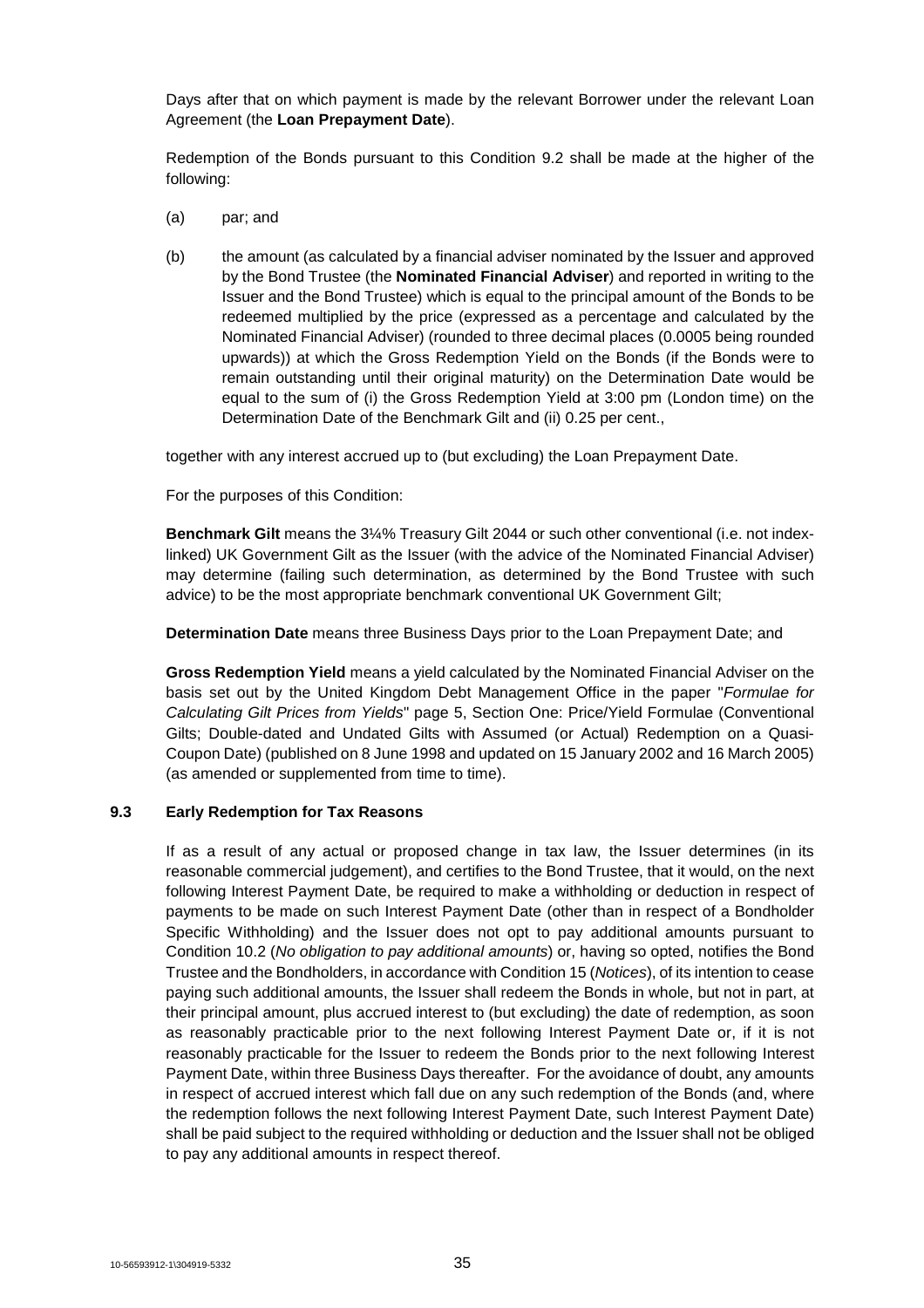Days after that on which payment is made by the relevant Borrower under the relevant Loan Agreement (the **Loan Prepayment Date**).

Redemption of the Bonds pursuant to this Condition 9.2 shall be made at the higher of the following:

- (a) par; and
- (b) the amount (as calculated by a financial adviser nominated by the Issuer and approved by the Bond Trustee (the **Nominated Financial Adviser**) and reported in writing to the Issuer and the Bond Trustee) which is equal to the principal amount of the Bonds to be redeemed multiplied by the price (expressed as a percentage and calculated by the Nominated Financial Adviser) (rounded to three decimal places (0.0005 being rounded upwards)) at which the Gross Redemption Yield on the Bonds (if the Bonds were to remain outstanding until their original maturity) on the Determination Date would be equal to the sum of (i) the Gross Redemption Yield at 3:00 pm (London time) on the Determination Date of the Benchmark Gilt and (ii) 0.25 per cent.,

together with any interest accrued up to (but excluding) the Loan Prepayment Date.

For the purposes of this Condition:

**Benchmark Gilt** means the 3¼% Treasury Gilt 2044 or such other conventional (i.e. not indexlinked) UK Government Gilt as the Issuer (with the advice of the Nominated Financial Adviser) may determine (failing such determination, as determined by the Bond Trustee with such advice) to be the most appropriate benchmark conventional UK Government Gilt;

**Determination Date** means three Business Days prior to the Loan Prepayment Date; and

**Gross Redemption Yield** means a yield calculated by the Nominated Financial Adviser on the basis set out by the United Kingdom Debt Management Office in the paper "*Formulae for Calculating Gilt Prices from Yields*" page 5, Section One: Price/Yield Formulae (Conventional Gilts; Double-dated and Undated Gilts with Assumed (or Actual) Redemption on a Quasi-Coupon Date) (published on 8 June 1998 and updated on 15 January 2002 and 16 March 2005) (as amended or supplemented from time to time).

## **9.3 Early Redemption for Tax Reasons**

If as a result of any actual or proposed change in tax law, the Issuer determines (in its reasonable commercial judgement), and certifies to the Bond Trustee, that it would, on the next following Interest Payment Date, be required to make a withholding or deduction in respect of payments to be made on such Interest Payment Date (other than in respect of a Bondholder Specific Withholding) and the Issuer does not opt to pay additional amounts pursuant to Condition 10.2 (*No obligation to pay additional amounts*) or, having so opted, notifies the Bond Trustee and the Bondholders, in accordance with Condition 15 (*Notices*), of its intention to cease paying such additional amounts, the Issuer shall redeem the Bonds in whole, but not in part, at their principal amount, plus accrued interest to (but excluding) the date of redemption, as soon as reasonably practicable prior to the next following Interest Payment Date or, if it is not reasonably practicable for the Issuer to redeem the Bonds prior to the next following Interest Payment Date, within three Business Days thereafter. For the avoidance of doubt, any amounts in respect of accrued interest which fall due on any such redemption of the Bonds (and, where the redemption follows the next following Interest Payment Date, such Interest Payment Date) shall be paid subject to the required withholding or deduction and the Issuer shall not be obliged to pay any additional amounts in respect thereof.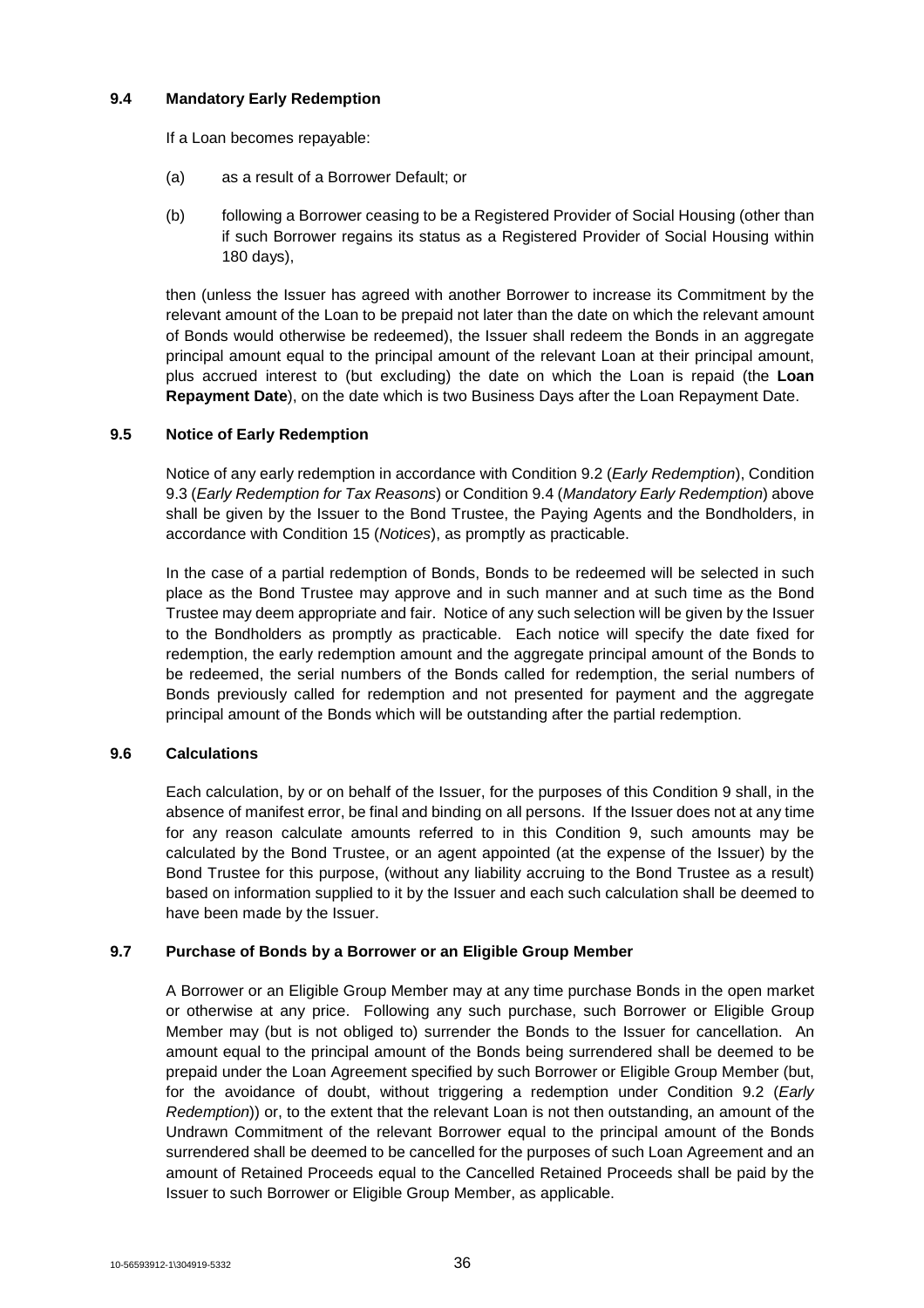## **9.4 Mandatory Early Redemption**

If a Loan becomes repayable:

- (a) as a result of a Borrower Default; or
- (b) following a Borrower ceasing to be a Registered Provider of Social Housing (other than if such Borrower regains its status as a Registered Provider of Social Housing within 180 days),

then (unless the Issuer has agreed with another Borrower to increase its Commitment by the relevant amount of the Loan to be prepaid not later than the date on which the relevant amount of Bonds would otherwise be redeemed), the Issuer shall redeem the Bonds in an aggregate principal amount equal to the principal amount of the relevant Loan at their principal amount, plus accrued interest to (but excluding) the date on which the Loan is repaid (the **Loan Repayment Date**), on the date which is two Business Days after the Loan Repayment Date.

## **9.5 Notice of Early Redemption**

Notice of any early redemption in accordance with Condition 9.2 (*Early Redemption*), Condition 9.3 (*Early Redemption for Tax Reasons*) or Condition 9.4 (*Mandatory Early Redemption*) above shall be given by the Issuer to the Bond Trustee, the Paying Agents and the Bondholders, in accordance with Condition 15 (*Notices*), as promptly as practicable.

In the case of a partial redemption of Bonds, Bonds to be redeemed will be selected in such place as the Bond Trustee may approve and in such manner and at such time as the Bond Trustee may deem appropriate and fair. Notice of any such selection will be given by the Issuer to the Bondholders as promptly as practicable. Each notice will specify the date fixed for redemption, the early redemption amount and the aggregate principal amount of the Bonds to be redeemed, the serial numbers of the Bonds called for redemption, the serial numbers of Bonds previously called for redemption and not presented for payment and the aggregate principal amount of the Bonds which will be outstanding after the partial redemption.

## **9.6 Calculations**

Each calculation, by or on behalf of the Issuer, for the purposes of this Condition 9 shall, in the absence of manifest error, be final and binding on all persons. If the Issuer does not at any time for any reason calculate amounts referred to in this Condition 9, such amounts may be calculated by the Bond Trustee, or an agent appointed (at the expense of the Issuer) by the Bond Trustee for this purpose, (without any liability accruing to the Bond Trustee as a result) based on information supplied to it by the Issuer and each such calculation shall be deemed to have been made by the Issuer.

## **9.7 Purchase of Bonds by a Borrower or an Eligible Group Member**

A Borrower or an Eligible Group Member may at any time purchase Bonds in the open market or otherwise at any price. Following any such purchase, such Borrower or Eligible Group Member may (but is not obliged to) surrender the Bonds to the Issuer for cancellation. An amount equal to the principal amount of the Bonds being surrendered shall be deemed to be prepaid under the Loan Agreement specified by such Borrower or Eligible Group Member (but, for the avoidance of doubt, without triggering a redemption under Condition 9.2 (*Early Redemption*)) or, to the extent that the relevant Loan is not then outstanding, an amount of the Undrawn Commitment of the relevant Borrower equal to the principal amount of the Bonds surrendered shall be deemed to be cancelled for the purposes of such Loan Agreement and an amount of Retained Proceeds equal to the Cancelled Retained Proceeds shall be paid by the Issuer to such Borrower or Eligible Group Member, as applicable.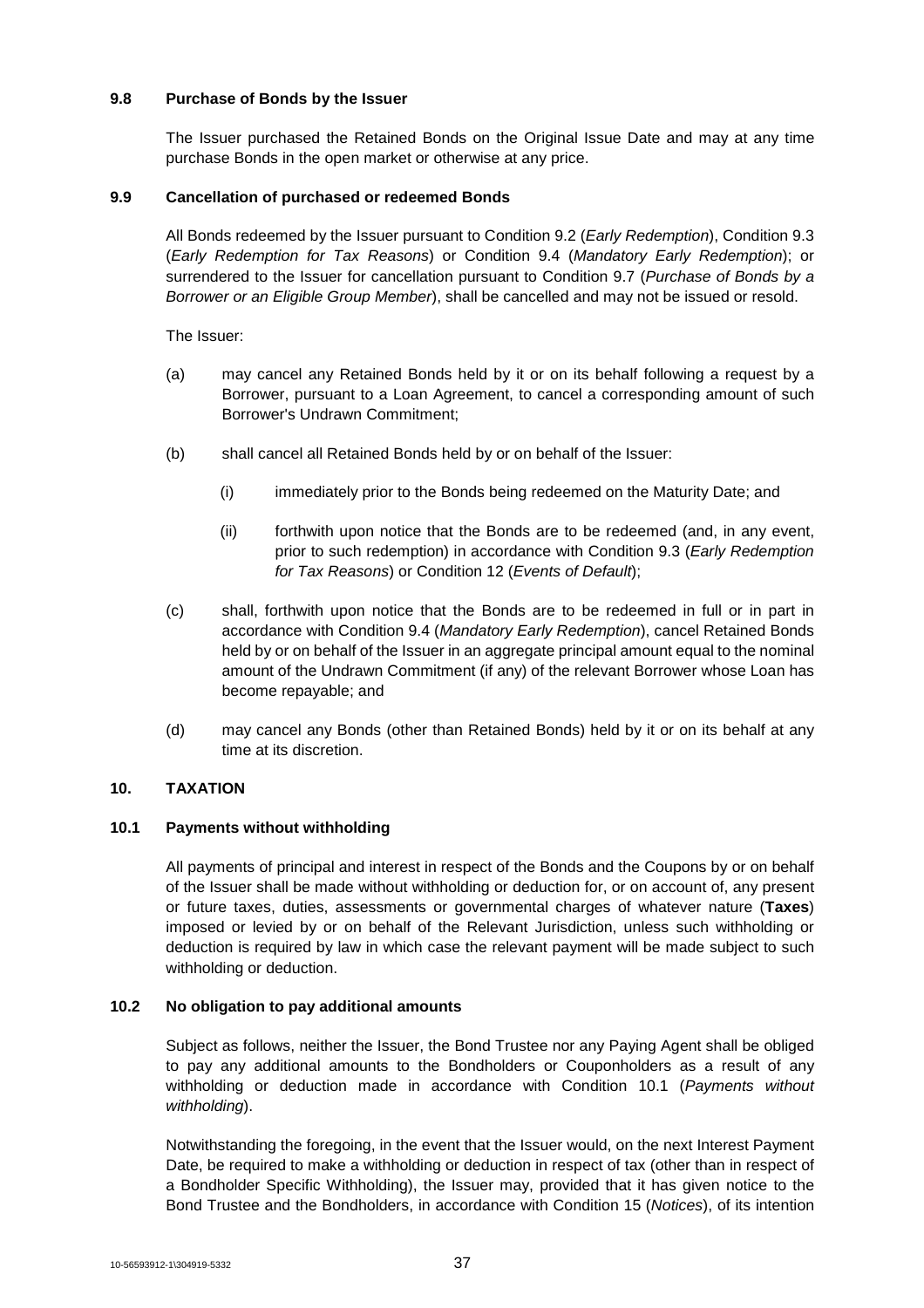## **9.8 Purchase of Bonds by the Issuer**

The Issuer purchased the Retained Bonds on the Original Issue Date and may at any time purchase Bonds in the open market or otherwise at any price.

## **9.9 Cancellation of purchased or redeemed Bonds**

All Bonds redeemed by the Issuer pursuant to Condition 9.2 (*Early Redemption*), Condition 9.3 (*Early Redemption for Tax Reasons*) or Condition 9.4 (*Mandatory Early Redemption*); or surrendered to the Issuer for cancellation pursuant to Condition 9.7 (*Purchase of Bonds by a Borrower or an Eligible Group Member*), shall be cancelled and may not be issued or resold.

The Issuer:

- (a) may cancel any Retained Bonds held by it or on its behalf following a request by a Borrower, pursuant to a Loan Agreement, to cancel a corresponding amount of such Borrower's Undrawn Commitment;
- (b) shall cancel all Retained Bonds held by or on behalf of the Issuer:
	- (i) immediately prior to the Bonds being redeemed on the Maturity Date; and
	- (ii) forthwith upon notice that the Bonds are to be redeemed (and, in any event, prior to such redemption) in accordance with Condition 9.3 (*Early Redemption for Tax Reasons*) or Condition 12 (*Events of Default*);
- (c) shall, forthwith upon notice that the Bonds are to be redeemed in full or in part in accordance with Condition 9.4 (*Mandatory Early Redemption*), cancel Retained Bonds held by or on behalf of the Issuer in an aggregate principal amount equal to the nominal amount of the Undrawn Commitment (if any) of the relevant Borrower whose Loan has become repayable; and
- (d) may cancel any Bonds (other than Retained Bonds) held by it or on its behalf at any time at its discretion.

## **10. TAXATION**

## **10.1 Payments without withholding**

All payments of principal and interest in respect of the Bonds and the Coupons by or on behalf of the Issuer shall be made without withholding or deduction for, or on account of, any present or future taxes, duties, assessments or governmental charges of whatever nature (**Taxes**) imposed or levied by or on behalf of the Relevant Jurisdiction, unless such withholding or deduction is required by law in which case the relevant payment will be made subject to such withholding or deduction.

#### **10.2 No obligation to pay additional amounts**

Subject as follows, neither the Issuer, the Bond Trustee nor any Paying Agent shall be obliged to pay any additional amounts to the Bondholders or Couponholders as a result of any withholding or deduction made in accordance with Condition 10.1 (*Payments without withholding*).

Notwithstanding the foregoing, in the event that the Issuer would, on the next Interest Payment Date, be required to make a withholding or deduction in respect of tax (other than in respect of a Bondholder Specific Withholding), the Issuer may, provided that it has given notice to the Bond Trustee and the Bondholders, in accordance with Condition 15 (*Notices*), of its intention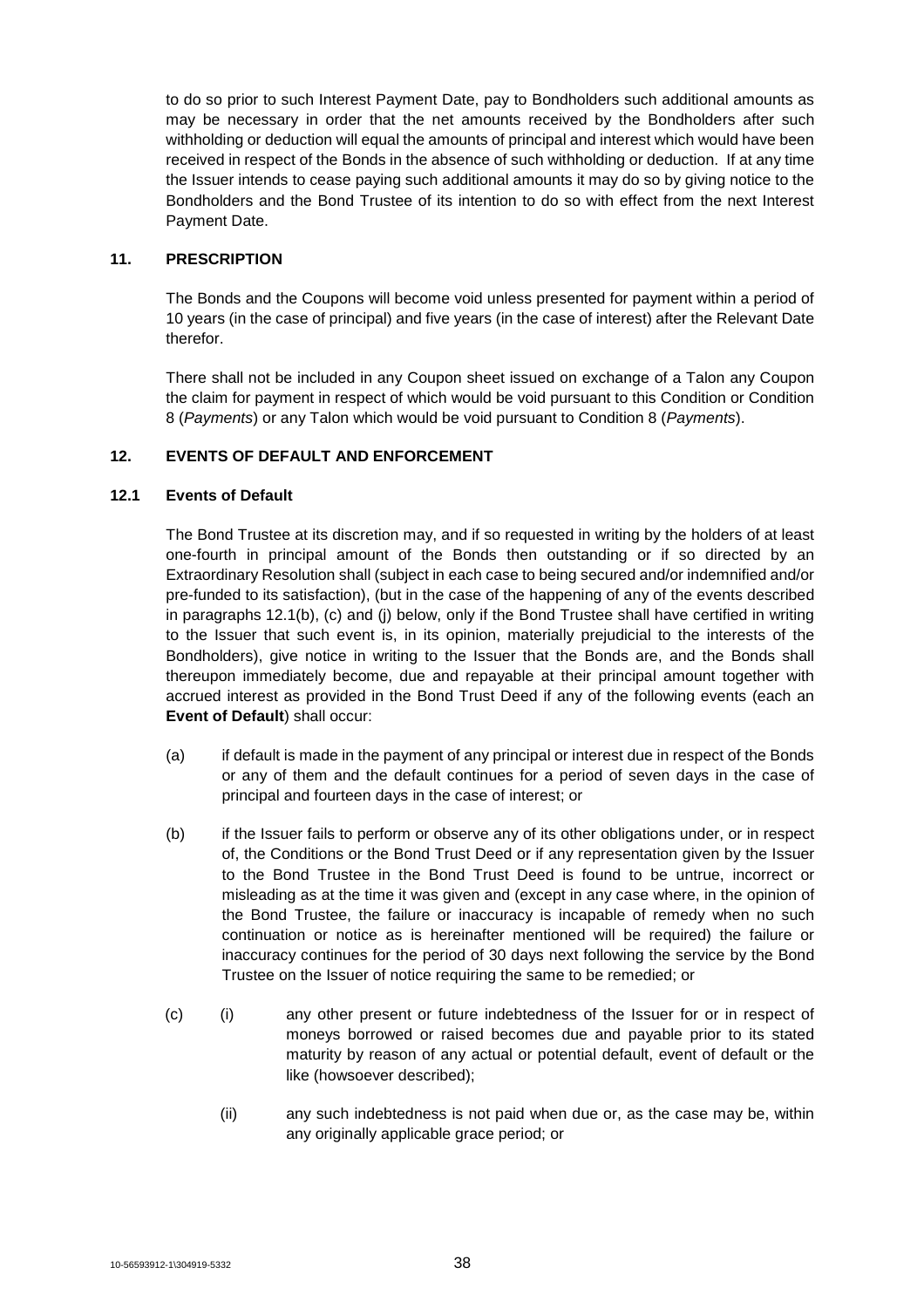to do so prior to such Interest Payment Date, pay to Bondholders such additional amounts as may be necessary in order that the net amounts received by the Bondholders after such withholding or deduction will equal the amounts of principal and interest which would have been received in respect of the Bonds in the absence of such withholding or deduction. If at any time the Issuer intends to cease paying such additional amounts it may do so by giving notice to the Bondholders and the Bond Trustee of its intention to do so with effect from the next Interest Payment Date.

#### **11. PRESCRIPTION**

The Bonds and the Coupons will become void unless presented for payment within a period of 10 years (in the case of principal) and five years (in the case of interest) after the Relevant Date therefor.

There shall not be included in any Coupon sheet issued on exchange of a Talon any Coupon the claim for payment in respect of which would be void pursuant to this Condition or Condition 8 (*Payments*) or any Talon which would be void pursuant to Condition 8 (*Payments*).

## **12. EVENTS OF DEFAULT AND ENFORCEMENT**

## **12.1 Events of Default**

The Bond Trustee at its discretion may, and if so requested in writing by the holders of at least one-fourth in principal amount of the Bonds then outstanding or if so directed by an Extraordinary Resolution shall (subject in each case to being secured and/or indemnified and/or pre-funded to its satisfaction), (but in the case of the happening of any of the events described in paragraphs 12.1(b), (c) and (j) below, only if the Bond Trustee shall have certified in writing to the Issuer that such event is, in its opinion, materially prejudicial to the interests of the Bondholders), give notice in writing to the Issuer that the Bonds are, and the Bonds shall thereupon immediately become, due and repayable at their principal amount together with accrued interest as provided in the Bond Trust Deed if any of the following events (each an **Event of Default**) shall occur:

- (a) if default is made in the payment of any principal or interest due in respect of the Bonds or any of them and the default continues for a period of seven days in the case of principal and fourteen days in the case of interest; or
- (b) if the Issuer fails to perform or observe any of its other obligations under, or in respect of, the Conditions or the Bond Trust Deed or if any representation given by the Issuer to the Bond Trustee in the Bond Trust Deed is found to be untrue, incorrect or misleading as at the time it was given and (except in any case where, in the opinion of the Bond Trustee, the failure or inaccuracy is incapable of remedy when no such continuation or notice as is hereinafter mentioned will be required) the failure or inaccuracy continues for the period of 30 days next following the service by the Bond Trustee on the Issuer of notice requiring the same to be remedied; or
- (c) (i) any other present or future indebtedness of the Issuer for or in respect of moneys borrowed or raised becomes due and payable prior to its stated maturity by reason of any actual or potential default, event of default or the like (howsoever described);
	- (ii) any such indebtedness is not paid when due or, as the case may be, within any originally applicable grace period; or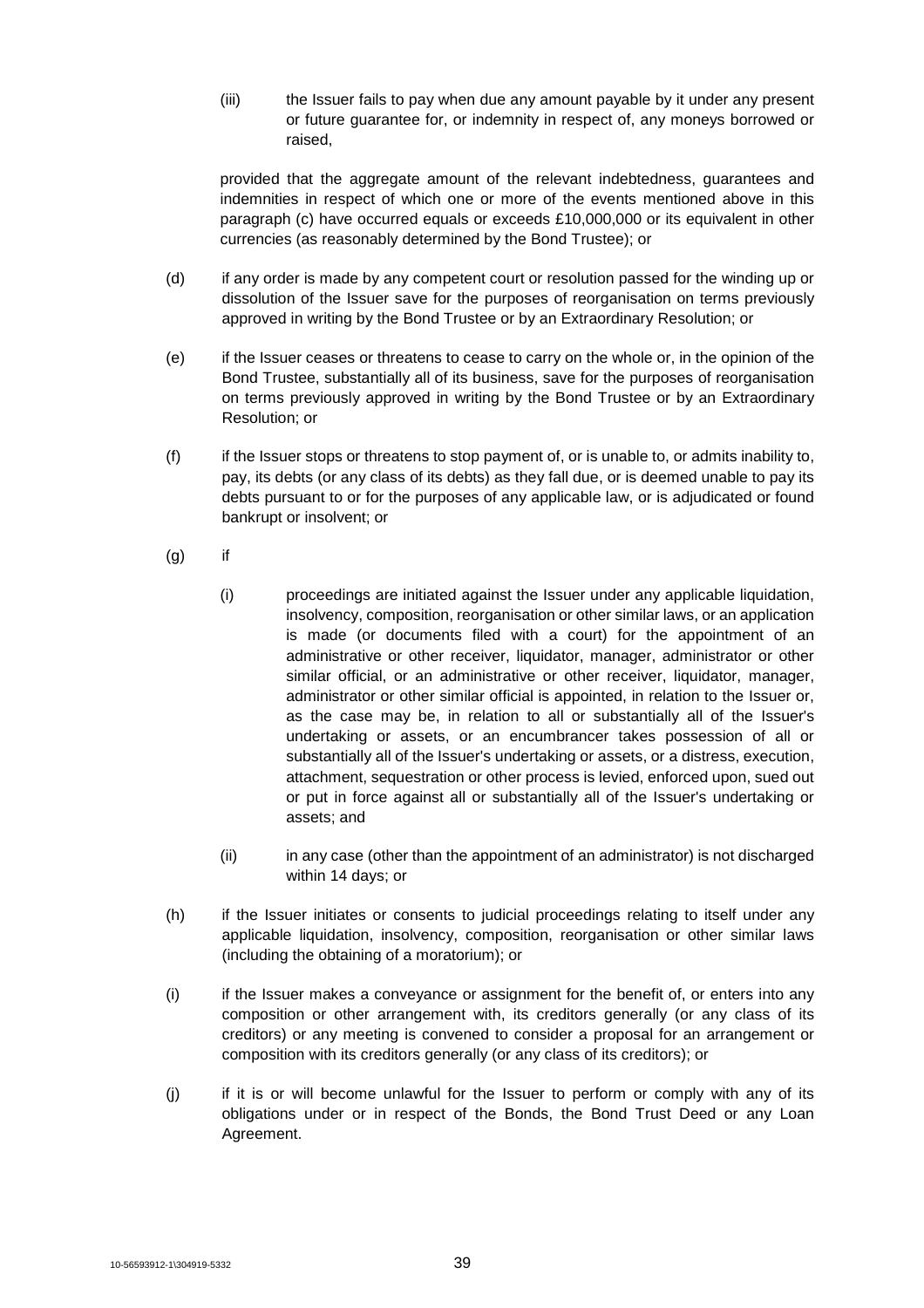(iii) the Issuer fails to pay when due any amount payable by it under any present or future guarantee for, or indemnity in respect of, any moneys borrowed or raised,

provided that the aggregate amount of the relevant indebtedness, guarantees and indemnities in respect of which one or more of the events mentioned above in this paragraph (c) have occurred equals or exceeds £10,000,000 or its equivalent in other currencies (as reasonably determined by the Bond Trustee); or

- (d) if any order is made by any competent court or resolution passed for the winding up or dissolution of the Issuer save for the purposes of reorganisation on terms previously approved in writing by the Bond Trustee or by an Extraordinary Resolution; or
- (e) if the Issuer ceases or threatens to cease to carry on the whole or, in the opinion of the Bond Trustee, substantially all of its business, save for the purposes of reorganisation on terms previously approved in writing by the Bond Trustee or by an Extraordinary Resolution; or
- (f) if the Issuer stops or threatens to stop payment of, or is unable to, or admits inability to, pay, its debts (or any class of its debts) as they fall due, or is deemed unable to pay its debts pursuant to or for the purposes of any applicable law, or is adjudicated or found bankrupt or insolvent; or
- $(g)$  if
	- (i) proceedings are initiated against the Issuer under any applicable liquidation, insolvency, composition, reorganisation or other similar laws, or an application is made (or documents filed with a court) for the appointment of an administrative or other receiver, liquidator, manager, administrator or other similar official, or an administrative or other receiver, liquidator, manager, administrator or other similar official is appointed, in relation to the Issuer or, as the case may be, in relation to all or substantially all of the Issuer's undertaking or assets, or an encumbrancer takes possession of all or substantially all of the Issuer's undertaking or assets, or a distress, execution, attachment, sequestration or other process is levied, enforced upon, sued out or put in force against all or substantially all of the Issuer's undertaking or assets; and
	- (ii) in any case (other than the appointment of an administrator) is not discharged within 14 days; or
- (h) if the Issuer initiates or consents to judicial proceedings relating to itself under any applicable liquidation, insolvency, composition, reorganisation or other similar laws (including the obtaining of a moratorium); or
- (i) if the Issuer makes a conveyance or assignment for the benefit of, or enters into any composition or other arrangement with, its creditors generally (or any class of its creditors) or any meeting is convened to consider a proposal for an arrangement or composition with its creditors generally (or any class of its creditors); or
- (j) if it is or will become unlawful for the Issuer to perform or comply with any of its obligations under or in respect of the Bonds, the Bond Trust Deed or any Loan Agreement.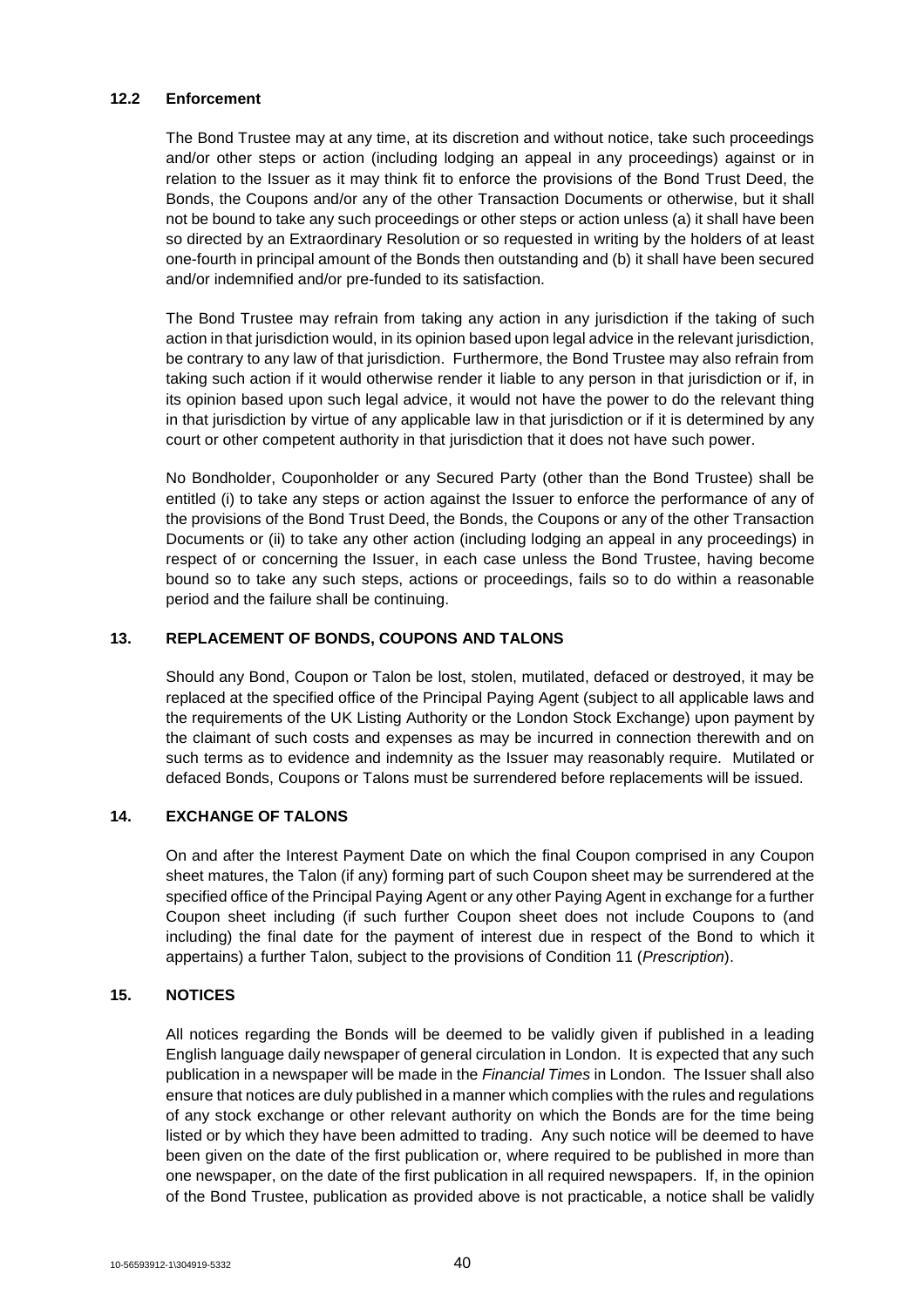## **12.2 Enforcement**

The Bond Trustee may at any time, at its discretion and without notice, take such proceedings and/or other steps or action (including lodging an appeal in any proceedings) against or in relation to the Issuer as it may think fit to enforce the provisions of the Bond Trust Deed, the Bonds, the Coupons and/or any of the other Transaction Documents or otherwise, but it shall not be bound to take any such proceedings or other steps or action unless (a) it shall have been so directed by an Extraordinary Resolution or so requested in writing by the holders of at least one-fourth in principal amount of the Bonds then outstanding and (b) it shall have been secured and/or indemnified and/or pre-funded to its satisfaction.

The Bond Trustee may refrain from taking any action in any jurisdiction if the taking of such action in that jurisdiction would, in its opinion based upon legal advice in the relevant jurisdiction, be contrary to any law of that jurisdiction. Furthermore, the Bond Trustee may also refrain from taking such action if it would otherwise render it liable to any person in that jurisdiction or if, in its opinion based upon such legal advice, it would not have the power to do the relevant thing in that jurisdiction by virtue of any applicable law in that jurisdiction or if it is determined by any court or other competent authority in that jurisdiction that it does not have such power.

No Bondholder, Couponholder or any Secured Party (other than the Bond Trustee) shall be entitled (i) to take any steps or action against the Issuer to enforce the performance of any of the provisions of the Bond Trust Deed, the Bonds, the Coupons or any of the other Transaction Documents or (ii) to take any other action (including lodging an appeal in any proceedings) in respect of or concerning the Issuer, in each case unless the Bond Trustee, having become bound so to take any such steps, actions or proceedings, fails so to do within a reasonable period and the failure shall be continuing.

## **13. REPLACEMENT OF BONDS, COUPONS AND TALONS**

Should any Bond, Coupon or Talon be lost, stolen, mutilated, defaced or destroyed, it may be replaced at the specified office of the Principal Paying Agent (subject to all applicable laws and the requirements of the UK Listing Authority or the London Stock Exchange) upon payment by the claimant of such costs and expenses as may be incurred in connection therewith and on such terms as to evidence and indemnity as the Issuer may reasonably require. Mutilated or defaced Bonds, Coupons or Talons must be surrendered before replacements will be issued.

## **14. EXCHANGE OF TALONS**

On and after the Interest Payment Date on which the final Coupon comprised in any Coupon sheet matures, the Talon (if any) forming part of such Coupon sheet may be surrendered at the specified office of the Principal Paying Agent or any other Paying Agent in exchange for a further Coupon sheet including (if such further Coupon sheet does not include Coupons to (and including) the final date for the payment of interest due in respect of the Bond to which it appertains) a further Talon, subject to the provisions of Condition 11 (*Prescription*).

## **15. NOTICES**

All notices regarding the Bonds will be deemed to be validly given if published in a leading English language daily newspaper of general circulation in London. It is expected that any such publication in a newspaper will be made in the *Financial Times* in London. The Issuer shall also ensure that notices are duly published in a manner which complies with the rules and regulations of any stock exchange or other relevant authority on which the Bonds are for the time being listed or by which they have been admitted to trading. Any such notice will be deemed to have been given on the date of the first publication or, where required to be published in more than one newspaper, on the date of the first publication in all required newspapers. If, in the opinion of the Bond Trustee, publication as provided above is not practicable, a notice shall be validly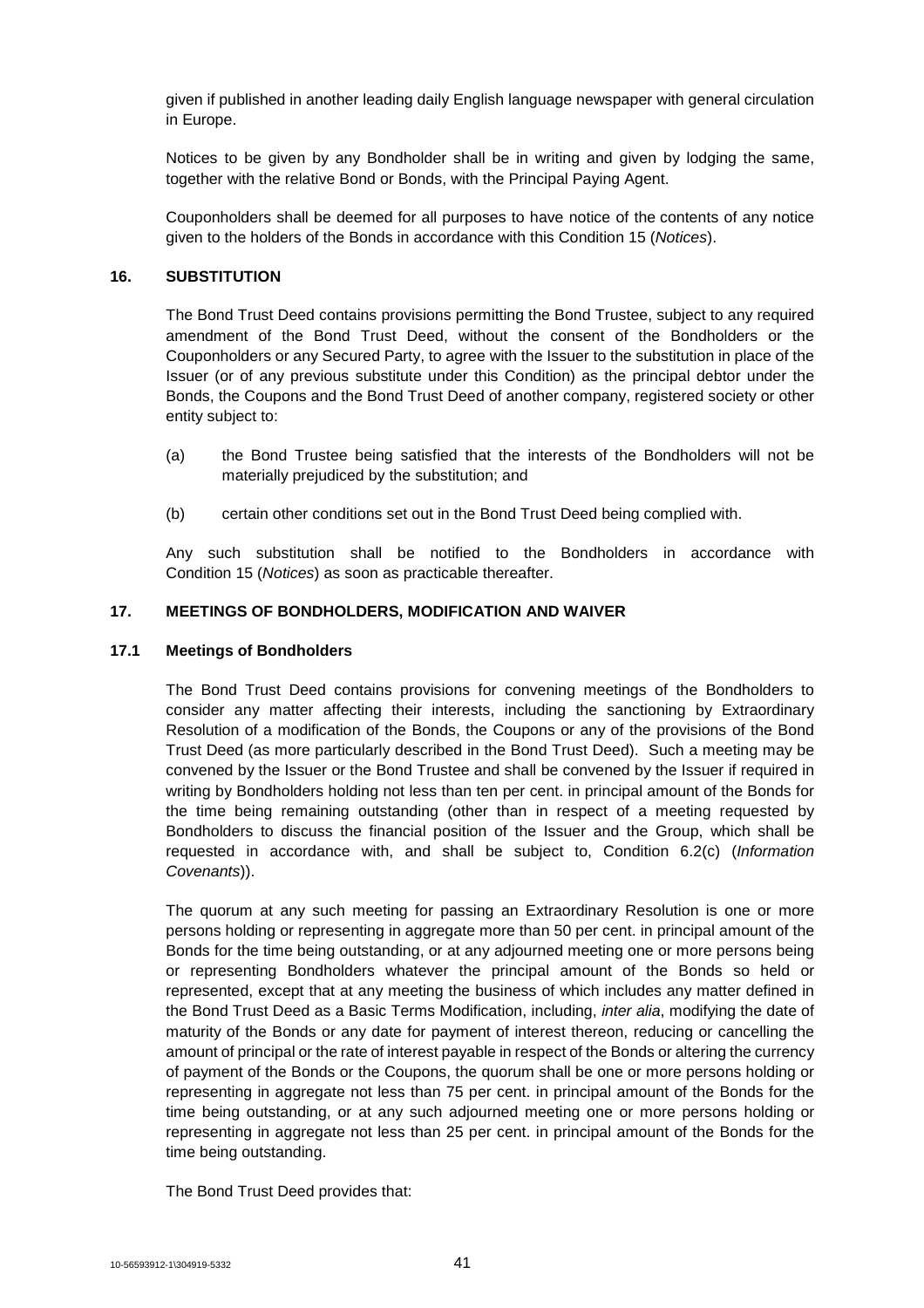given if published in another leading daily English language newspaper with general circulation in Europe.

Notices to be given by any Bondholder shall be in writing and given by lodging the same, together with the relative Bond or Bonds, with the Principal Paying Agent.

Couponholders shall be deemed for all purposes to have notice of the contents of any notice given to the holders of the Bonds in accordance with this Condition 15 (*Notices*).

## **16. SUBSTITUTION**

The Bond Trust Deed contains provisions permitting the Bond Trustee, subject to any required amendment of the Bond Trust Deed, without the consent of the Bondholders or the Couponholders or any Secured Party, to agree with the Issuer to the substitution in place of the Issuer (or of any previous substitute under this Condition) as the principal debtor under the Bonds, the Coupons and the Bond Trust Deed of another company, registered society or other entity subject to:

- (a) the Bond Trustee being satisfied that the interests of the Bondholders will not be materially prejudiced by the substitution; and
- (b) certain other conditions set out in the Bond Trust Deed being complied with.

Any such substitution shall be notified to the Bondholders in accordance with Condition 15 (*Notices*) as soon as practicable thereafter.

## **17. MEETINGS OF BONDHOLDERS, MODIFICATION AND WAIVER**

#### **17.1 Meetings of Bondholders**

The Bond Trust Deed contains provisions for convening meetings of the Bondholders to consider any matter affecting their interests, including the sanctioning by Extraordinary Resolution of a modification of the Bonds, the Coupons or any of the provisions of the Bond Trust Deed (as more particularly described in the Bond Trust Deed). Such a meeting may be convened by the Issuer or the Bond Trustee and shall be convened by the Issuer if required in writing by Bondholders holding not less than ten per cent. in principal amount of the Bonds for the time being remaining outstanding (other than in respect of a meeting requested by Bondholders to discuss the financial position of the Issuer and the Group, which shall be requested in accordance with, and shall be subject to, Condition 6.2(c) (*Information Covenants*)).

The quorum at any such meeting for passing an Extraordinary Resolution is one or more persons holding or representing in aggregate more than 50 per cent. in principal amount of the Bonds for the time being outstanding, or at any adjourned meeting one or more persons being or representing Bondholders whatever the principal amount of the Bonds so held or represented, except that at any meeting the business of which includes any matter defined in the Bond Trust Deed as a Basic Terms Modification, including, *inter alia*, modifying the date of maturity of the Bonds or any date for payment of interest thereon, reducing or cancelling the amount of principal or the rate of interest payable in respect of the Bonds or altering the currency of payment of the Bonds or the Coupons, the quorum shall be one or more persons holding or representing in aggregate not less than 75 per cent. in principal amount of the Bonds for the time being outstanding, or at any such adjourned meeting one or more persons holding or representing in aggregate not less than 25 per cent. in principal amount of the Bonds for the time being outstanding.

The Bond Trust Deed provides that: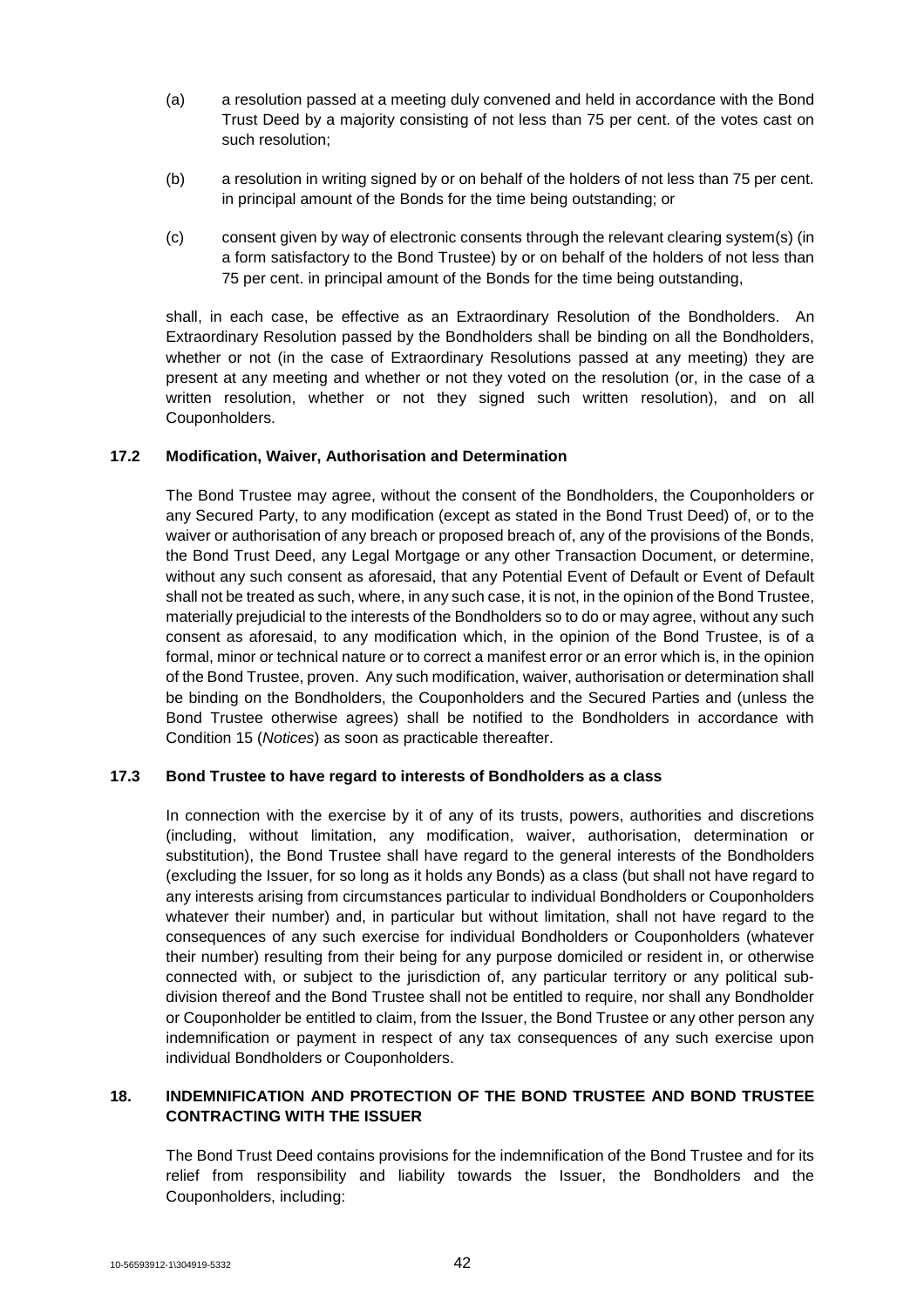- (a) a resolution passed at a meeting duly convened and held in accordance with the Bond Trust Deed by a majority consisting of not less than 75 per cent. of the votes cast on such resolution;
- (b) a resolution in writing signed by or on behalf of the holders of not less than 75 per cent. in principal amount of the Bonds for the time being outstanding; or
- (c) consent given by way of electronic consents through the relevant clearing system(s) (in a form satisfactory to the Bond Trustee) by or on behalf of the holders of not less than 75 per cent. in principal amount of the Bonds for the time being outstanding,

shall, in each case, be effective as an Extraordinary Resolution of the Bondholders. An Extraordinary Resolution passed by the Bondholders shall be binding on all the Bondholders, whether or not (in the case of Extraordinary Resolutions passed at any meeting) they are present at any meeting and whether or not they voted on the resolution (or, in the case of a written resolution, whether or not they signed such written resolution), and on all Couponholders.

## **17.2 Modification, Waiver, Authorisation and Determination**

The Bond Trustee may agree, without the consent of the Bondholders, the Couponholders or any Secured Party, to any modification (except as stated in the Bond Trust Deed) of, or to the waiver or authorisation of any breach or proposed breach of, any of the provisions of the Bonds, the Bond Trust Deed, any Legal Mortgage or any other Transaction Document, or determine, without any such consent as aforesaid, that any Potential Event of Default or Event of Default shall not be treated as such, where, in any such case, it is not, in the opinion of the Bond Trustee, materially prejudicial to the interests of the Bondholders so to do or may agree, without any such consent as aforesaid, to any modification which, in the opinion of the Bond Trustee, is of a formal, minor or technical nature or to correct a manifest error or an error which is, in the opinion of the Bond Trustee, proven. Any such modification, waiver, authorisation or determination shall be binding on the Bondholders, the Couponholders and the Secured Parties and (unless the Bond Trustee otherwise agrees) shall be notified to the Bondholders in accordance with Condition 15 (*Notices*) as soon as practicable thereafter.

#### **17.3 Bond Trustee to have regard to interests of Bondholders as a class**

In connection with the exercise by it of any of its trusts, powers, authorities and discretions (including, without limitation, any modification, waiver, authorisation, determination or substitution), the Bond Trustee shall have regard to the general interests of the Bondholders (excluding the Issuer, for so long as it holds any Bonds) as a class (but shall not have regard to any interests arising from circumstances particular to individual Bondholders or Couponholders whatever their number) and, in particular but without limitation, shall not have regard to the consequences of any such exercise for individual Bondholders or Couponholders (whatever their number) resulting from their being for any purpose domiciled or resident in, or otherwise connected with, or subject to the jurisdiction of, any particular territory or any political subdivision thereof and the Bond Trustee shall not be entitled to require, nor shall any Bondholder or Couponholder be entitled to claim, from the Issuer, the Bond Trustee or any other person any indemnification or payment in respect of any tax consequences of any such exercise upon individual Bondholders or Couponholders.

## **18. INDEMNIFICATION AND PROTECTION OF THE BOND TRUSTEE AND BOND TRUSTEE CONTRACTING WITH THE ISSUER**

The Bond Trust Deed contains provisions for the indemnification of the Bond Trustee and for its relief from responsibility and liability towards the Issuer, the Bondholders and the Couponholders, including: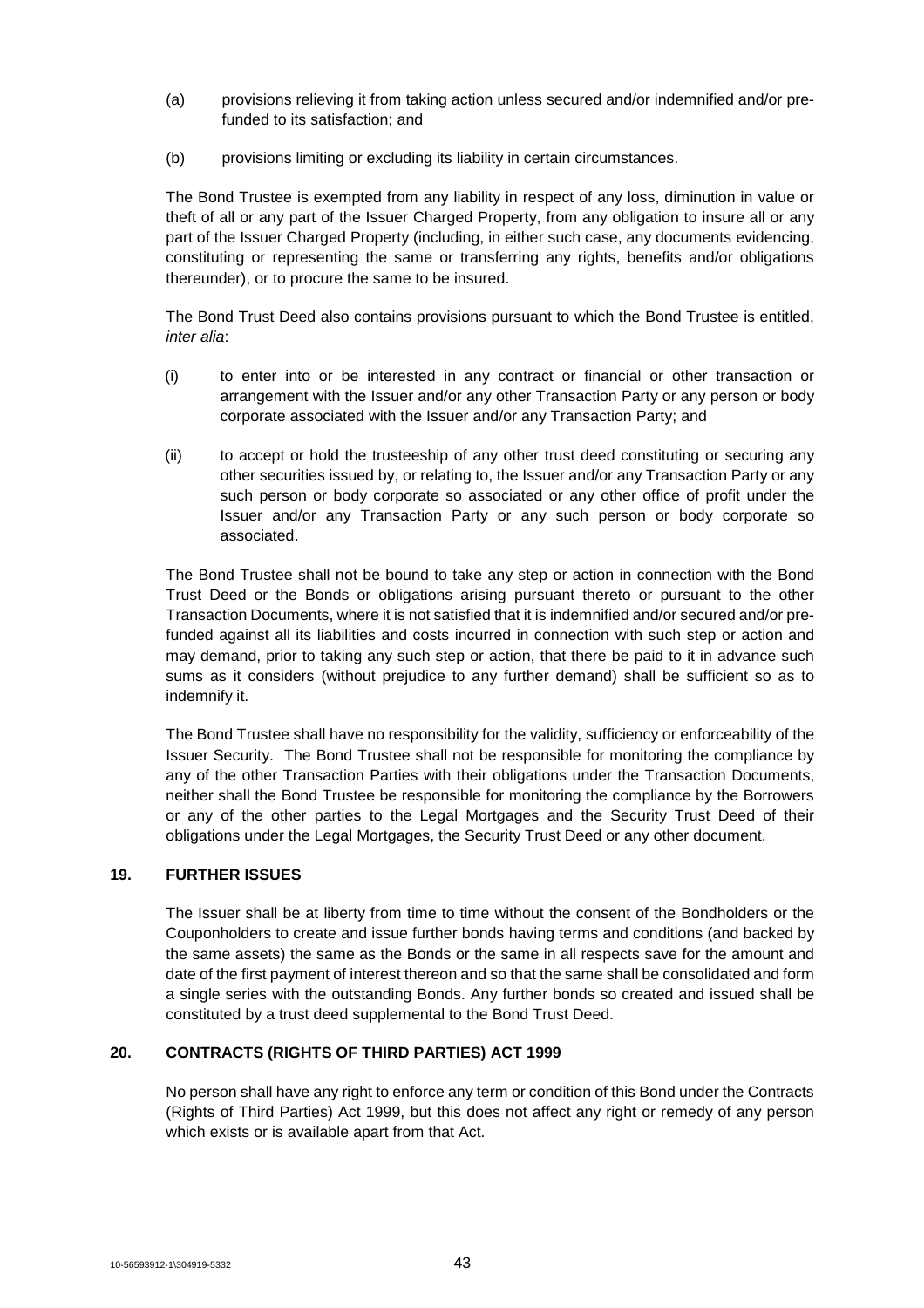- (a) provisions relieving it from taking action unless secured and/or indemnified and/or prefunded to its satisfaction; and
- (b) provisions limiting or excluding its liability in certain circumstances.

The Bond Trustee is exempted from any liability in respect of any loss, diminution in value or theft of all or any part of the Issuer Charged Property, from any obligation to insure all or any part of the Issuer Charged Property (including, in either such case, any documents evidencing, constituting or representing the same or transferring any rights, benefits and/or obligations thereunder), or to procure the same to be insured.

The Bond Trust Deed also contains provisions pursuant to which the Bond Trustee is entitled, *inter alia*:

- (i) to enter into or be interested in any contract or financial or other transaction or arrangement with the Issuer and/or any other Transaction Party or any person or body corporate associated with the Issuer and/or any Transaction Party; and
- (ii) to accept or hold the trusteeship of any other trust deed constituting or securing any other securities issued by, or relating to, the Issuer and/or any Transaction Party or any such person or body corporate so associated or any other office of profit under the Issuer and/or any Transaction Party or any such person or body corporate so associated.

The Bond Trustee shall not be bound to take any step or action in connection with the Bond Trust Deed or the Bonds or obligations arising pursuant thereto or pursuant to the other Transaction Documents, where it is not satisfied that it is indemnified and/or secured and/or prefunded against all its liabilities and costs incurred in connection with such step or action and may demand, prior to taking any such step or action, that there be paid to it in advance such sums as it considers (without prejudice to any further demand) shall be sufficient so as to indemnify it.

The Bond Trustee shall have no responsibility for the validity, sufficiency or enforceability of the Issuer Security. The Bond Trustee shall not be responsible for monitoring the compliance by any of the other Transaction Parties with their obligations under the Transaction Documents, neither shall the Bond Trustee be responsible for monitoring the compliance by the Borrowers or any of the other parties to the Legal Mortgages and the Security Trust Deed of their obligations under the Legal Mortgages, the Security Trust Deed or any other document.

## **19. FURTHER ISSUES**

The Issuer shall be at liberty from time to time without the consent of the Bondholders or the Couponholders to create and issue further bonds having terms and conditions (and backed by the same assets) the same as the Bonds or the same in all respects save for the amount and date of the first payment of interest thereon and so that the same shall be consolidated and form a single series with the outstanding Bonds. Any further bonds so created and issued shall be constituted by a trust deed supplemental to the Bond Trust Deed.

## **20. CONTRACTS (RIGHTS OF THIRD PARTIES) ACT 1999**

No person shall have any right to enforce any term or condition of this Bond under the Contracts (Rights of Third Parties) Act 1999, but this does not affect any right or remedy of any person which exists or is available apart from that Act.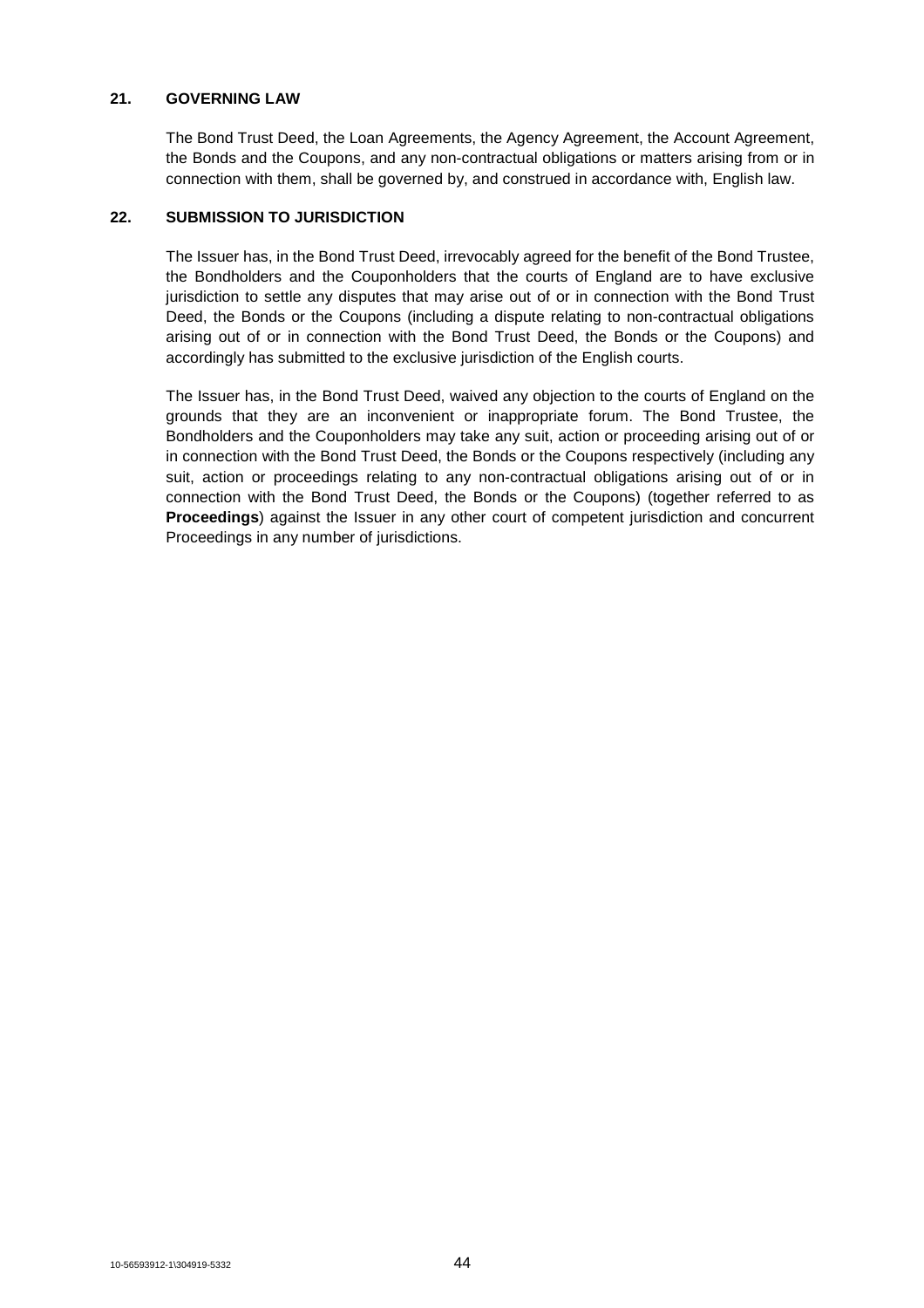## **21. GOVERNING LAW**

The Bond Trust Deed, the Loan Agreements, the Agency Agreement, the Account Agreement, the Bonds and the Coupons, and any non-contractual obligations or matters arising from or in connection with them, shall be governed by, and construed in accordance with, English law.

## **22. SUBMISSION TO JURISDICTION**

The Issuer has, in the Bond Trust Deed, irrevocably agreed for the benefit of the Bond Trustee, the Bondholders and the Couponholders that the courts of England are to have exclusive jurisdiction to settle any disputes that may arise out of or in connection with the Bond Trust Deed, the Bonds or the Coupons (including a dispute relating to non-contractual obligations arising out of or in connection with the Bond Trust Deed, the Bonds or the Coupons) and accordingly has submitted to the exclusive jurisdiction of the English courts.

The Issuer has, in the Bond Trust Deed, waived any objection to the courts of England on the grounds that they are an inconvenient or inappropriate forum. The Bond Trustee, the Bondholders and the Couponholders may take any suit, action or proceeding arising out of or in connection with the Bond Trust Deed, the Bonds or the Coupons respectively (including any suit, action or proceedings relating to any non-contractual obligations arising out of or in connection with the Bond Trust Deed, the Bonds or the Coupons) (together referred to as **Proceedings**) against the Issuer in any other court of competent jurisdiction and concurrent Proceedings in any number of jurisdictions.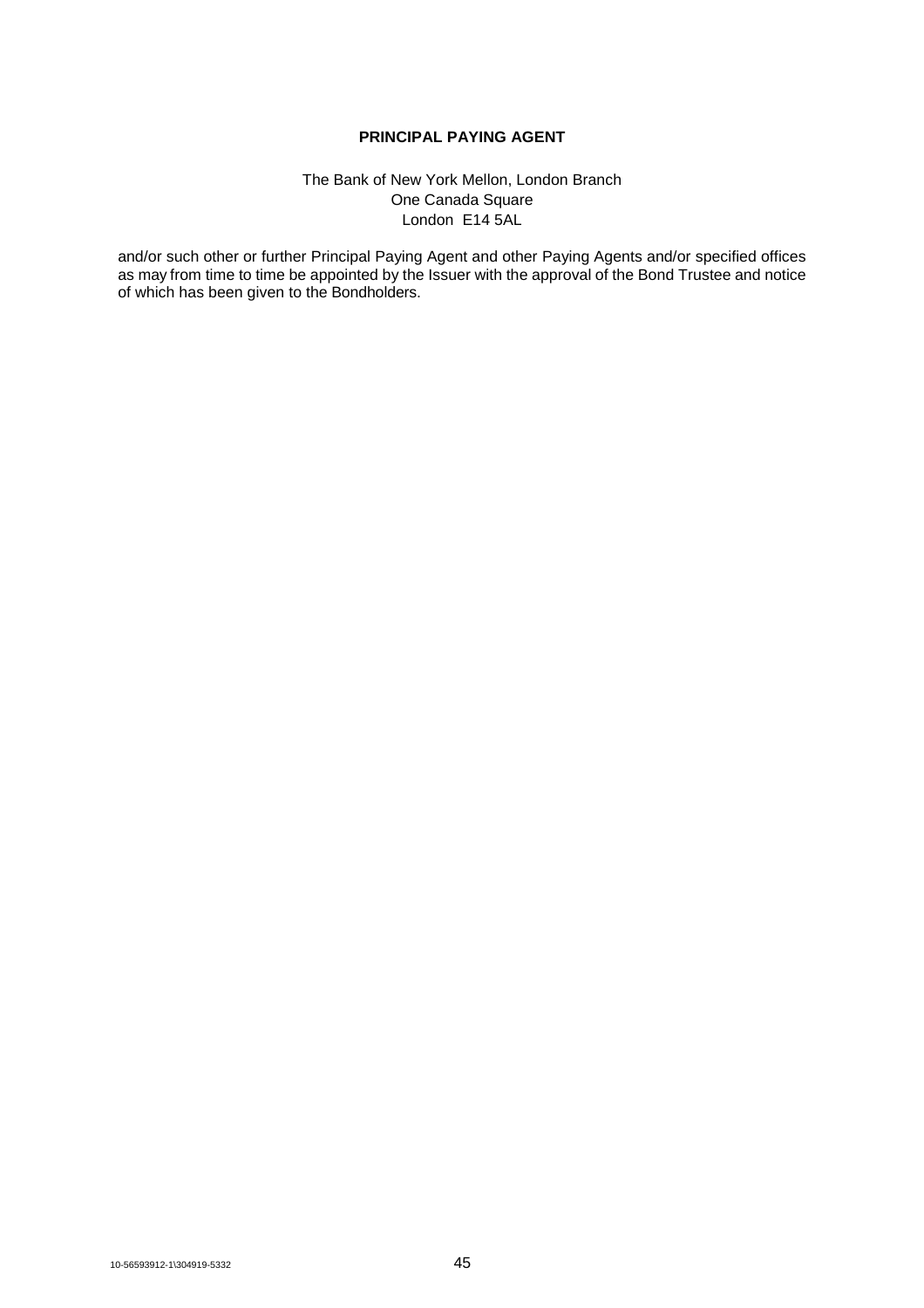## **PRINCIPAL PAYING AGENT**

## The Bank of New York Mellon, London Branch One Canada Square London E14 5AL

and/or such other or further Principal Paying Agent and other Paying Agents and/or specified offices as may from time to time be appointed by the Issuer with the approval of the Bond Trustee and notice of which has been given to the Bondholders.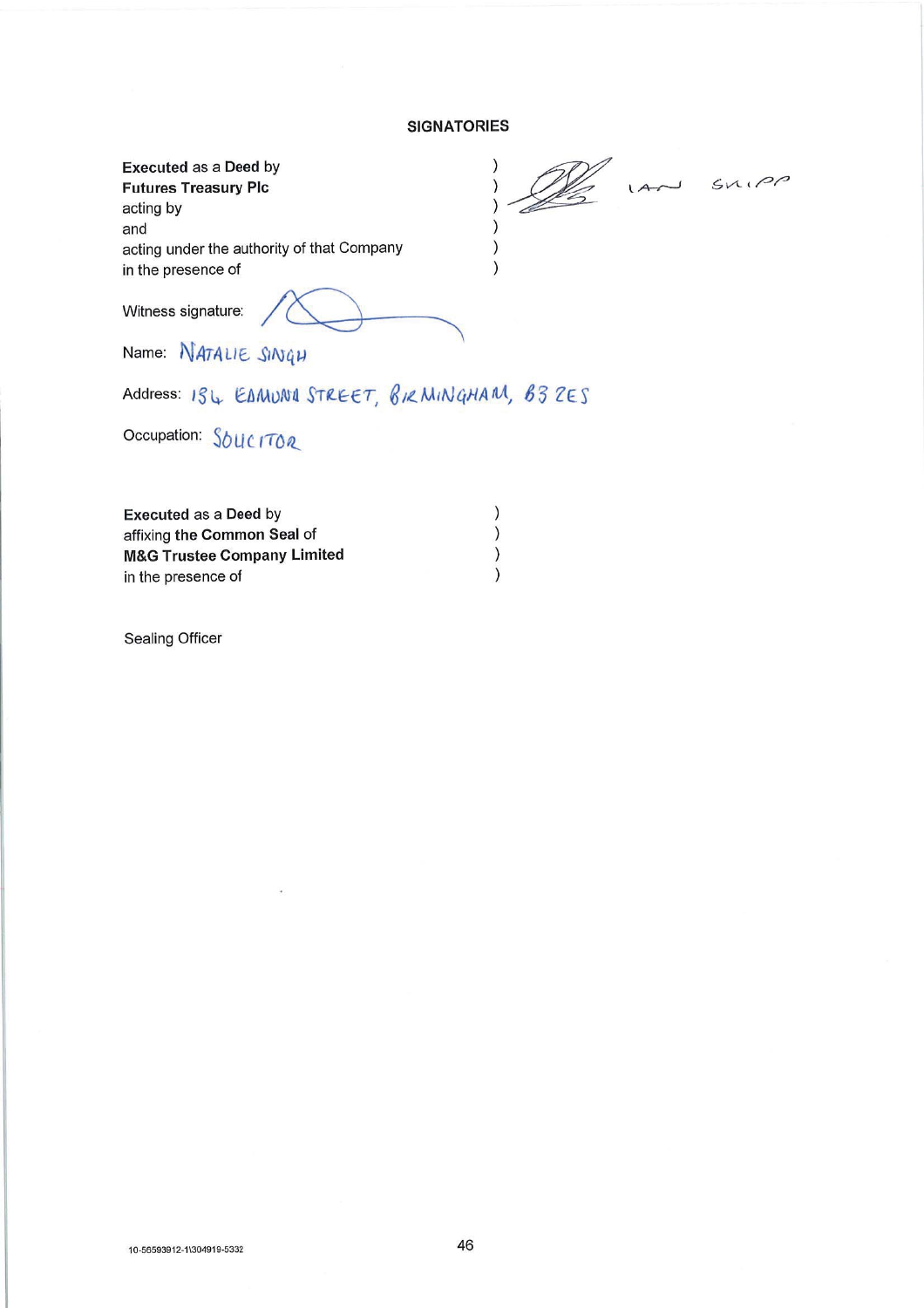## **SIGNATORIES**

| <b>Executed as a Deed by</b>                |    |       |
|---------------------------------------------|----|-------|
| <b>Futures Treasury Plc</b>                 | 1A | SNIPO |
| acting by                                   |    |       |
| and                                         |    |       |
| acting under the authority of that Company  |    |       |
| in the presence of                          |    |       |
| Witness signature:                          |    |       |
| and company and the property of the company |    |       |

Name: NATALIE SINGH

Address: 194 EAMUNA STREET, BIRMINGHAM, B3ZES

Occupation: SOUCITOR

| <b>Executed as a Deed by</b>           |  |
|----------------------------------------|--|
| affixing the Common Seal of            |  |
| <b>M&amp;G Trustee Company Limited</b> |  |
| in the presence of                     |  |

 $\bar{\omega}$ 

**Sealing Officer**